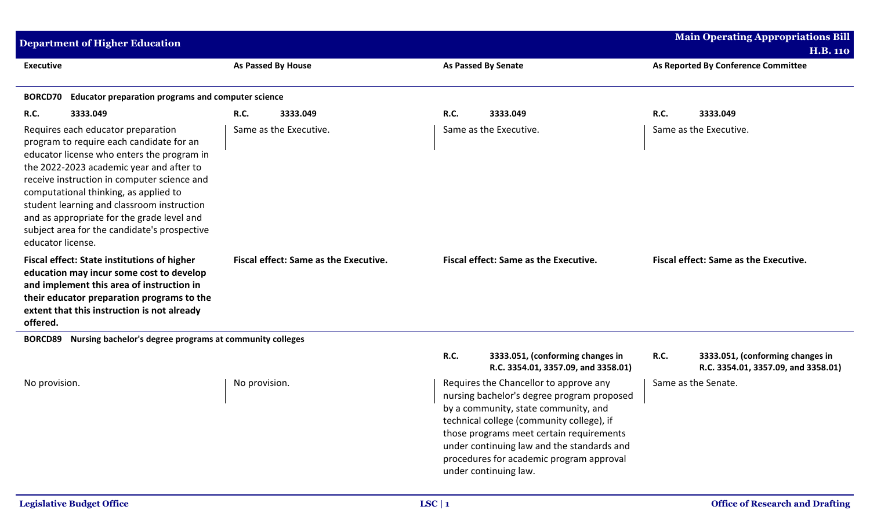| <b>Main Operating Appropriations Bill</b><br><b>Department of Higher Education</b>                                                                                                                                                                                                                                                                                                                                                |                                                  |                                                                                                                                                                                                                                                                                                                                          |                                                                                 |  |  |  |
|-----------------------------------------------------------------------------------------------------------------------------------------------------------------------------------------------------------------------------------------------------------------------------------------------------------------------------------------------------------------------------------------------------------------------------------|--------------------------------------------------|------------------------------------------------------------------------------------------------------------------------------------------------------------------------------------------------------------------------------------------------------------------------------------------------------------------------------------------|---------------------------------------------------------------------------------|--|--|--|
|                                                                                                                                                                                                                                                                                                                                                                                                                                   |                                                  |                                                                                                                                                                                                                                                                                                                                          | <b>H.B. 110</b>                                                                 |  |  |  |
| <b>Executive</b>                                                                                                                                                                                                                                                                                                                                                                                                                  | As Passed By House                               | <b>As Passed By Senate</b>                                                                                                                                                                                                                                                                                                               | As Reported By Conference Committee                                             |  |  |  |
| <b>Educator preparation programs and computer science</b><br><b>BORCD70</b>                                                                                                                                                                                                                                                                                                                                                       |                                                  |                                                                                                                                                                                                                                                                                                                                          |                                                                                 |  |  |  |
| <b>R.C.</b><br>3333.049                                                                                                                                                                                                                                                                                                                                                                                                           | R.C.<br>3333.049                                 | <b>R.C.</b><br>3333.049                                                                                                                                                                                                                                                                                                                  | R.C.<br>3333.049                                                                |  |  |  |
| Requires each educator preparation<br>program to require each candidate for an<br>educator license who enters the program in<br>the 2022-2023 academic year and after to<br>receive instruction in computer science and<br>computational thinking, as applied to<br>student learning and classroom instruction<br>and as appropriate for the grade level and<br>subject area for the candidate's prospective<br>educator license. | Same as the Executive.<br>Same as the Executive. |                                                                                                                                                                                                                                                                                                                                          | Same as the Executive.                                                          |  |  |  |
| <b>Fiscal effect: State institutions of higher</b><br>education may incur some cost to develop<br>and implement this area of instruction in<br>their educator preparation programs to the<br>extent that this instruction is not already<br>offered.                                                                                                                                                                              | Fiscal effect: Same as the Executive.            | <b>Fiscal effect: Same as the Executive.</b>                                                                                                                                                                                                                                                                                             | Fiscal effect: Same as the Executive.                                           |  |  |  |
| Nursing bachelor's degree programs at community colleges<br><b>BORCD89</b>                                                                                                                                                                                                                                                                                                                                                        |                                                  |                                                                                                                                                                                                                                                                                                                                          |                                                                                 |  |  |  |
|                                                                                                                                                                                                                                                                                                                                                                                                                                   |                                                  | <b>R.C.</b><br>3333.051, (conforming changes in<br>R.C. 3354.01, 3357.09, and 3358.01)                                                                                                                                                                                                                                                   | R.C.<br>3333.051, (conforming changes in<br>R.C. 3354.01, 3357.09, and 3358.01) |  |  |  |
| No provision.                                                                                                                                                                                                                                                                                                                                                                                                                     | No provision.                                    | Requires the Chancellor to approve any<br>nursing bachelor's degree program proposed<br>by a community, state community, and<br>technical college (community college), if<br>those programs meet certain requirements<br>under continuing law and the standards and<br>procedures for academic program approval<br>under continuing law. | Same as the Senate.                                                             |  |  |  |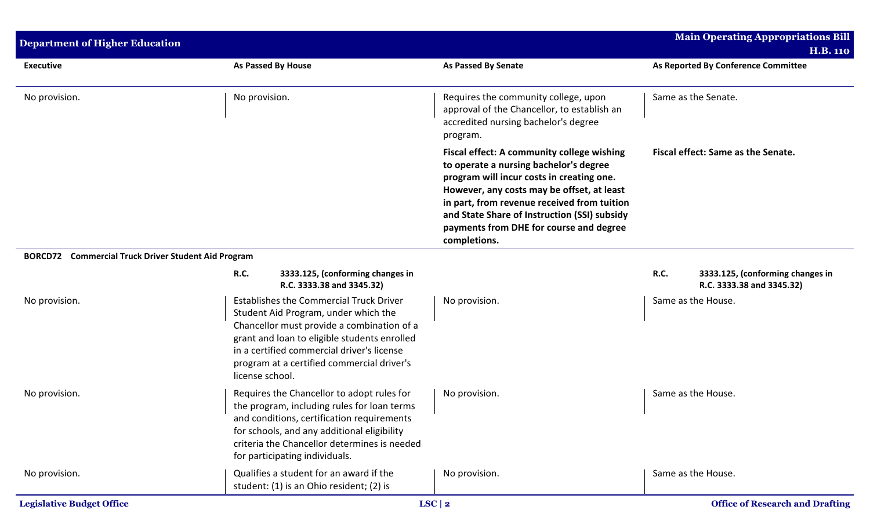| <b>Department of Higher Education</b>                      | <b>Main Operating Appropriations Bill</b><br><b>H.B. 110</b>                                                                                                                                                                                                                                        |                                                                                                                                                                                                                                                                                                                                           |                                                                       |
|------------------------------------------------------------|-----------------------------------------------------------------------------------------------------------------------------------------------------------------------------------------------------------------------------------------------------------------------------------------------------|-------------------------------------------------------------------------------------------------------------------------------------------------------------------------------------------------------------------------------------------------------------------------------------------------------------------------------------------|-----------------------------------------------------------------------|
| <b>Executive</b>                                           | <b>As Passed By House</b>                                                                                                                                                                                                                                                                           | <b>As Passed By Senate</b>                                                                                                                                                                                                                                                                                                                | As Reported By Conference Committee                                   |
| No provision.                                              | No provision.                                                                                                                                                                                                                                                                                       | Requires the community college, upon<br>approval of the Chancellor, to establish an<br>accredited nursing bachelor's degree<br>program.                                                                                                                                                                                                   | Same as the Senate.                                                   |
|                                                            |                                                                                                                                                                                                                                                                                                     | Fiscal effect: A community college wishing<br>to operate a nursing bachelor's degree<br>program will incur costs in creating one.<br>However, any costs may be offset, at least<br>in part, from revenue received from tuition<br>and State Share of Instruction (SSI) subsidy<br>payments from DHE for course and degree<br>completions. | Fiscal effect: Same as the Senate.                                    |
| <b>BORCD72</b> Commercial Truck Driver Student Aid Program |                                                                                                                                                                                                                                                                                                     |                                                                                                                                                                                                                                                                                                                                           |                                                                       |
|                                                            | <b>R.C.</b><br>3333.125, (conforming changes in<br>R.C. 3333.38 and 3345.32)                                                                                                                                                                                                                        |                                                                                                                                                                                                                                                                                                                                           | R.C.<br>3333.125, (conforming changes in<br>R.C. 3333.38 and 3345.32) |
| No provision.                                              | <b>Establishes the Commercial Truck Driver</b><br>Student Aid Program, under which the<br>Chancellor must provide a combination of a<br>grant and loan to eligible students enrolled<br>in a certified commercial driver's license<br>program at a certified commercial driver's<br>license school. | No provision.                                                                                                                                                                                                                                                                                                                             | Same as the House.                                                    |
| No provision.                                              | Requires the Chancellor to adopt rules for<br>the program, including rules for loan terms<br>and conditions, certification requirements<br>for schools, and any additional eligibility<br>criteria the Chancellor determines is needed<br>for participating individuals.                            | No provision.                                                                                                                                                                                                                                                                                                                             | Same as the House.                                                    |
| No provision.                                              | Qualifies a student for an award if the<br>student: (1) is an Ohio resident; (2) is                                                                                                                                                                                                                 | No provision.                                                                                                                                                                                                                                                                                                                             | Same as the House.                                                    |
| <b>Legislative Budget Office</b>                           |                                                                                                                                                                                                                                                                                                     | $LSC$   2                                                                                                                                                                                                                                                                                                                                 | <b>Office of Research and Drafting</b>                                |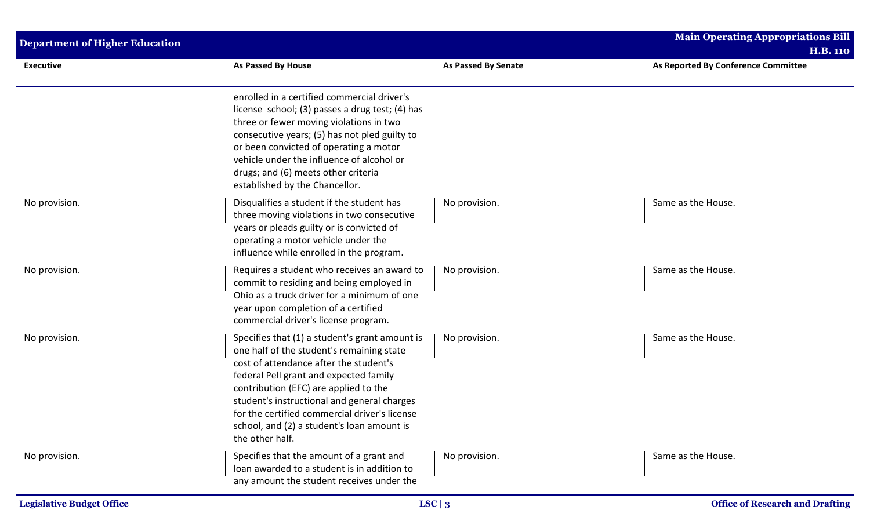| <b>Department of Higher Education</b> |                                                                                                                                                                                                                                                                                                                                                                                           |                            | <b>Main Operating Appropriations Bill</b> |  |  |
|---------------------------------------|-------------------------------------------------------------------------------------------------------------------------------------------------------------------------------------------------------------------------------------------------------------------------------------------------------------------------------------------------------------------------------------------|----------------------------|-------------------------------------------|--|--|
|                                       |                                                                                                                                                                                                                                                                                                                                                                                           |                            | <b>H.B. 110</b>                           |  |  |
| <b>Executive</b>                      | <b>As Passed By House</b>                                                                                                                                                                                                                                                                                                                                                                 | <b>As Passed By Senate</b> | As Reported By Conference Committee       |  |  |
|                                       | enrolled in a certified commercial driver's<br>license school; (3) passes a drug test; (4) has<br>three or fewer moving violations in two<br>consecutive years; (5) has not pled guilty to<br>or been convicted of operating a motor<br>vehicle under the influence of alcohol or<br>drugs; and (6) meets other criteria<br>established by the Chancellor.                                |                            |                                           |  |  |
| No provision.                         | Disqualifies a student if the student has<br>three moving violations in two consecutive<br>years or pleads guilty or is convicted of<br>operating a motor vehicle under the<br>influence while enrolled in the program.                                                                                                                                                                   | No provision.              | Same as the House.                        |  |  |
| No provision.                         | Requires a student who receives an award to<br>commit to residing and being employed in<br>Ohio as a truck driver for a minimum of one<br>year upon completion of a certified<br>commercial driver's license program.                                                                                                                                                                     | No provision.              | Same as the House.                        |  |  |
| No provision.                         | Specifies that (1) a student's grant amount is<br>one half of the student's remaining state<br>cost of attendance after the student's<br>federal Pell grant and expected family<br>contribution (EFC) are applied to the<br>student's instructional and general charges<br>for the certified commercial driver's license<br>school, and (2) a student's loan amount is<br>the other half. | No provision.              | Same as the House.                        |  |  |
| No provision.                         | Specifies that the amount of a grant and<br>loan awarded to a student is in addition to<br>any amount the student receives under the                                                                                                                                                                                                                                                      | No provision.              | Same as the House.                        |  |  |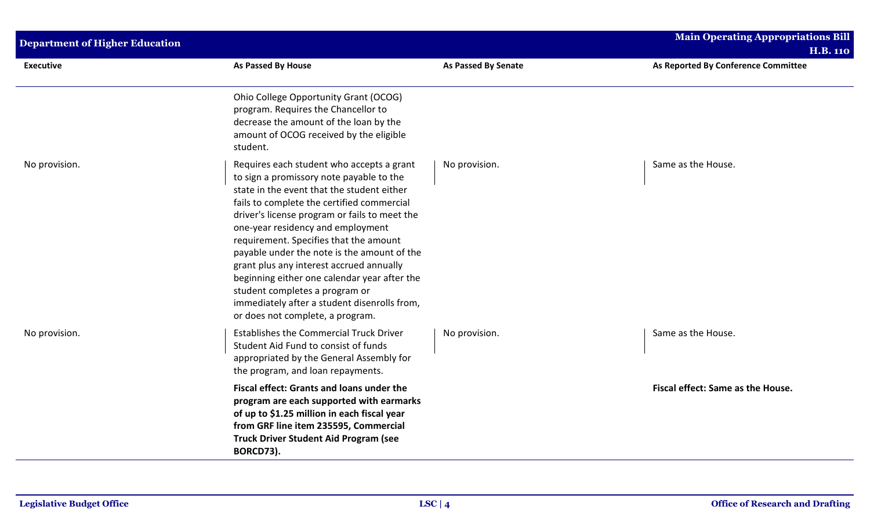| <b>Department of Higher Education</b> |                                                                                                                                                                                                                                                                                                                                                                                                                                                                                                                                                                                    |                            | <b>Main Operating Appropriations Bill</b><br><b>H.B. 110</b> |
|---------------------------------------|------------------------------------------------------------------------------------------------------------------------------------------------------------------------------------------------------------------------------------------------------------------------------------------------------------------------------------------------------------------------------------------------------------------------------------------------------------------------------------------------------------------------------------------------------------------------------------|----------------------------|--------------------------------------------------------------|
| <b>Executive</b>                      | <b>As Passed By House</b>                                                                                                                                                                                                                                                                                                                                                                                                                                                                                                                                                          | <b>As Passed By Senate</b> | As Reported By Conference Committee                          |
|                                       | Ohio College Opportunity Grant (OCOG)<br>program. Requires the Chancellor to<br>decrease the amount of the loan by the<br>amount of OCOG received by the eligible<br>student.                                                                                                                                                                                                                                                                                                                                                                                                      |                            |                                                              |
| No provision.                         | Requires each student who accepts a grant<br>to sign a promissory note payable to the<br>state in the event that the student either<br>fails to complete the certified commercial<br>driver's license program or fails to meet the<br>one-year residency and employment<br>requirement. Specifies that the amount<br>payable under the note is the amount of the<br>grant plus any interest accrued annually<br>beginning either one calendar year after the<br>student completes a program or<br>immediately after a student disenrolls from,<br>or does not complete, a program. | No provision.              | Same as the House.                                           |
| No provision.                         | <b>Establishes the Commercial Truck Driver</b><br>Student Aid Fund to consist of funds<br>appropriated by the General Assembly for<br>the program, and loan repayments.                                                                                                                                                                                                                                                                                                                                                                                                            | No provision.              | Same as the House.                                           |
|                                       | Fiscal effect: Grants and loans under the<br>program are each supported with earmarks<br>of up to \$1.25 million in each fiscal year<br>from GRF line item 235595, Commercial<br><b>Truck Driver Student Aid Program (see</b><br>BORCD73).                                                                                                                                                                                                                                                                                                                                         |                            | Fiscal effect: Same as the House.                            |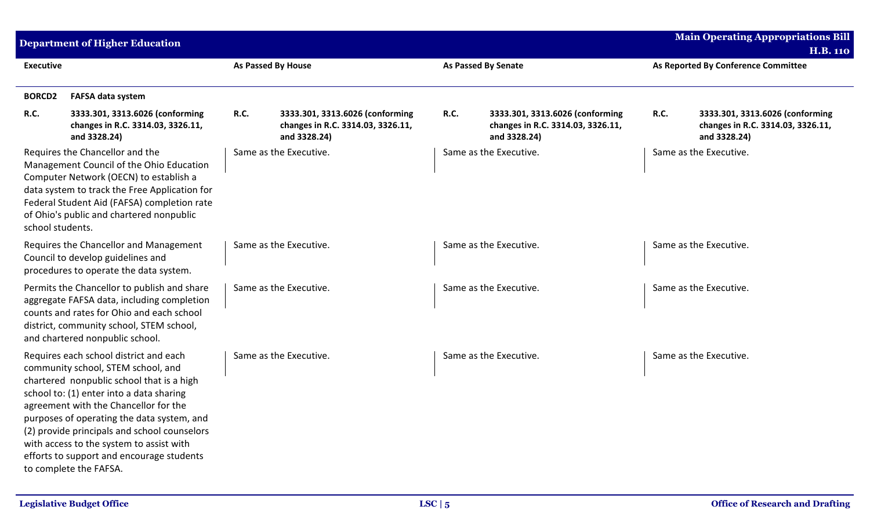|                  | <b>Department of Higher Education</b>                                                                                                                                                                                                                                                                                                                                                                                           |                           |                                                                                      |             |                                                                                      |             | <b>Main Operating Appropriations Bill</b>                                            |  |
|------------------|---------------------------------------------------------------------------------------------------------------------------------------------------------------------------------------------------------------------------------------------------------------------------------------------------------------------------------------------------------------------------------------------------------------------------------|---------------------------|--------------------------------------------------------------------------------------|-------------|--------------------------------------------------------------------------------------|-------------|--------------------------------------------------------------------------------------|--|
| <b>Executive</b> |                                                                                                                                                                                                                                                                                                                                                                                                                                 | <b>As Passed By House</b> |                                                                                      |             | <b>As Passed By Senate</b>                                                           |             | <b>H.B. 110</b><br>As Reported By Conference Committee                               |  |
| <b>BORCD2</b>    | <b>FAFSA data system</b>                                                                                                                                                                                                                                                                                                                                                                                                        |                           |                                                                                      |             |                                                                                      |             |                                                                                      |  |
| <b>R.C.</b>      | 3333.301, 3313.6026 (conforming<br>changes in R.C. 3314.03, 3326.11,<br>and 3328.24)                                                                                                                                                                                                                                                                                                                                            | <b>R.C.</b>               | 3333.301, 3313.6026 (conforming<br>changes in R.C. 3314.03, 3326.11,<br>and 3328.24) | <b>R.C.</b> | 3333.301, 3313.6026 (conforming<br>changes in R.C. 3314.03, 3326.11,<br>and 3328.24) | <b>R.C.</b> | 3333.301, 3313.6026 (conforming<br>changes in R.C. 3314.03, 3326.11,<br>and 3328.24) |  |
| school students. | Requires the Chancellor and the<br>Management Council of the Ohio Education<br>Computer Network (OECN) to establish a<br>data system to track the Free Application for<br>Federal Student Aid (FAFSA) completion rate<br>of Ohio's public and chartered nonpublic                                                                                                                                                               |                           | Same as the Executive.                                                               |             | Same as the Executive.                                                               |             | Same as the Executive.                                                               |  |
|                  | Requires the Chancellor and Management<br>Council to develop guidelines and<br>procedures to operate the data system.                                                                                                                                                                                                                                                                                                           |                           | Same as the Executive.                                                               |             | Same as the Executive.                                                               |             | Same as the Executive.                                                               |  |
|                  | Permits the Chancellor to publish and share<br>aggregate FAFSA data, including completion<br>counts and rates for Ohio and each school<br>district, community school, STEM school,<br>and chartered nonpublic school.                                                                                                                                                                                                           |                           | Same as the Executive.                                                               |             | Same as the Executive.                                                               |             | Same as the Executive.                                                               |  |
|                  | Requires each school district and each<br>community school, STEM school, and<br>chartered nonpublic school that is a high<br>school to: (1) enter into a data sharing<br>agreement with the Chancellor for the<br>purposes of operating the data system, and<br>(2) provide principals and school counselors<br>with access to the system to assist with<br>efforts to support and encourage students<br>to complete the FAFSA. |                           | Same as the Executive.                                                               |             | Same as the Executive.                                                               |             | Same as the Executive.                                                               |  |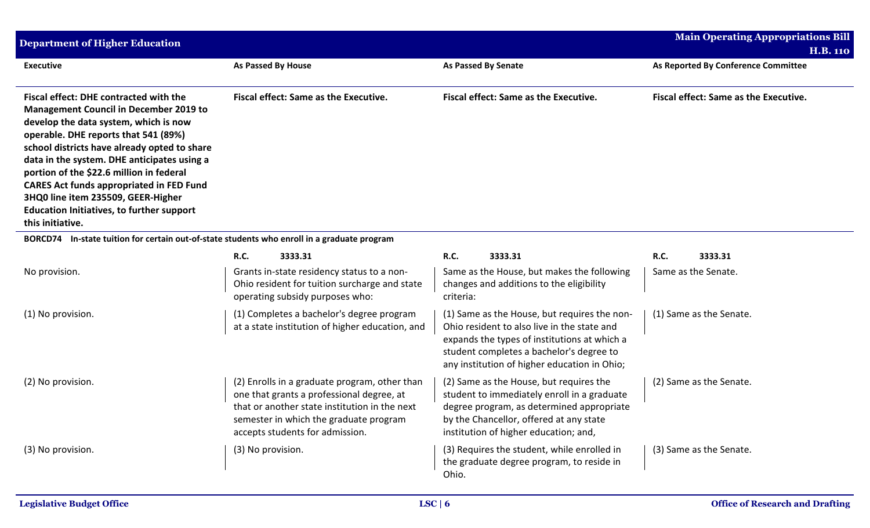| <b>Department of Higher Education</b>                                                                                                                                                                                                                                                                                                                                                                                                                                                       |                                                                                                                                                                                                                          |                                                                                                                                                                                                                                         | <b>Main Operating Appropriations Bill</b> |
|---------------------------------------------------------------------------------------------------------------------------------------------------------------------------------------------------------------------------------------------------------------------------------------------------------------------------------------------------------------------------------------------------------------------------------------------------------------------------------------------|--------------------------------------------------------------------------------------------------------------------------------------------------------------------------------------------------------------------------|-----------------------------------------------------------------------------------------------------------------------------------------------------------------------------------------------------------------------------------------|-------------------------------------------|
|                                                                                                                                                                                                                                                                                                                                                                                                                                                                                             |                                                                                                                                                                                                                          |                                                                                                                                                                                                                                         | <b>H.B. 110</b>                           |
| <b>Executive</b>                                                                                                                                                                                                                                                                                                                                                                                                                                                                            | <b>As Passed By House</b>                                                                                                                                                                                                | <b>As Passed By Senate</b>                                                                                                                                                                                                              | As Reported By Conference Committee       |
| <b>Fiscal effect: DHE contracted with the</b><br><b>Management Council in December 2019 to</b><br>develop the data system, which is now<br>operable. DHE reports that 541 (89%)<br>school districts have already opted to share<br>data in the system. DHE anticipates using a<br>portion of the \$22.6 million in federal<br><b>CARES Act funds appropriated in FED Fund</b><br>3HQ0 line item 235509, GEER-Higher<br><b>Education Initiatives, to further support</b><br>this initiative. | <b>Fiscal effect: Same as the Executive.</b>                                                                                                                                                                             | Fiscal effect: Same as the Executive.                                                                                                                                                                                                   | Fiscal effect: Same as the Executive.     |
| <b>BORCD74</b>                                                                                                                                                                                                                                                                                                                                                                                                                                                                              | In-state tuition for certain out-of-state students who enroll in a graduate program                                                                                                                                      |                                                                                                                                                                                                                                         |                                           |
|                                                                                                                                                                                                                                                                                                                                                                                                                                                                                             | <b>R.C.</b><br>3333.31                                                                                                                                                                                                   | R.C.<br>3333.31                                                                                                                                                                                                                         | R.C.<br>3333.31                           |
| No provision.                                                                                                                                                                                                                                                                                                                                                                                                                                                                               | Grants in-state residency status to a non-<br>Ohio resident for tuition surcharge and state<br>operating subsidy purposes who:                                                                                           | Same as the House, but makes the following<br>changes and additions to the eligibility<br>criteria:                                                                                                                                     | Same as the Senate.                       |
| (1) No provision.                                                                                                                                                                                                                                                                                                                                                                                                                                                                           | (1) Completes a bachelor's degree program<br>at a state institution of higher education, and                                                                                                                             | (1) Same as the House, but requires the non-<br>Ohio resident to also live in the state and<br>expands the types of institutions at which a<br>student completes a bachelor's degree to<br>any institution of higher education in Ohio; | (1) Same as the Senate.                   |
| (2) No provision.                                                                                                                                                                                                                                                                                                                                                                                                                                                                           | (2) Enrolls in a graduate program, other than<br>one that grants a professional degree, at<br>that or another state institution in the next<br>semester in which the graduate program<br>accepts students for admission. | (2) Same as the House, but requires the<br>student to immediately enroll in a graduate<br>degree program, as determined appropriate<br>by the Chancellor, offered at any state<br>institution of higher education; and,                 | (2) Same as the Senate.                   |
| (3) No provision.                                                                                                                                                                                                                                                                                                                                                                                                                                                                           | (3) No provision.                                                                                                                                                                                                        | (3) Requires the student, while enrolled in<br>the graduate degree program, to reside in<br>Ohio.                                                                                                                                       | (3) Same as the Senate.                   |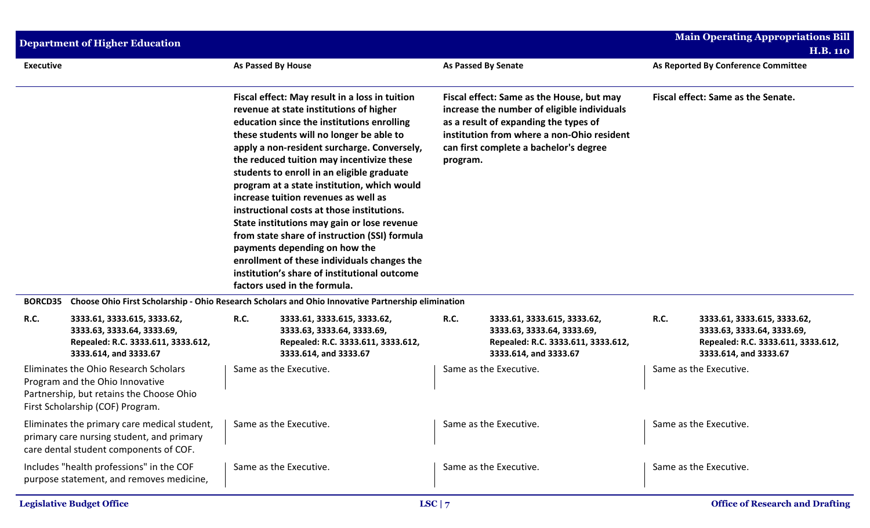|                  | <b>Department of Higher Education</b>                                                                                                                    |                                                                                                                                                                                                                                                                                                                                                                                                                                                                                                                                                                                                                                                                                                                                    |                                                                                                                          |                                                                                                                                                                                                                                       |                                                                                                                          |                                    | <b>Main Operating Appropriations Bill</b><br><b>H.B. 110</b>                                                             |
|------------------|----------------------------------------------------------------------------------------------------------------------------------------------------------|------------------------------------------------------------------------------------------------------------------------------------------------------------------------------------------------------------------------------------------------------------------------------------------------------------------------------------------------------------------------------------------------------------------------------------------------------------------------------------------------------------------------------------------------------------------------------------------------------------------------------------------------------------------------------------------------------------------------------------|--------------------------------------------------------------------------------------------------------------------------|---------------------------------------------------------------------------------------------------------------------------------------------------------------------------------------------------------------------------------------|--------------------------------------------------------------------------------------------------------------------------|------------------------------------|--------------------------------------------------------------------------------------------------------------------------|
| <b>Executive</b> |                                                                                                                                                          | As Passed By House                                                                                                                                                                                                                                                                                                                                                                                                                                                                                                                                                                                                                                                                                                                 |                                                                                                                          |                                                                                                                                                                                                                                       | <b>As Passed By Senate</b>                                                                                               |                                    | As Reported By Conference Committee                                                                                      |
|                  |                                                                                                                                                          | Fiscal effect: May result in a loss in tuition<br>revenue at state institutions of higher<br>education since the institutions enrolling<br>these students will no longer be able to<br>apply a non-resident surcharge. Conversely,<br>the reduced tuition may incentivize these<br>students to enroll in an eligible graduate<br>program at a state institution, which would<br>increase tuition revenues as well as<br>instructional costs at those institutions.<br>State institutions may gain or lose revenue<br>from state share of instruction (SSI) formula<br>payments depending on how the<br>enrollment of these individuals changes the<br>institution's share of institutional outcome<br>factors used in the formula. |                                                                                                                          | Fiscal effect: Same as the House, but may<br>increase the number of eligible individuals<br>as a result of expanding the types of<br>institution from where a non-Ohio resident<br>can first complete a bachelor's degree<br>program. |                                                                                                                          | Fiscal effect: Same as the Senate. |                                                                                                                          |
| <b>BORCD35</b>   |                                                                                                                                                          |                                                                                                                                                                                                                                                                                                                                                                                                                                                                                                                                                                                                                                                                                                                                    | Choose Ohio First Scholarship - Ohio Research Scholars and Ohio Innovative Partnership elimination                       |                                                                                                                                                                                                                                       |                                                                                                                          |                                    |                                                                                                                          |
| R.C.             | 3333.61, 3333.615, 3333.62,<br>3333.63, 3333.64, 3333.69,<br>Repealed: R.C. 3333.611, 3333.612,<br>3333.614, and 3333.67                                 | <b>R.C.</b>                                                                                                                                                                                                                                                                                                                                                                                                                                                                                                                                                                                                                                                                                                                        | 3333.61, 3333.615, 3333.62,<br>3333.63, 3333.64, 3333.69,<br>Repealed: R.C. 3333.611, 3333.612,<br>3333.614, and 3333.67 | R.C.                                                                                                                                                                                                                                  | 3333.61, 3333.615, 3333.62,<br>3333.63, 3333.64, 3333.69,<br>Repealed: R.C. 3333.611, 3333.612,<br>3333.614, and 3333.67 | R.C.                               | 3333.61, 3333.615, 3333.62,<br>3333.63, 3333.64, 3333.69,<br>Repealed: R.C. 3333.611, 3333.612,<br>3333.614, and 3333.67 |
|                  | Eliminates the Ohio Research Scholars<br>Program and the Ohio Innovative<br>Partnership, but retains the Choose Ohio<br>First Scholarship (COF) Program. |                                                                                                                                                                                                                                                                                                                                                                                                                                                                                                                                                                                                                                                                                                                                    | Same as the Executive.                                                                                                   |                                                                                                                                                                                                                                       | Same as the Executive.                                                                                                   |                                    | Same as the Executive.                                                                                                   |
|                  | Eliminates the primary care medical student,<br>primary care nursing student, and primary<br>care dental student components of COF.                      |                                                                                                                                                                                                                                                                                                                                                                                                                                                                                                                                                                                                                                                                                                                                    | Same as the Executive.                                                                                                   |                                                                                                                                                                                                                                       | Same as the Executive.                                                                                                   |                                    | Same as the Executive.                                                                                                   |
|                  | Includes "health professions" in the COF<br>purpose statement, and removes medicine,                                                                     |                                                                                                                                                                                                                                                                                                                                                                                                                                                                                                                                                                                                                                                                                                                                    | Same as the Executive.                                                                                                   |                                                                                                                                                                                                                                       | Same as the Executive.                                                                                                   |                                    | Same as the Executive.                                                                                                   |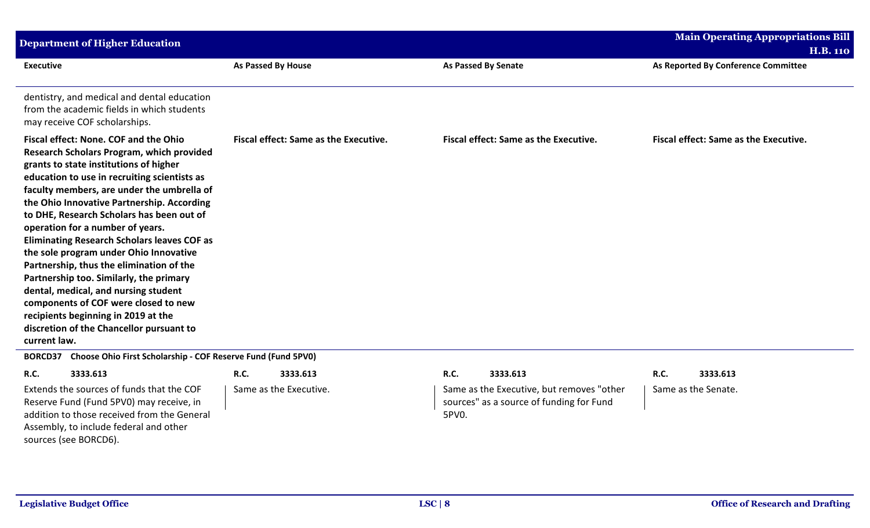| <b>Department of Higher Education</b>                                                                                                                                                                                                                                                                                                                                                                                                                                                                                                                                                                                                                                                                                               |                                       |                                              | <b>Main Operating Appropriations Bill</b>              |
|-------------------------------------------------------------------------------------------------------------------------------------------------------------------------------------------------------------------------------------------------------------------------------------------------------------------------------------------------------------------------------------------------------------------------------------------------------------------------------------------------------------------------------------------------------------------------------------------------------------------------------------------------------------------------------------------------------------------------------------|---------------------------------------|----------------------------------------------|--------------------------------------------------------|
| <b>Executive</b>                                                                                                                                                                                                                                                                                                                                                                                                                                                                                                                                                                                                                                                                                                                    | As Passed By House                    | <b>As Passed By Senate</b>                   | <b>H.B. 110</b><br>As Reported By Conference Committee |
| dentistry, and medical and dental education<br>from the academic fields in which students<br>may receive COF scholarships.                                                                                                                                                                                                                                                                                                                                                                                                                                                                                                                                                                                                          |                                       |                                              |                                                        |
| Fiscal effect: None. COF and the Ohio<br>Research Scholars Program, which provided<br>grants to state institutions of higher<br>education to use in recruiting scientists as<br>faculty members, are under the umbrella of<br>the Ohio Innovative Partnership. According<br>to DHE, Research Scholars has been out of<br>operation for a number of years.<br><b>Eliminating Research Scholars leaves COF as</b><br>the sole program under Ohio Innovative<br>Partnership, thus the elimination of the<br>Partnership too. Similarly, the primary<br>dental, medical, and nursing student<br>components of COF were closed to new<br>recipients beginning in 2019 at the<br>discretion of the Chancellor pursuant to<br>current law. | Fiscal effect: Same as the Executive. | <b>Fiscal effect: Same as the Executive.</b> | Fiscal effect: Same as the Executive.                  |

**BORCD37 Choose Ohio First Scholarship - COF Reserve Fund (Fund 5PV0)**

## **R.C. 3333.613 R.C. 3333.613 R.C. 3333.613 R.C. 3333.613**

Same as the Executive. Same as the Executive, but removes "other sources" as a source of funding for Fund 5PV0.

Same as the Senate.

Extends the sources of funds that the COF Reserve Fund (Fund 5PV0) may receive, in addition to those received from the General Assembly, to include federal and other sources (see BORCD6).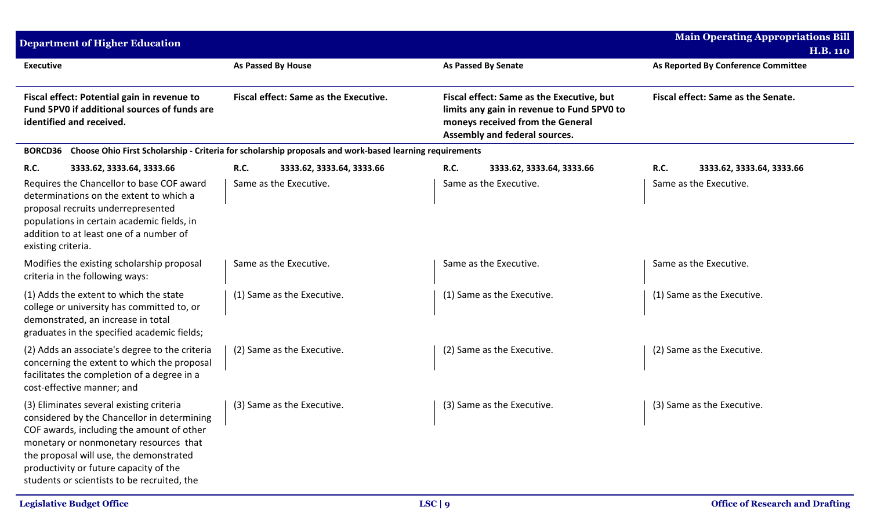| <b>Department of Higher Education</b>                                                                                                                                                                                                                                                                              |                                              |                                                                                                         |                                                                                                                                                              |                            |                                     | <b>Main Operating Appropriations Bill</b><br><b>H.B. 110</b> |
|--------------------------------------------------------------------------------------------------------------------------------------------------------------------------------------------------------------------------------------------------------------------------------------------------------------------|----------------------------------------------|---------------------------------------------------------------------------------------------------------|--------------------------------------------------------------------------------------------------------------------------------------------------------------|----------------------------|-------------------------------------|--------------------------------------------------------------|
| <b>Executive</b>                                                                                                                                                                                                                                                                                                   |                                              | <b>As Passed By House</b>                                                                               | <b>As Passed By Senate</b>                                                                                                                                   |                            | As Reported By Conference Committee |                                                              |
| Fiscal effect: Potential gain in revenue to<br>Fund 5PV0 if additional sources of funds are<br>identified and received.                                                                                                                                                                                            | <b>Fiscal effect: Same as the Executive.</b> |                                                                                                         | Fiscal effect: Same as the Executive, but<br>limits any gain in revenue to Fund 5PV0 to<br>moneys received from the General<br>Assembly and federal sources. |                            | Fiscal effect: Same as the Senate.  |                                                              |
| <b>BORCD36</b>                                                                                                                                                                                                                                                                                                     |                                              | Choose Ohio First Scholarship - Criteria for scholarship proposals and work-based learning requirements |                                                                                                                                                              |                            |                                     |                                                              |
| <b>R.C.</b><br>3333.62, 3333.64, 3333.66                                                                                                                                                                                                                                                                           | <b>R.C.</b>                                  | 3333.62, 3333.64, 3333.66                                                                               | R.C.                                                                                                                                                         | 3333.62, 3333.64, 3333.66  | R.C.                                | 3333.62, 3333.64, 3333.66                                    |
| Requires the Chancellor to base COF award<br>determinations on the extent to which a<br>proposal recruits underrepresented<br>populations in certain academic fields, in<br>addition to at least one of a number of<br>existing criteria.                                                                          |                                              | Same as the Executive.                                                                                  |                                                                                                                                                              | Same as the Executive.     |                                     | Same as the Executive.                                       |
| Modifies the existing scholarship proposal<br>criteria in the following ways:                                                                                                                                                                                                                                      |                                              | Same as the Executive.                                                                                  |                                                                                                                                                              | Same as the Executive.     |                                     | Same as the Executive.                                       |
| (1) Adds the extent to which the state<br>college or university has committed to, or<br>demonstrated, an increase in total<br>graduates in the specified academic fields;                                                                                                                                          |                                              | (1) Same as the Executive.                                                                              |                                                                                                                                                              | (1) Same as the Executive. |                                     | (1) Same as the Executive.                                   |
| (2) Adds an associate's degree to the criteria<br>concerning the extent to which the proposal<br>facilitates the completion of a degree in a<br>cost-effective manner; and                                                                                                                                         |                                              | (2) Same as the Executive.                                                                              |                                                                                                                                                              | (2) Same as the Executive. |                                     | (2) Same as the Executive.                                   |
| (3) Eliminates several existing criteria<br>considered by the Chancellor in determining<br>COF awards, including the amount of other<br>monetary or nonmonetary resources that<br>the proposal will use, the demonstrated<br>productivity or future capacity of the<br>students or scientists to be recruited, the |                                              | (3) Same as the Executive.                                                                              |                                                                                                                                                              | (3) Same as the Executive. |                                     | (3) Same as the Executive.                                   |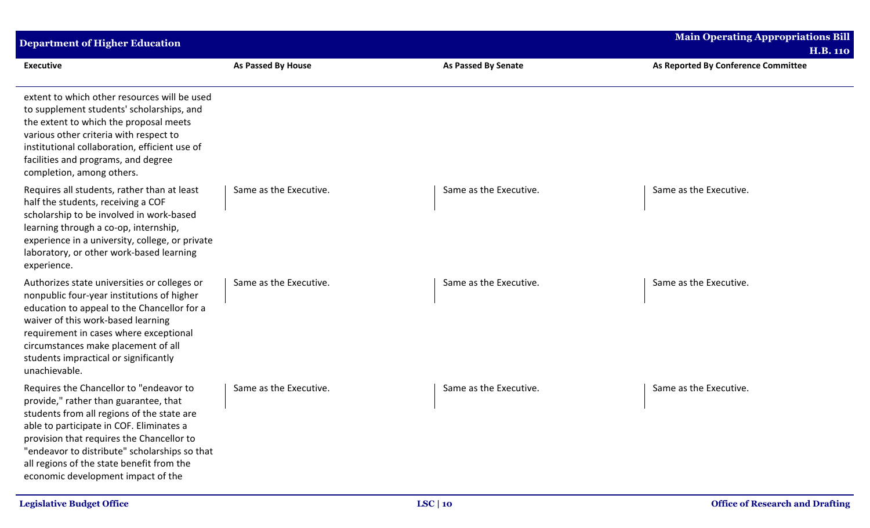| <b>Department of Higher Education</b>                                                                                                                                                                                                                                                                                                                       |                        |                            | <b>Main Operating Appropriations Bill</b><br><b>H.B. 110</b> |
|-------------------------------------------------------------------------------------------------------------------------------------------------------------------------------------------------------------------------------------------------------------------------------------------------------------------------------------------------------------|------------------------|----------------------------|--------------------------------------------------------------|
| <b>Executive</b>                                                                                                                                                                                                                                                                                                                                            | As Passed By House     | <b>As Passed By Senate</b> | As Reported By Conference Committee                          |
| extent to which other resources will be used<br>to supplement students' scholarships, and<br>the extent to which the proposal meets<br>various other criteria with respect to<br>institutional collaboration, efficient use of<br>facilities and programs, and degree<br>completion, among others.                                                          |                        |                            |                                                              |
| Requires all students, rather than at least<br>half the students, receiving a COF<br>scholarship to be involved in work-based<br>learning through a co-op, internship,<br>experience in a university, college, or private<br>laboratory, or other work-based learning<br>experience.                                                                        | Same as the Executive. | Same as the Executive.     | Same as the Executive.                                       |
| Authorizes state universities or colleges or<br>nonpublic four-year institutions of higher<br>education to appeal to the Chancellor for a<br>waiver of this work-based learning<br>requirement in cases where exceptional<br>circumstances make placement of all<br>students impractical or significantly<br>unachievable.                                  | Same as the Executive. | Same as the Executive.     | Same as the Executive.                                       |
| Requires the Chancellor to "endeavor to<br>provide," rather than guarantee, that<br>students from all regions of the state are<br>able to participate in COF. Eliminates a<br>provision that requires the Chancellor to<br>"endeavor to distribute" scholarships so that<br>all regions of the state benefit from the<br>economic development impact of the | Same as the Executive. | Same as the Executive.     | Same as the Executive.                                       |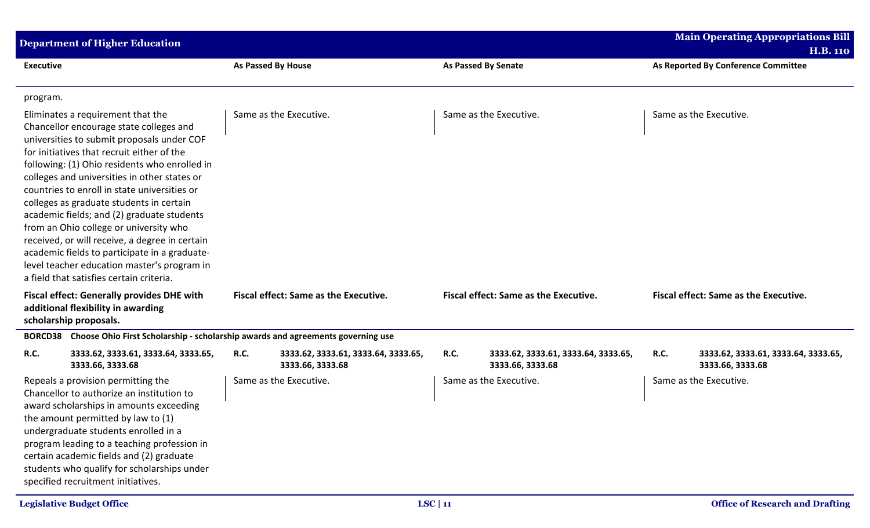|                                                                                                                   | <b>Department of Higher Education</b>                                                                                                                                                                                                                                                                                                                                                                                                                                                                                                                                                                                                                       |                                       |                                                         |                                              |                                                         |                                              | <b>Main Operating Appropriations Bill</b><br><b>H.B. 110</b> |  |
|-------------------------------------------------------------------------------------------------------------------|-------------------------------------------------------------------------------------------------------------------------------------------------------------------------------------------------------------------------------------------------------------------------------------------------------------------------------------------------------------------------------------------------------------------------------------------------------------------------------------------------------------------------------------------------------------------------------------------------------------------------------------------------------------|---------------------------------------|---------------------------------------------------------|----------------------------------------------|---------------------------------------------------------|----------------------------------------------|--------------------------------------------------------------|--|
| <b>Executive</b>                                                                                                  |                                                                                                                                                                                                                                                                                                                                                                                                                                                                                                                                                                                                                                                             |                                       | <b>As Passed By House</b>                               |                                              | <b>As Passed By Senate</b>                              |                                              | As Reported By Conference Committee                          |  |
| program.                                                                                                          |                                                                                                                                                                                                                                                                                                                                                                                                                                                                                                                                                                                                                                                             |                                       |                                                         |                                              |                                                         |                                              |                                                              |  |
|                                                                                                                   | Eliminates a requirement that the<br>Chancellor encourage state colleges and<br>universities to submit proposals under COF<br>for initiatives that recruit either of the<br>following: (1) Ohio residents who enrolled in<br>colleges and universities in other states or<br>countries to enroll in state universities or<br>colleges as graduate students in certain<br>academic fields; and (2) graduate students<br>from an Ohio college or university who<br>received, or will receive, a degree in certain<br>academic fields to participate in a graduate-<br>level teacher education master's program in<br>a field that satisfies certain criteria. | Same as the Executive.                |                                                         |                                              | Same as the Executive.                                  | Same as the Executive.                       |                                                              |  |
| <b>Fiscal effect: Generally provides DHE with</b><br>additional flexibility in awarding<br>scholarship proposals. |                                                                                                                                                                                                                                                                                                                                                                                                                                                                                                                                                                                                                                                             | Fiscal effect: Same as the Executive. |                                                         | <b>Fiscal effect: Same as the Executive.</b> |                                                         | <b>Fiscal effect: Same as the Executive.</b> |                                                              |  |
| <b>BORCD38</b>                                                                                                    | Choose Ohio First Scholarship - scholarship awards and agreements governing use                                                                                                                                                                                                                                                                                                                                                                                                                                                                                                                                                                             |                                       |                                                         |                                              |                                                         |                                              |                                                              |  |
| R.C.                                                                                                              | 3333.62, 3333.61, 3333.64, 3333.65,<br>3333.66, 3333.68                                                                                                                                                                                                                                                                                                                                                                                                                                                                                                                                                                                                     | <b>R.C.</b>                           | 3333.62, 3333.61, 3333.64, 3333.65,<br>3333.66, 3333.68 | R.C.                                         | 3333.62, 3333.61, 3333.64, 3333.65,<br>3333.66, 3333.68 | R.C.                                         | 3333.62, 3333.61, 3333.64, 3333.65,<br>3333.66, 3333.68      |  |
|                                                                                                                   | Repeals a provision permitting the<br>Chancellor to authorize an institution to<br>award scholarships in amounts exceeding<br>the amount permitted by law to (1)<br>undergraduate students enrolled in a<br>program leading to a teaching profession in<br>certain academic fields and (2) graduate<br>students who qualify for scholarships under<br>specified recruitment initiatives.                                                                                                                                                                                                                                                                    |                                       | Same as the Executive.                                  |                                              | Same as the Executive.                                  |                                              | Same as the Executive.                                       |  |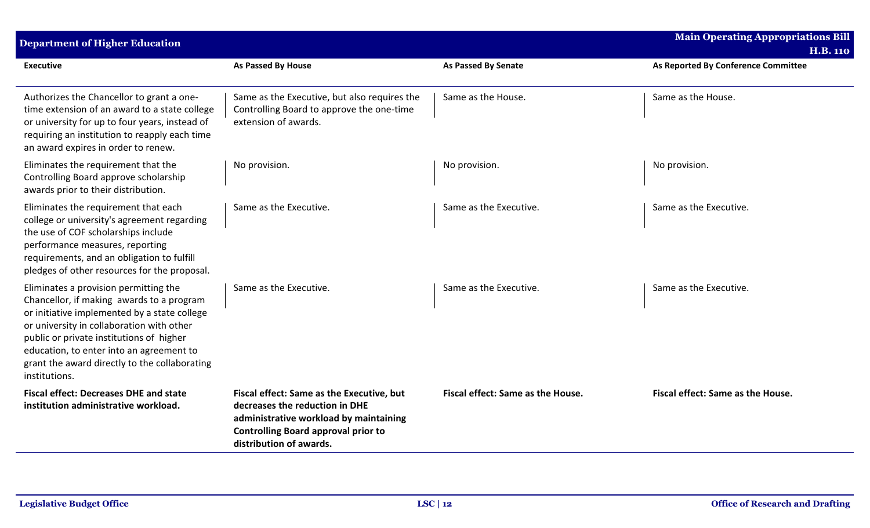| <b>Department of Higher Education</b>                                                                                                                                                                                                                                                                                                     |                                                                                                                                                                                                |                                   | <b>Main Operating Appropriations Bill</b><br><b>H.B. 110</b> |
|-------------------------------------------------------------------------------------------------------------------------------------------------------------------------------------------------------------------------------------------------------------------------------------------------------------------------------------------|------------------------------------------------------------------------------------------------------------------------------------------------------------------------------------------------|-----------------------------------|--------------------------------------------------------------|
| <b>Executive</b>                                                                                                                                                                                                                                                                                                                          | <b>As Passed By House</b>                                                                                                                                                                      | <b>As Passed By Senate</b>        | As Reported By Conference Committee                          |
| Authorizes the Chancellor to grant a one-<br>time extension of an award to a state college<br>or university for up to four years, instead of<br>requiring an institution to reapply each time<br>an award expires in order to renew.                                                                                                      | Same as the Executive, but also requires the<br>Controlling Board to approve the one-time<br>extension of awards.                                                                              | Same as the House.                | Same as the House.                                           |
| Eliminates the requirement that the<br>Controlling Board approve scholarship<br>awards prior to their distribution.                                                                                                                                                                                                                       | No provision.                                                                                                                                                                                  | No provision.                     | No provision.                                                |
| Eliminates the requirement that each<br>college or university's agreement regarding<br>the use of COF scholarships include<br>performance measures, reporting<br>requirements, and an obligation to fulfill<br>pledges of other resources for the proposal.                                                                               | Same as the Executive.                                                                                                                                                                         | Same as the Executive.            | Same as the Executive.                                       |
| Eliminates a provision permitting the<br>Chancellor, if making awards to a program<br>or initiative implemented by a state college<br>or university in collaboration with other<br>public or private institutions of higher<br>education, to enter into an agreement to<br>grant the award directly to the collaborating<br>institutions. | Same as the Executive.                                                                                                                                                                         | Same as the Executive.            | Same as the Executive.                                       |
| <b>Fiscal effect: Decreases DHE and state</b><br>institution administrative workload.                                                                                                                                                                                                                                                     | Fiscal effect: Same as the Executive, but<br>decreases the reduction in DHE<br>administrative workload by maintaining<br><b>Controlling Board approval prior to</b><br>distribution of awards. | Fiscal effect: Same as the House. | Fiscal effect: Same as the House.                            |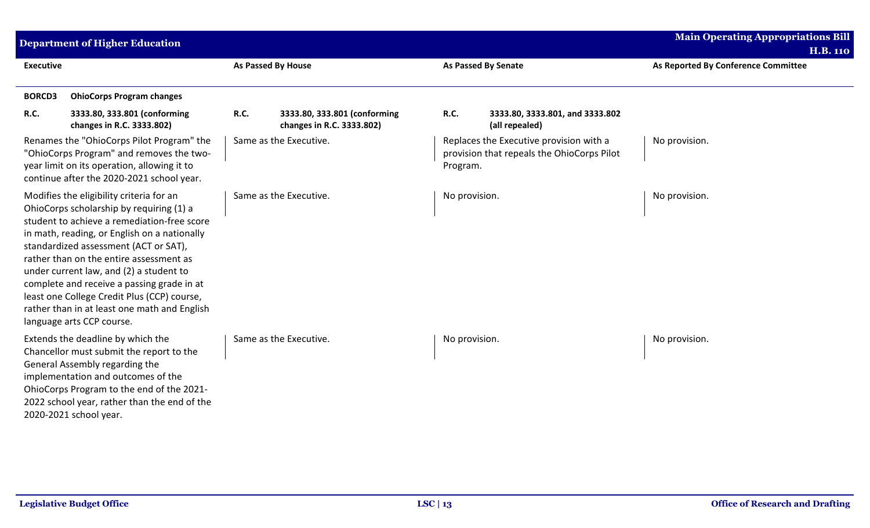| <b>Department of Higher Education</b>                                                                                                                                                                                                                                                                                                                                                                                                                                                        |                                                                   |                                                                                                   | <b>Main Operating Appropriations Bill</b><br><b>H.B. 110</b> |
|----------------------------------------------------------------------------------------------------------------------------------------------------------------------------------------------------------------------------------------------------------------------------------------------------------------------------------------------------------------------------------------------------------------------------------------------------------------------------------------------|-------------------------------------------------------------------|---------------------------------------------------------------------------------------------------|--------------------------------------------------------------|
| <b>Executive</b>                                                                                                                                                                                                                                                                                                                                                                                                                                                                             | <b>As Passed By House</b>                                         | <b>As Passed By Senate</b>                                                                        | As Reported By Conference Committee                          |
| <b>BORCD3</b><br><b>OhioCorps Program changes</b>                                                                                                                                                                                                                                                                                                                                                                                                                                            |                                                                   |                                                                                                   |                                                              |
| R.C.<br>3333.80, 333.801 (conforming<br>changes in R.C. 3333.802)                                                                                                                                                                                                                                                                                                                                                                                                                            | 3333.80, 333.801 (conforming<br>R.C.<br>changes in R.C. 3333.802) | R.C.<br>3333.80, 3333.801, and 3333.802<br>(all repealed)                                         |                                                              |
| Renames the "OhioCorps Pilot Program" the<br>"OhioCorps Program" and removes the two-<br>year limit on its operation, allowing it to<br>continue after the 2020-2021 school year.                                                                                                                                                                                                                                                                                                            | Same as the Executive.                                            | Replaces the Executive provision with a<br>provision that repeals the OhioCorps Pilot<br>Program. | No provision.                                                |
| Modifies the eligibility criteria for an<br>OhioCorps scholarship by requiring (1) a<br>student to achieve a remediation-free score<br>in math, reading, or English on a nationally<br>standardized assessment (ACT or SAT),<br>rather than on the entire assessment as<br>under current law, and (2) a student to<br>complete and receive a passing grade in at<br>least one College Credit Plus (CCP) course,<br>rather than in at least one math and English<br>language arts CCP course. | Same as the Executive.                                            | No provision.                                                                                     | No provision.                                                |
| Extends the deadline by which the<br>Chancellor must submit the report to the<br>General Assembly regarding the<br>implementation and outcomes of the<br>OhioCorps Program to the end of the 2021-<br>2022 school year, rather than the end of the<br>2020-2021 school year.                                                                                                                                                                                                                 | Same as the Executive.                                            | No provision.                                                                                     | No provision.                                                |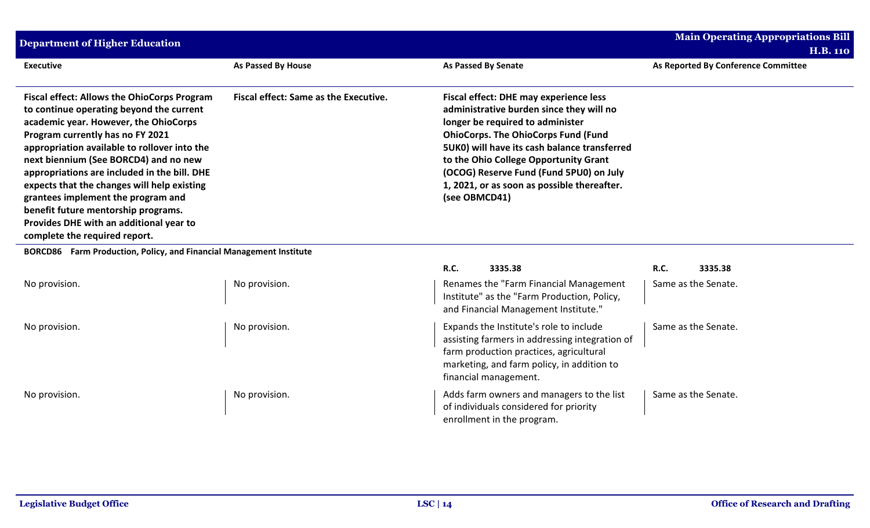| <b>Department of Higher Education</b>                                                                                                                                                                                                                                                                                                                                                                                                                                                                                        |                                       |                                                                                                                                                                                                                                                                                                                                                                                 | <b>Main Operating Appropriations Bill</b>              |
|------------------------------------------------------------------------------------------------------------------------------------------------------------------------------------------------------------------------------------------------------------------------------------------------------------------------------------------------------------------------------------------------------------------------------------------------------------------------------------------------------------------------------|---------------------------------------|---------------------------------------------------------------------------------------------------------------------------------------------------------------------------------------------------------------------------------------------------------------------------------------------------------------------------------------------------------------------------------|--------------------------------------------------------|
| <b>Executive</b>                                                                                                                                                                                                                                                                                                                                                                                                                                                                                                             | As Passed By House                    | <b>As Passed By Senate</b>                                                                                                                                                                                                                                                                                                                                                      | <b>H.B. 110</b><br>As Reported By Conference Committee |
| <b>Fiscal effect: Allows the OhioCorps Program</b><br>to continue operating beyond the current<br>academic year. However, the OhioCorps<br>Program currently has no FY 2021<br>appropriation available to rollover into the<br>next biennium (See BORCD4) and no new<br>appropriations are included in the bill. DHE<br>expects that the changes will help existing<br>grantees implement the program and<br>benefit future mentorship programs.<br>Provides DHE with an additional year to<br>complete the required report. | Fiscal effect: Same as the Executive. | <b>Fiscal effect: DHE may experience less</b><br>administrative burden since they will no<br>longer be required to administer<br><b>OhioCorps. The OhioCorps Fund (Fund</b><br>5UK0) will have its cash balance transferred<br>to the Ohio College Opportunity Grant<br>(OCOG) Reserve Fund (Fund 5PU0) on July<br>1, 2021, or as soon as possible thereafter.<br>(see OBMCD41) |                                                        |
| BORCD86 Farm Production, Policy, and Financial Management Institute                                                                                                                                                                                                                                                                                                                                                                                                                                                          |                                       |                                                                                                                                                                                                                                                                                                                                                                                 |                                                        |
|                                                                                                                                                                                                                                                                                                                                                                                                                                                                                                                              |                                       | <b>R.C.</b><br>3335.38                                                                                                                                                                                                                                                                                                                                                          | <b>R.C.</b><br>3335.38                                 |
| No provision.                                                                                                                                                                                                                                                                                                                                                                                                                                                                                                                | No provision.                         | Renames the "Farm Financial Management<br>Institute" as the "Farm Production, Policy,<br>and Financial Management Institute."                                                                                                                                                                                                                                                   | Same as the Senate.                                    |
| No provision.                                                                                                                                                                                                                                                                                                                                                                                                                                                                                                                | No provision.                         | Expands the Institute's role to include<br>assisting farmers in addressing integration of<br>farm production practices, agricultural<br>marketing, and farm policy, in addition to<br>financial management.                                                                                                                                                                     | Same as the Senate.                                    |
| No provision.                                                                                                                                                                                                                                                                                                                                                                                                                                                                                                                | No provision.                         | Adds farm owners and managers to the list<br>of individuals considered for priority<br>enrollment in the program.                                                                                                                                                                                                                                                               | Same as the Senate.                                    |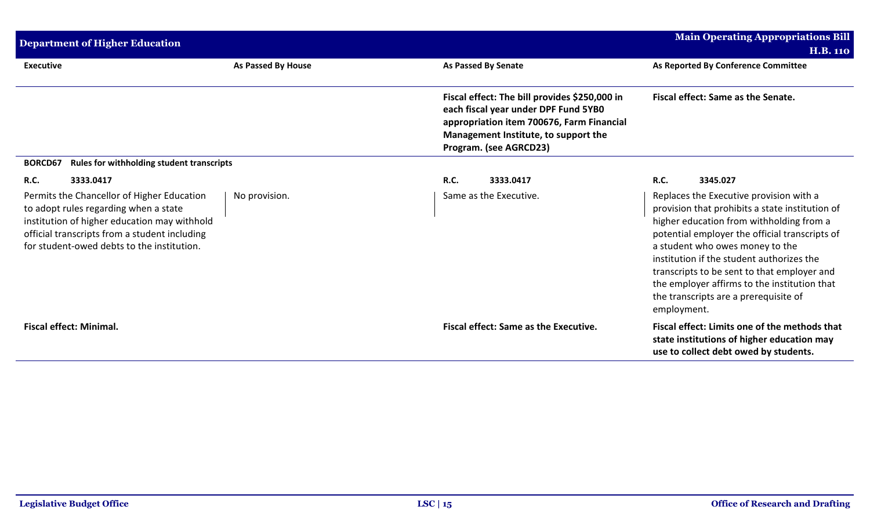| <b>Department of Higher Education</b>                                                                                                                                                                                              |                           | <b>Main Operating Appropriations Bill</b>                                                                                                                                                            |                                                                                                                                                                                                                                                                                                                                                                                                                                 |
|------------------------------------------------------------------------------------------------------------------------------------------------------------------------------------------------------------------------------------|---------------------------|------------------------------------------------------------------------------------------------------------------------------------------------------------------------------------------------------|---------------------------------------------------------------------------------------------------------------------------------------------------------------------------------------------------------------------------------------------------------------------------------------------------------------------------------------------------------------------------------------------------------------------------------|
|                                                                                                                                                                                                                                    |                           |                                                                                                                                                                                                      | <b>H.B. 110</b>                                                                                                                                                                                                                                                                                                                                                                                                                 |
| <b>Executive</b>                                                                                                                                                                                                                   | <b>As Passed By House</b> | As Passed By Senate                                                                                                                                                                                  | As Reported By Conference Committee                                                                                                                                                                                                                                                                                                                                                                                             |
|                                                                                                                                                                                                                                    |                           | Fiscal effect: The bill provides \$250,000 in<br>each fiscal year under DPF Fund 5YB0<br>appropriation item 700676, Farm Financial<br>Management Institute, to support the<br>Program. (see AGRCD23) | Fiscal effect: Same as the Senate.                                                                                                                                                                                                                                                                                                                                                                                              |
| Rules for withholding student transcripts<br><b>BORCD67</b>                                                                                                                                                                        |                           |                                                                                                                                                                                                      |                                                                                                                                                                                                                                                                                                                                                                                                                                 |
| 3333.0417<br><b>R.C.</b>                                                                                                                                                                                                           |                           | R.C.<br>3333.0417                                                                                                                                                                                    | <b>R.C.</b><br>3345.027                                                                                                                                                                                                                                                                                                                                                                                                         |
| Permits the Chancellor of Higher Education<br>to adopt rules regarding when a state<br>institution of higher education may withhold<br>official transcripts from a student including<br>for student-owed debts to the institution. | No provision.             | Same as the Executive.                                                                                                                                                                               | Replaces the Executive provision with a<br>provision that prohibits a state institution of<br>higher education from withholding from a<br>potential employer the official transcripts of<br>a student who owes money to the<br>institution if the student authorizes the<br>transcripts to be sent to that employer and<br>the employer affirms to the institution that<br>the transcripts are a prerequisite of<br>employment. |
| <b>Fiscal effect: Minimal.</b>                                                                                                                                                                                                     |                           | <b>Fiscal effect: Same as the Executive.</b>                                                                                                                                                         | Fiscal effect: Limits one of the methods that<br>state institutions of higher education may<br>use to collect debt owed by students.                                                                                                                                                                                                                                                                                            |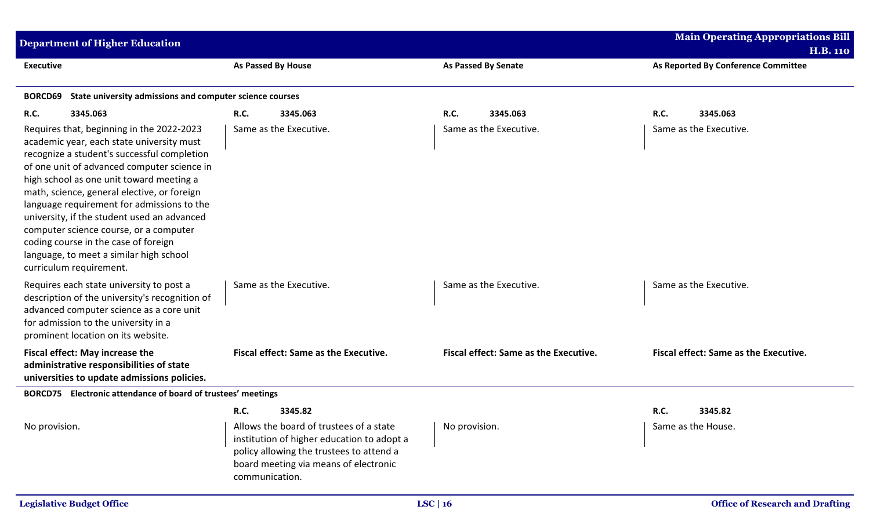| <b>Department of Higher Education</b>                                                                                                                                                                                                                                                                                                                                                                                                                                                                                                |                                                                                                                                                                                              |                                              | <b>Main Operating Appropriations Bill</b> |
|--------------------------------------------------------------------------------------------------------------------------------------------------------------------------------------------------------------------------------------------------------------------------------------------------------------------------------------------------------------------------------------------------------------------------------------------------------------------------------------------------------------------------------------|----------------------------------------------------------------------------------------------------------------------------------------------------------------------------------------------|----------------------------------------------|-------------------------------------------|
|                                                                                                                                                                                                                                                                                                                                                                                                                                                                                                                                      |                                                                                                                                                                                              |                                              | <b>H.B. 110</b>                           |
| <b>Executive</b>                                                                                                                                                                                                                                                                                                                                                                                                                                                                                                                     | As Passed By House                                                                                                                                                                           | <b>As Passed By Senate</b>                   | As Reported By Conference Committee       |
| BORCD69<br>State university admissions and computer science courses                                                                                                                                                                                                                                                                                                                                                                                                                                                                  |                                                                                                                                                                                              |                                              |                                           |
| <b>R.C.</b><br>3345.063                                                                                                                                                                                                                                                                                                                                                                                                                                                                                                              | <b>R.C.</b><br>3345.063                                                                                                                                                                      | <b>R.C.</b><br>3345.063                      | 3345.063<br><b>R.C.</b>                   |
| Requires that, beginning in the 2022-2023<br>academic year, each state university must<br>recognize a student's successful completion<br>of one unit of advanced computer science in<br>high school as one unit toward meeting a<br>math, science, general elective, or foreign<br>language requirement for admissions to the<br>university, if the student used an advanced<br>computer science course, or a computer<br>coding course in the case of foreign<br>language, to meet a similar high school<br>curriculum requirement. | Same as the Executive.                                                                                                                                                                       | Same as the Executive.                       | Same as the Executive.                    |
| Requires each state university to post a<br>description of the university's recognition of<br>advanced computer science as a core unit<br>for admission to the university in a<br>prominent location on its website.                                                                                                                                                                                                                                                                                                                 | Same as the Executive.                                                                                                                                                                       | Same as the Executive.                       | Same as the Executive.                    |
| Fiscal effect: May increase the<br>administrative responsibilities of state<br>universities to update admissions policies.                                                                                                                                                                                                                                                                                                                                                                                                           | Fiscal effect: Same as the Executive.                                                                                                                                                        | <b>Fiscal effect: Same as the Executive.</b> | Fiscal effect: Same as the Executive.     |
| BORCD75 Electronic attendance of board of trustees' meetings                                                                                                                                                                                                                                                                                                                                                                                                                                                                         |                                                                                                                                                                                              |                                              |                                           |
|                                                                                                                                                                                                                                                                                                                                                                                                                                                                                                                                      | <b>R.C.</b><br>3345.82                                                                                                                                                                       |                                              | R.C.<br>3345.82                           |
| No provision.                                                                                                                                                                                                                                                                                                                                                                                                                                                                                                                        | Allows the board of trustees of a state<br>institution of higher education to adopt a<br>policy allowing the trustees to attend a<br>board meeting via means of electronic<br>communication. | No provision.                                | Same as the House.                        |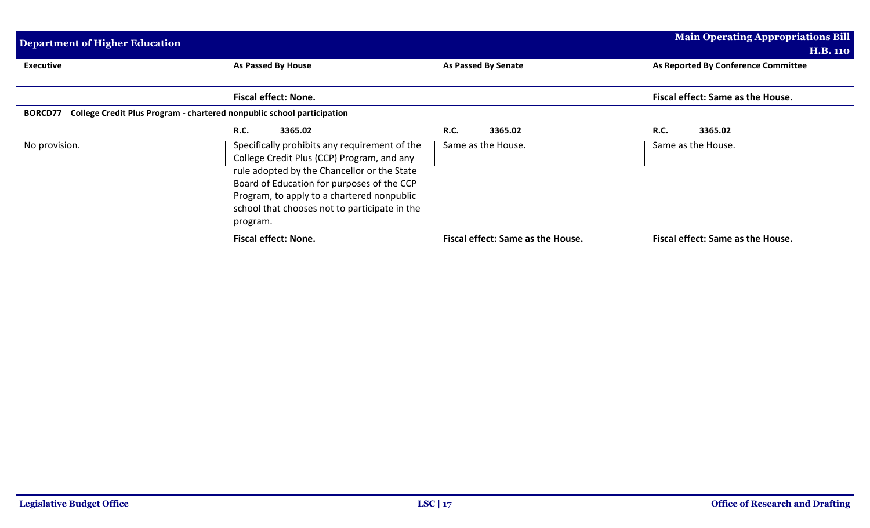| <b>Main Operating Appropriations Bill</b><br>Department of Higher Education<br><b>H.B. 110</b> |                                                                                                                                                                                                                                                                                                     |                                   |                                     |  |
|------------------------------------------------------------------------------------------------|-----------------------------------------------------------------------------------------------------------------------------------------------------------------------------------------------------------------------------------------------------------------------------------------------------|-----------------------------------|-------------------------------------|--|
| <b>Executive</b>                                                                               | As Passed By House                                                                                                                                                                                                                                                                                  | As Passed By Senate               | As Reported By Conference Committee |  |
|                                                                                                | <b>Fiscal effect: None.</b>                                                                                                                                                                                                                                                                         |                                   | Fiscal effect: Same as the House.   |  |
| <b>BORCD77</b>                                                                                 | College Credit Plus Program - chartered nonpublic school participation                                                                                                                                                                                                                              |                                   |                                     |  |
|                                                                                                | <b>R.C.</b><br>3365.02                                                                                                                                                                                                                                                                              | <b>R.C.</b><br>3365.02            | 3365.02<br><b>R.C.</b>              |  |
| No provision.                                                                                  | Specifically prohibits any requirement of the<br>College Credit Plus (CCP) Program, and any<br>rule adopted by the Chancellor or the State<br>Board of Education for purposes of the CCP<br>Program, to apply to a chartered nonpublic<br>school that chooses not to participate in the<br>program. | Same as the House.                | Same as the House.                  |  |
|                                                                                                | <b>Fiscal effect: None.</b>                                                                                                                                                                                                                                                                         | Fiscal effect: Same as the House. | Fiscal effect: Same as the House.   |  |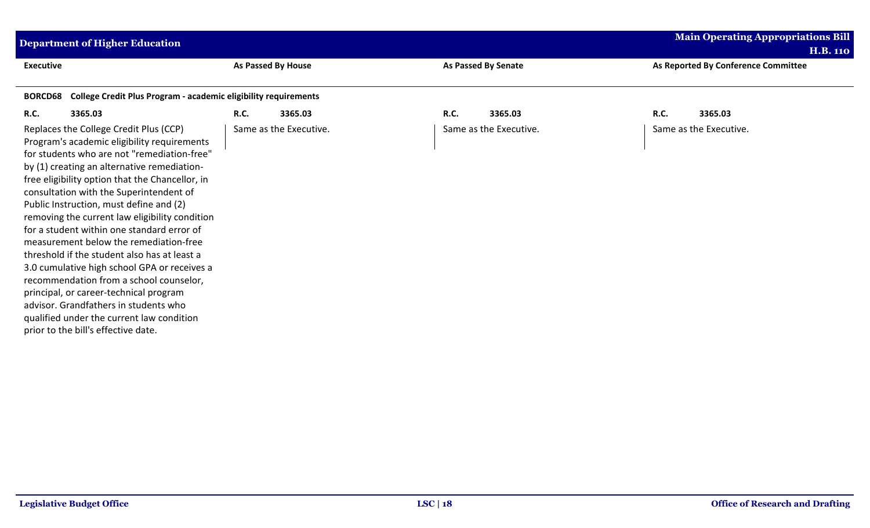| Department of Higher Education                                                                                                                                                                                                                                                                                                                                                                                                                                                                                                                                                                                                                                                                                                                                                           |                        |                            | <b>Main Operating Appropriations Bill</b>              |
|------------------------------------------------------------------------------------------------------------------------------------------------------------------------------------------------------------------------------------------------------------------------------------------------------------------------------------------------------------------------------------------------------------------------------------------------------------------------------------------------------------------------------------------------------------------------------------------------------------------------------------------------------------------------------------------------------------------------------------------------------------------------------------------|------------------------|----------------------------|--------------------------------------------------------|
| <b>Executive</b>                                                                                                                                                                                                                                                                                                                                                                                                                                                                                                                                                                                                                                                                                                                                                                         | As Passed By House     | <b>As Passed By Senate</b> | <b>H.B. 110</b><br>As Reported By Conference Committee |
| College Credit Plus Program - academic eligibility requirements<br><b>BORCD68</b>                                                                                                                                                                                                                                                                                                                                                                                                                                                                                                                                                                                                                                                                                                        |                        |                            |                                                        |
| R.C.<br>3365.03                                                                                                                                                                                                                                                                                                                                                                                                                                                                                                                                                                                                                                                                                                                                                                          | <b>R.C.</b><br>3365.03 | R.C.<br>3365.03            | R.C.<br>3365.03                                        |
| Replaces the College Credit Plus (CCP)<br>Program's academic eligibility requirements<br>for students who are not "remediation-free"<br>by (1) creating an alternative remediation-<br>free eligibility option that the Chancellor, in<br>consultation with the Superintendent of<br>Public Instruction, must define and (2)<br>removing the current law eligibility condition<br>for a student within one standard error of<br>measurement below the remediation-free<br>threshold if the student also has at least a<br>3.0 cumulative high school GPA or receives a<br>recommendation from a school counselor,<br>principal, or career-technical program<br>advisor. Grandfathers in students who<br>qualified under the current law condition<br>prior to the bill's effective date. | Same as the Executive. | Same as the Executive.     | Same as the Executive.                                 |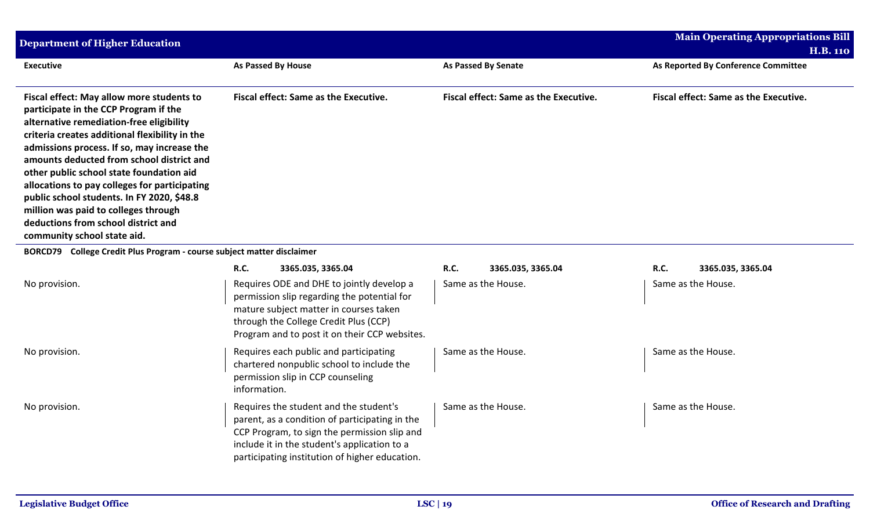| <b>Department of Higher Education</b>                                                                                                                                                                                                                                                                                                                                                                                                                                                                                                 |                                                                                                                                                                                                                                            |                                       | <b>Main Operating Appropriations Bill</b>    |
|---------------------------------------------------------------------------------------------------------------------------------------------------------------------------------------------------------------------------------------------------------------------------------------------------------------------------------------------------------------------------------------------------------------------------------------------------------------------------------------------------------------------------------------|--------------------------------------------------------------------------------------------------------------------------------------------------------------------------------------------------------------------------------------------|---------------------------------------|----------------------------------------------|
|                                                                                                                                                                                                                                                                                                                                                                                                                                                                                                                                       |                                                                                                                                                                                                                                            |                                       | <b>H.B. 110</b>                              |
| <b>Executive</b>                                                                                                                                                                                                                                                                                                                                                                                                                                                                                                                      | As Passed By House                                                                                                                                                                                                                         | <b>As Passed By Senate</b>            | As Reported By Conference Committee          |
| Fiscal effect: May allow more students to<br>participate in the CCP Program if the<br>alternative remediation-free eligibility<br>criteria creates additional flexibility in the<br>admissions process. If so, may increase the<br>amounts deducted from school district and<br>other public school state foundation aid<br>allocations to pay colleges for participating<br>public school students. In FY 2020, \$48.8<br>million was paid to colleges through<br>deductions from school district and<br>community school state aid. | <b>Fiscal effect: Same as the Executive.</b>                                                                                                                                                                                               | Fiscal effect: Same as the Executive. | <b>Fiscal effect: Same as the Executive.</b> |
| BORCD79 College Credit Plus Program - course subject matter disclaimer                                                                                                                                                                                                                                                                                                                                                                                                                                                                |                                                                                                                                                                                                                                            |                                       |                                              |
|                                                                                                                                                                                                                                                                                                                                                                                                                                                                                                                                       | <b>R.C.</b><br>3365.035, 3365.04                                                                                                                                                                                                           | <b>R.C.</b><br>3365.035, 3365.04      | R.C.<br>3365.035, 3365.04                    |
| No provision.                                                                                                                                                                                                                                                                                                                                                                                                                                                                                                                         | Requires ODE and DHE to jointly develop a<br>permission slip regarding the potential for<br>mature subject matter in courses taken<br>through the College Credit Plus (CCP)<br>Program and to post it on their CCP websites.               | Same as the House.                    | Same as the House.                           |
| No provision.                                                                                                                                                                                                                                                                                                                                                                                                                                                                                                                         | Requires each public and participating<br>chartered nonpublic school to include the<br>permission slip in CCP counseling<br>information.                                                                                                   | Same as the House.                    | Same as the House.                           |
| No provision.                                                                                                                                                                                                                                                                                                                                                                                                                                                                                                                         | Requires the student and the student's<br>parent, as a condition of participating in the<br>CCP Program, to sign the permission slip and<br>include it in the student's application to a<br>participating institution of higher education. | Same as the House.                    | Same as the House.                           |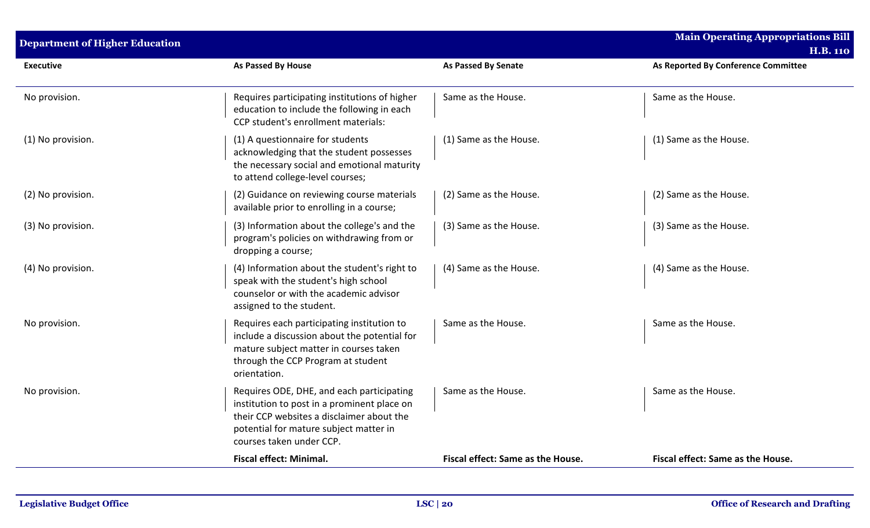| <b>Department of Higher Education</b> |                                                                                                                                                                                                             |                                   | <b>Main Operating Appropriations Bill</b><br><b>H.B. 110</b> |
|---------------------------------------|-------------------------------------------------------------------------------------------------------------------------------------------------------------------------------------------------------------|-----------------------------------|--------------------------------------------------------------|
| <b>Executive</b>                      | <b>As Passed By House</b>                                                                                                                                                                                   | <b>As Passed By Senate</b>        | As Reported By Conference Committee                          |
| No provision.                         | Requires participating institutions of higher<br>education to include the following in each<br>CCP student's enrollment materials:                                                                          | Same as the House.                | Same as the House.                                           |
| (1) No provision.                     | (1) A questionnaire for students<br>acknowledging that the student possesses<br>the necessary social and emotional maturity<br>to attend college-level courses;                                             | (1) Same as the House.            | (1) Same as the House.                                       |
| (2) No provision.                     | (2) Guidance on reviewing course materials<br>available prior to enrolling in a course;                                                                                                                     | (2) Same as the House.            | (2) Same as the House.                                       |
| (3) No provision.                     | (3) Information about the college's and the<br>program's policies on withdrawing from or<br>dropping a course;                                                                                              | (3) Same as the House.            | (3) Same as the House.                                       |
| (4) No provision.                     | (4) Information about the student's right to<br>speak with the student's high school<br>counselor or with the academic advisor<br>assigned to the student.                                                  | (4) Same as the House.            | (4) Same as the House.                                       |
| No provision.                         | Requires each participating institution to<br>include a discussion about the potential for<br>mature subject matter in courses taken<br>through the CCP Program at student<br>orientation.                  | Same as the House.                | Same as the House.                                           |
| No provision.                         | Requires ODE, DHE, and each participating<br>institution to post in a prominent place on<br>their CCP websites a disclaimer about the<br>potential for mature subject matter in<br>courses taken under CCP. | Same as the House.                | Same as the House.                                           |
|                                       | <b>Fiscal effect: Minimal.</b>                                                                                                                                                                              | Fiscal effect: Same as the House. | Fiscal effect: Same as the House.                            |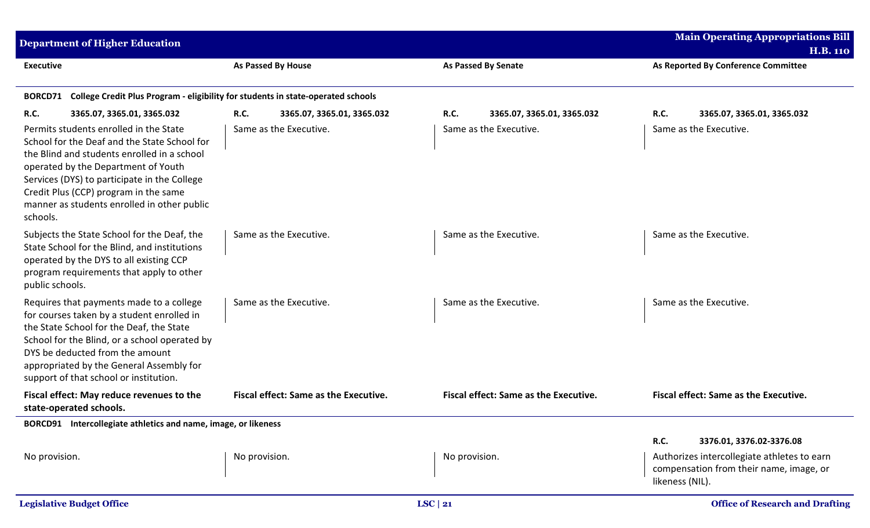|                  | <b>Department of Higher Education</b>                                                                                                                                                                                                                                                                                |                                                                                  |                                           | <b>Main Operating Appropriations Bill</b><br><b>H.B. 110</b>                                                                                  |
|------------------|----------------------------------------------------------------------------------------------------------------------------------------------------------------------------------------------------------------------------------------------------------------------------------------------------------------------|----------------------------------------------------------------------------------|-------------------------------------------|-----------------------------------------------------------------------------------------------------------------------------------------------|
| <b>Executive</b> |                                                                                                                                                                                                                                                                                                                      | <b>As Passed By House</b>                                                        | <b>As Passed By Senate</b>                | As Reported By Conference Committee                                                                                                           |
| <b>BORCD71</b>   |                                                                                                                                                                                                                                                                                                                      | College Credit Plus Program - eligibility for students in state-operated schools |                                           |                                                                                                                                               |
| <b>R.C.</b>      | 3365.07, 3365.01, 3365.032                                                                                                                                                                                                                                                                                           | <b>R.C.</b><br>3365.07, 3365.01, 3365.032                                        | <b>R.C.</b><br>3365.07, 3365.01, 3365.032 | R.C.<br>3365.07, 3365.01, 3365.032                                                                                                            |
| schools.         | Permits students enrolled in the State<br>School for the Deaf and the State School for<br>the Blind and students enrolled in a school<br>operated by the Department of Youth<br>Services (DYS) to participate in the College<br>Credit Plus (CCP) program in the same<br>manner as students enrolled in other public | Same as the Executive.                                                           | Same as the Executive.                    | Same as the Executive.                                                                                                                        |
| public schools.  | Subjects the State School for the Deaf, the<br>State School for the Blind, and institutions<br>operated by the DYS to all existing CCP<br>program requirements that apply to other                                                                                                                                   | Same as the Executive.                                                           | Same as the Executive.                    | Same as the Executive.                                                                                                                        |
|                  | Requires that payments made to a college<br>for courses taken by a student enrolled in<br>the State School for the Deaf, the State<br>School for the Blind, or a school operated by<br>DYS be deducted from the amount<br>appropriated by the General Assembly for<br>support of that school or institution.         | Same as the Executive.                                                           | Same as the Executive.                    | Same as the Executive.                                                                                                                        |
|                  | Fiscal effect: May reduce revenues to the<br>state-operated schools.                                                                                                                                                                                                                                                 | <b>Fiscal effect: Same as the Executive.</b>                                     | Fiscal effect: Same as the Executive.     | Fiscal effect: Same as the Executive.                                                                                                         |
|                  | BORCD91 Intercollegiate athletics and name, image, or likeness                                                                                                                                                                                                                                                       |                                                                                  |                                           |                                                                                                                                               |
| No provision.    |                                                                                                                                                                                                                                                                                                                      | No provision.                                                                    | No provision.                             | R.C.<br>3376.01, 3376.02-3376.08<br>Authorizes intercollegiate athletes to earn<br>compensation from their name, image, or<br>likeness (NIL). |
|                  | <b>Legislative Budget Office</b>                                                                                                                                                                                                                                                                                     |                                                                                  | LSC   21                                  | <b>Office of Research and Drafting</b>                                                                                                        |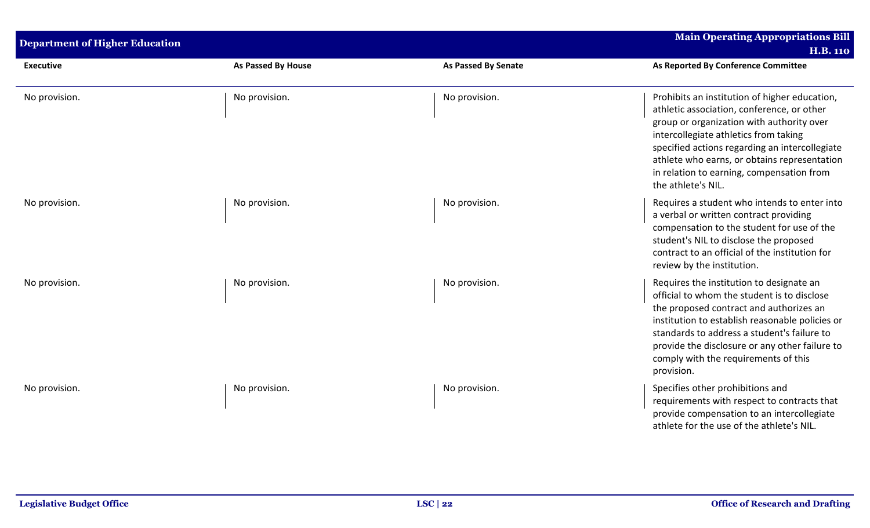| <b>Department of Higher Education</b> |                    |                            | <b>Main Operating Appropriations Bill</b><br><b>H.B. 110</b>                                                                                                                                                                                                                                                                                           |
|---------------------------------------|--------------------|----------------------------|--------------------------------------------------------------------------------------------------------------------------------------------------------------------------------------------------------------------------------------------------------------------------------------------------------------------------------------------------------|
| <b>Executive</b>                      | As Passed By House | <b>As Passed By Senate</b> | As Reported By Conference Committee                                                                                                                                                                                                                                                                                                                    |
| No provision.                         | No provision.      | No provision.              | Prohibits an institution of higher education,<br>athletic association, conference, or other<br>group or organization with authority over<br>intercollegiate athletics from taking<br>specified actions regarding an intercollegiate<br>athlete who earns, or obtains representation<br>in relation to earning, compensation from<br>the athlete's NIL. |
| No provision.                         | No provision.      | No provision.              | Requires a student who intends to enter into<br>a verbal or written contract providing<br>compensation to the student for use of the<br>student's NIL to disclose the proposed<br>contract to an official of the institution for<br>review by the institution.                                                                                         |
| No provision.                         | No provision.      | No provision.              | Requires the institution to designate an<br>official to whom the student is to disclose<br>the proposed contract and authorizes an<br>institution to establish reasonable policies or<br>standards to address a student's failure to<br>provide the disclosure or any other failure to<br>comply with the requirements of this<br>provision.           |
| No provision.                         | No provision.      | No provision.              | Specifies other prohibitions and<br>requirements with respect to contracts that<br>provide compensation to an intercollegiate<br>athlete for the use of the athlete's NIL.                                                                                                                                                                             |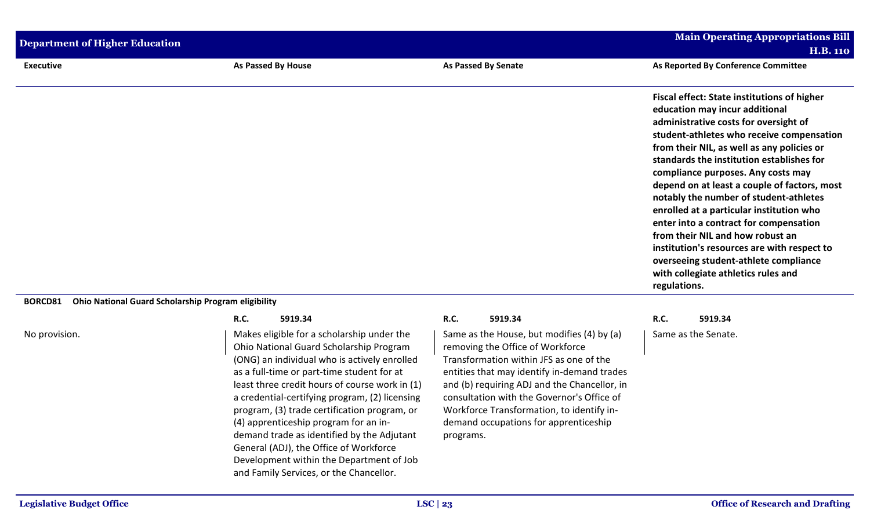| <b>Department of Higher Education</b> | <b>Main Operating Appropriations Bill</b>                                             |                                                                                |                                                                                                                                                                                                                                                                                                                                                                                                                                                                                                                                                                                                                                                                                |
|---------------------------------------|---------------------------------------------------------------------------------------|--------------------------------------------------------------------------------|--------------------------------------------------------------------------------------------------------------------------------------------------------------------------------------------------------------------------------------------------------------------------------------------------------------------------------------------------------------------------------------------------------------------------------------------------------------------------------------------------------------------------------------------------------------------------------------------------------------------------------------------------------------------------------|
|                                       |                                                                                       |                                                                                | <b>H.B. 110</b>                                                                                                                                                                                                                                                                                                                                                                                                                                                                                                                                                                                                                                                                |
| <b>Executive</b>                      | As Passed By House                                                                    | As Passed By Senate                                                            | As Reported By Conference Committee                                                                                                                                                                                                                                                                                                                                                                                                                                                                                                                                                                                                                                            |
|                                       |                                                                                       |                                                                                | <b>Fiscal effect: State institutions of higher</b><br>education may incur additional<br>administrative costs for oversight of<br>student-athletes who receive compensation<br>from their NIL, as well as any policies or<br>standards the institution establishes for<br>compliance purposes. Any costs may<br>depend on at least a couple of factors, most<br>notably the number of student-athletes<br>enrolled at a particular institution who<br>enter into a contract for compensation<br>from their NIL and how robust an<br>institution's resources are with respect to<br>overseeing student-athlete compliance<br>with collegiate athletics rules and<br>regulations. |
| <b>BORCD81</b>                        | <b>Ohio National Guard Scholarship Program eligibility</b>                            |                                                                                |                                                                                                                                                                                                                                                                                                                                                                                                                                                                                                                                                                                                                                                                                |
|                                       | R.C.<br>5919.34                                                                       | 5919.34<br><b>R.C.</b>                                                         | <b>R.C.</b><br>5919.34                                                                                                                                                                                                                                                                                                                                                                                                                                                                                                                                                                                                                                                         |
| No provision.                         | Makes eligible for a scholarship under the<br>Ohio National Guard Scholarship Program | Same as the House, but modifies (4) by (a)<br>removing the Office of Workforce | Same as the Senate.                                                                                                                                                                                                                                                                                                                                                                                                                                                                                                                                                                                                                                                            |

Ohio National Guard Scholarship Program (ONG) an individual who is actively enrolled as a full-time or part-time student for at least three credit hours of course work in (1) a credential-certifying program, (2) licensing program, (3) trade certification program, or (4) apprenticeship program for an indemand trade as identified by the Adjutant General (ADJ), the Office of Workforce Development within the Department of Job and Family Services, or the Chancellor.

removing the Office of Workforce Transformation within JFS as one of the entities that may identify in-demand trades and (b) requiring ADJ and the Chancellor, in consultation with the Governor's Office of Workforce Transformation, to identify indemand occupations for apprenticeship programs.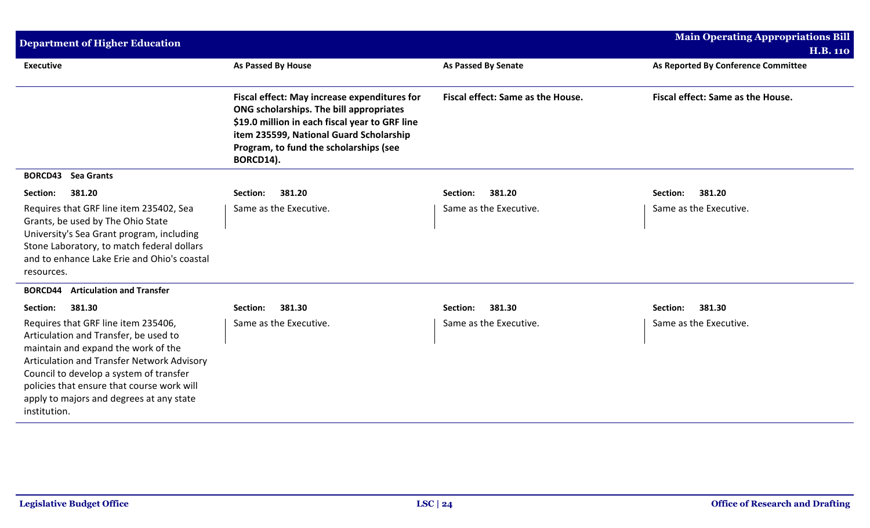| <b>Department of Higher Education</b>                                                                                                                                                                                                                                                                                  |                                                                                                                                                                                                                                             |                                   | <b>Main Operating Appropriations Bill</b><br><b>H.B. 110</b> |
|------------------------------------------------------------------------------------------------------------------------------------------------------------------------------------------------------------------------------------------------------------------------------------------------------------------------|---------------------------------------------------------------------------------------------------------------------------------------------------------------------------------------------------------------------------------------------|-----------------------------------|--------------------------------------------------------------|
| <b>Executive</b>                                                                                                                                                                                                                                                                                                       | <b>As Passed By House</b>                                                                                                                                                                                                                   | <b>As Passed By Senate</b>        | As Reported By Conference Committee                          |
|                                                                                                                                                                                                                                                                                                                        | Fiscal effect: May increase expenditures for<br>ONG scholarships. The bill appropriates<br>\$19.0 million in each fiscal year to GRF line<br>item 235599, National Guard Scholarship<br>Program, to fund the scholarships (see<br>BORCD14). | Fiscal effect: Same as the House. | Fiscal effect: Same as the House.                            |
| <b>BORCD43</b> Sea Grants                                                                                                                                                                                                                                                                                              |                                                                                                                                                                                                                                             |                                   |                                                              |
| 381.20<br>Section:                                                                                                                                                                                                                                                                                                     | 381.20<br>Section:                                                                                                                                                                                                                          | 381.20<br>Section:                | 381.20<br>Section:                                           |
| Requires that GRF line item 235402, Sea<br>Grants, be used by The Ohio State<br>University's Sea Grant program, including<br>Stone Laboratory, to match federal dollars<br>and to enhance Lake Erie and Ohio's coastal<br>resources.                                                                                   | Same as the Executive.                                                                                                                                                                                                                      | Same as the Executive.            | Same as the Executive.                                       |
| <b>Articulation and Transfer</b><br><b>BORCD44</b>                                                                                                                                                                                                                                                                     |                                                                                                                                                                                                                                             |                                   |                                                              |
| 381.30<br>Section:                                                                                                                                                                                                                                                                                                     | 381.30<br>Section:                                                                                                                                                                                                                          | 381.30<br>Section:                | 381.30<br>Section:                                           |
| Requires that GRF line item 235406,<br>Articulation and Transfer, be used to<br>maintain and expand the work of the<br>Articulation and Transfer Network Advisory<br>Council to develop a system of transfer<br>policies that ensure that course work will<br>apply to majors and degrees at any state<br>institution. | Same as the Executive.                                                                                                                                                                                                                      | Same as the Executive.            | Same as the Executive.                                       |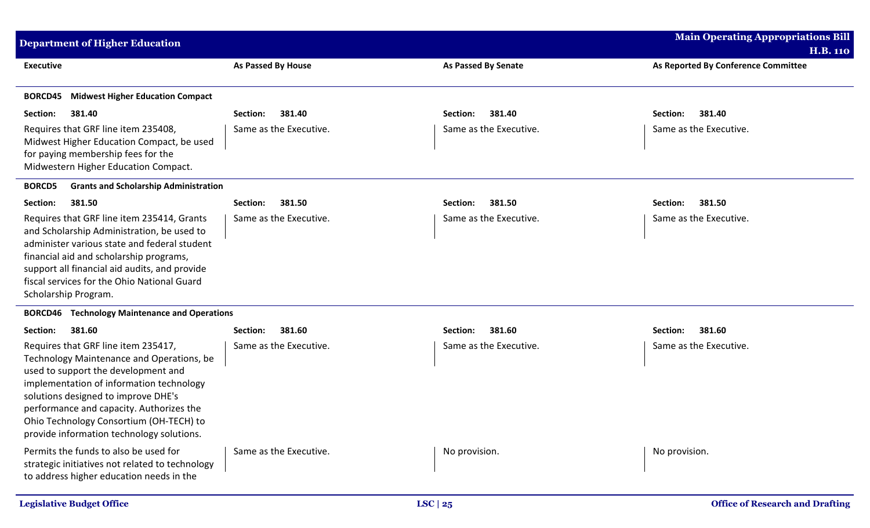| <b>Department of Higher Education</b>                                                                                                                                                                                                                                                                                                          |                           |                            | <b>Main Operating Appropriations Bill</b> |
|------------------------------------------------------------------------------------------------------------------------------------------------------------------------------------------------------------------------------------------------------------------------------------------------------------------------------------------------|---------------------------|----------------------------|-------------------------------------------|
|                                                                                                                                                                                                                                                                                                                                                |                           |                            | <b>H.B. 110</b>                           |
| <b>Executive</b>                                                                                                                                                                                                                                                                                                                               | <b>As Passed By House</b> | <b>As Passed By Senate</b> | As Reported By Conference Committee       |
| <b>Midwest Higher Education Compact</b><br><b>BORCD45</b>                                                                                                                                                                                                                                                                                      |                           |                            |                                           |
| 381.40<br>Section:                                                                                                                                                                                                                                                                                                                             | 381.40<br>Section:        | 381.40<br>Section:         | 381.40<br>Section:                        |
| Requires that GRF line item 235408,<br>Midwest Higher Education Compact, be used<br>for paying membership fees for the<br>Midwestern Higher Education Compact.                                                                                                                                                                                 | Same as the Executive.    | Same as the Executive.     | Same as the Executive.                    |
| <b>Grants and Scholarship Administration</b><br><b>BORCD5</b>                                                                                                                                                                                                                                                                                  |                           |                            |                                           |
| 381.50<br>Section:                                                                                                                                                                                                                                                                                                                             | Section:<br>381.50        | 381.50<br>Section:         | Section:<br>381.50                        |
| Requires that GRF line item 235414, Grants<br>and Scholarship Administration, be used to<br>administer various state and federal student<br>financial aid and scholarship programs,<br>support all financial aid audits, and provide<br>fiscal services for the Ohio National Guard<br>Scholarship Program.                                    | Same as the Executive.    | Same as the Executive.     | Same as the Executive.                    |
| <b>BORCD46</b> Technology Maintenance and Operations                                                                                                                                                                                                                                                                                           |                           |                            |                                           |
| 381.60<br>Section:                                                                                                                                                                                                                                                                                                                             | Section:<br>381.60        | 381.60<br>Section:         | Section:<br>381.60                        |
| Requires that GRF line item 235417,<br>Technology Maintenance and Operations, be<br>used to support the development and<br>implementation of information technology<br>solutions designed to improve DHE's<br>performance and capacity. Authorizes the<br>Ohio Technology Consortium (OH-TECH) to<br>provide information technology solutions. | Same as the Executive.    | Same as the Executive.     | Same as the Executive.                    |
| Permits the funds to also be used for<br>strategic initiatives not related to technology<br>to address higher education needs in the                                                                                                                                                                                                           | Same as the Executive.    | No provision.              | No provision.                             |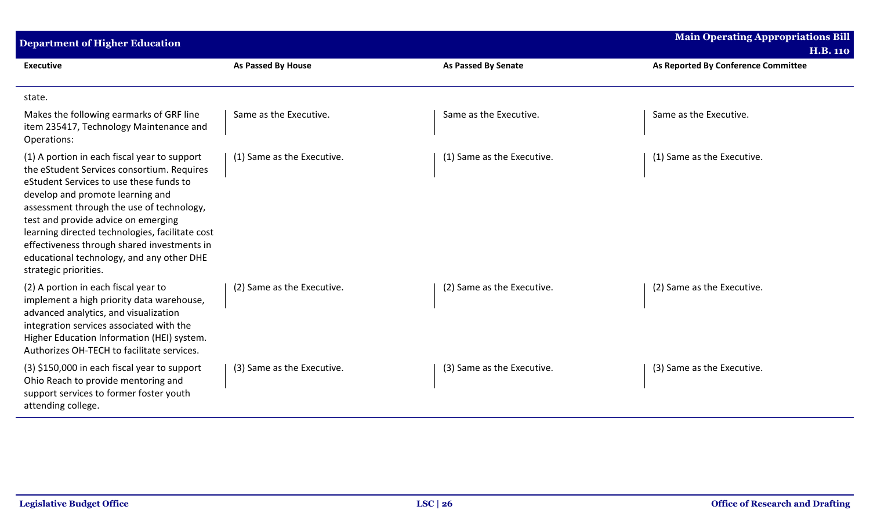| <b>Department of Higher Education</b>                                                                                                                                                                                                                                                                                                                                                                                                 |                            |                            | <b>Main Operating Appropriations Bill</b><br><b>H.B. 110</b> |
|---------------------------------------------------------------------------------------------------------------------------------------------------------------------------------------------------------------------------------------------------------------------------------------------------------------------------------------------------------------------------------------------------------------------------------------|----------------------------|----------------------------|--------------------------------------------------------------|
| <b>Executive</b>                                                                                                                                                                                                                                                                                                                                                                                                                      | As Passed By House         | <b>As Passed By Senate</b> | As Reported By Conference Committee                          |
| state.                                                                                                                                                                                                                                                                                                                                                                                                                                |                            |                            |                                                              |
| Makes the following earmarks of GRF line<br>item 235417, Technology Maintenance and<br>Operations:                                                                                                                                                                                                                                                                                                                                    | Same as the Executive.     | Same as the Executive.     | Same as the Executive.                                       |
| (1) A portion in each fiscal year to support<br>the eStudent Services consortium. Requires<br>eStudent Services to use these funds to<br>develop and promote learning and<br>assessment through the use of technology,<br>test and provide advice on emerging<br>learning directed technologies, facilitate cost<br>effectiveness through shared investments in<br>educational technology, and any other DHE<br>strategic priorities. | (1) Same as the Executive. | (1) Same as the Executive. | (1) Same as the Executive.                                   |
| (2) A portion in each fiscal year to<br>implement a high priority data warehouse,<br>advanced analytics, and visualization<br>integration services associated with the<br>Higher Education Information (HEI) system.<br>Authorizes OH-TECH to facilitate services.                                                                                                                                                                    | (2) Same as the Executive. | (2) Same as the Executive. | (2) Same as the Executive.                                   |
| (3) \$150,000 in each fiscal year to support<br>Ohio Reach to provide mentoring and<br>support services to former foster youth<br>attending college.                                                                                                                                                                                                                                                                                  | (3) Same as the Executive. | (3) Same as the Executive. | (3) Same as the Executive.                                   |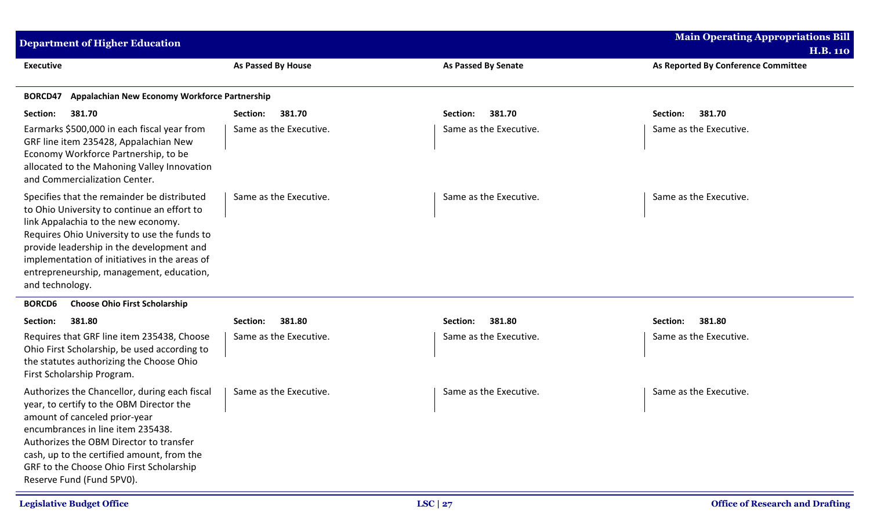| <b>Department of Higher Education</b>                                                                                                                                                                                                                                                                                                          |                        |                            | <b>Main Operating Appropriations Bill</b><br><b>H.B. 110</b> |
|------------------------------------------------------------------------------------------------------------------------------------------------------------------------------------------------------------------------------------------------------------------------------------------------------------------------------------------------|------------------------|----------------------------|--------------------------------------------------------------|
| <b>Executive</b>                                                                                                                                                                                                                                                                                                                               | As Passed By House     | <b>As Passed By Senate</b> | As Reported By Conference Committee                          |
| Appalachian New Economy Workforce Partnership<br>BORCD47                                                                                                                                                                                                                                                                                       |                        |                            |                                                              |
| Section:<br>381.70                                                                                                                                                                                                                                                                                                                             | Section:<br>381.70     | 381.70<br>Section:         | 381.70<br>Section:                                           |
| Earmarks \$500,000 in each fiscal year from<br>GRF line item 235428, Appalachian New<br>Economy Workforce Partnership, to be<br>allocated to the Mahoning Valley Innovation<br>and Commercialization Center.                                                                                                                                   | Same as the Executive. | Same as the Executive.     | Same as the Executive.                                       |
| Specifies that the remainder be distributed<br>to Ohio University to continue an effort to<br>link Appalachia to the new economy.<br>Requires Ohio University to use the funds to<br>provide leadership in the development and<br>implementation of initiatives in the areas of<br>entrepreneurship, management, education,<br>and technology. | Same as the Executive. | Same as the Executive.     | Same as the Executive.                                       |
| <b>BORCD6</b><br><b>Choose Ohio First Scholarship</b>                                                                                                                                                                                                                                                                                          |                        |                            |                                                              |
| Section:<br>381.80                                                                                                                                                                                                                                                                                                                             | 381.80<br>Section:     | 381.80<br>Section:         | Section:<br>381.80                                           |
| Requires that GRF line item 235438, Choose<br>Ohio First Scholarship, be used according to<br>the statutes authorizing the Choose Ohio<br>First Scholarship Program.                                                                                                                                                                           | Same as the Executive. | Same as the Executive.     | Same as the Executive.                                       |
| Authorizes the Chancellor, during each fiscal<br>year, to certify to the OBM Director the<br>amount of canceled prior-year<br>encumbrances in line item 235438.<br>Authorizes the OBM Director to transfer<br>cash, up to the certified amount, from the<br>GRF to the Choose Ohio First Scholarship<br>Reserve Fund (Fund 5PV0).              | Same as the Executive. | Same as the Executive.     | Same as the Executive.                                       |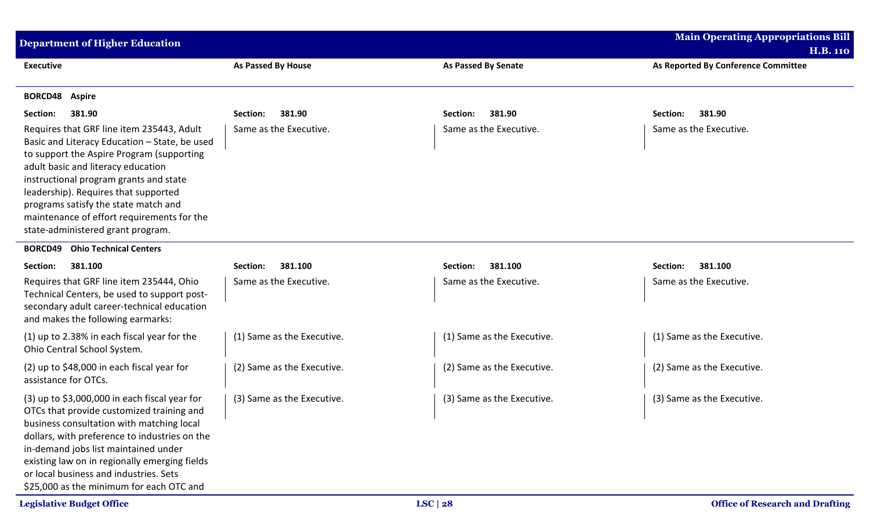| <b>Department of Higher Education</b>                                                                                                                                                                                                                                                                                                                                                      |                            |                            | <b>Main Operating Appropriations Bill</b> |
|--------------------------------------------------------------------------------------------------------------------------------------------------------------------------------------------------------------------------------------------------------------------------------------------------------------------------------------------------------------------------------------------|----------------------------|----------------------------|-------------------------------------------|
|                                                                                                                                                                                                                                                                                                                                                                                            |                            |                            | <b>H.B. 110</b>                           |
| <b>Executive</b>                                                                                                                                                                                                                                                                                                                                                                           | <b>As Passed By House</b>  | <b>As Passed By Senate</b> | As Reported By Conference Committee       |
| <b>BORCD48</b><br><b>Aspire</b>                                                                                                                                                                                                                                                                                                                                                            |                            |                            |                                           |
| 381.90<br>Section:                                                                                                                                                                                                                                                                                                                                                                         | 381.90<br>Section:         | 381.90<br>Section:         | 381.90<br>Section:                        |
| Requires that GRF line item 235443, Adult<br>Basic and Literacy Education - State, be used<br>to support the Aspire Program (supporting<br>adult basic and literacy education<br>instructional program grants and state<br>leadership). Requires that supported<br>programs satisfy the state match and<br>maintenance of effort requirements for the<br>state-administered grant program. | Same as the Executive.     | Same as the Executive.     | Same as the Executive.                    |
| <b>Ohio Technical Centers</b><br><b>BORCD49</b>                                                                                                                                                                                                                                                                                                                                            |                            |                            |                                           |
| Section:<br>381.100                                                                                                                                                                                                                                                                                                                                                                        | 381.100<br>Section:        | 381.100<br>Section:        | 381.100<br>Section:                       |
| Requires that GRF line item 235444, Ohio<br>Technical Centers, be used to support post-<br>secondary adult career-technical education<br>and makes the following earmarks:                                                                                                                                                                                                                 | Same as the Executive.     | Same as the Executive.     | Same as the Executive.                    |
| (1) up to 2.38% in each fiscal year for the<br>Ohio Central School System.                                                                                                                                                                                                                                                                                                                 | (1) Same as the Executive. | (1) Same as the Executive. | (1) Same as the Executive.                |
| (2) up to $$48,000$ in each fiscal year for<br>assistance for OTCs.                                                                                                                                                                                                                                                                                                                        | (2) Same as the Executive. | (2) Same as the Executive. | (2) Same as the Executive.                |
| $(3)$ up to \$3,000,000 in each fiscal year for<br>OTCs that provide customized training and<br>business consultation with matching local<br>dollars, with preference to industries on the<br>in-demand jobs list maintained under<br>existing law on in regionally emerging fields<br>or local business and industries. Sets<br>\$25,000 as the minimum for each OTC and                  | (3) Same as the Executive. | (3) Same as the Executive. | (3) Same as the Executive.                |
| <b>Legislative Budget Office</b>                                                                                                                                                                                                                                                                                                                                                           |                            | LSC   $28$                 | <b>Office of Research and Drafting</b>    |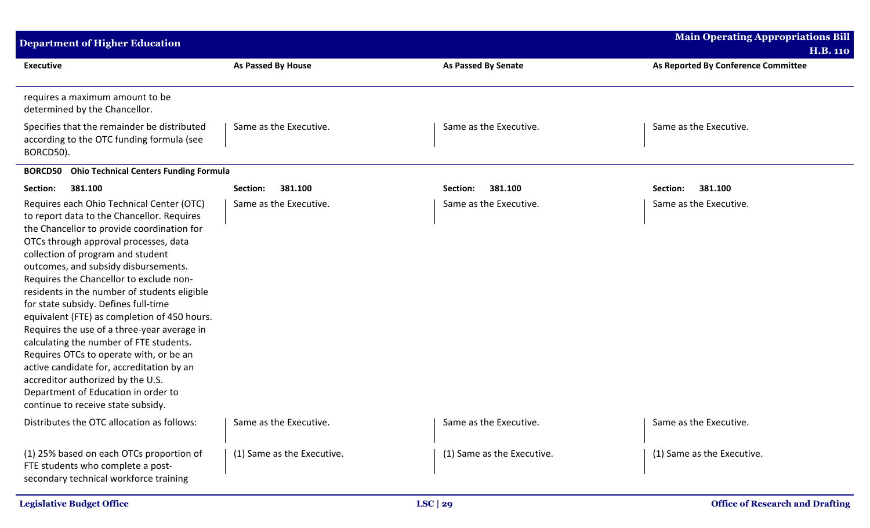| <b>Department of Higher Education</b>                                                                                                                                                                                                                                                                                                                                                                                                                                                                                                                                                                                                                                                                                                              |                            |                            | <b>Main Operating Appropriations Bill</b> |
|----------------------------------------------------------------------------------------------------------------------------------------------------------------------------------------------------------------------------------------------------------------------------------------------------------------------------------------------------------------------------------------------------------------------------------------------------------------------------------------------------------------------------------------------------------------------------------------------------------------------------------------------------------------------------------------------------------------------------------------------------|----------------------------|----------------------------|-------------------------------------------|
|                                                                                                                                                                                                                                                                                                                                                                                                                                                                                                                                                                                                                                                                                                                                                    |                            |                            | <b>H.B. 110</b>                           |
| <b>Executive</b>                                                                                                                                                                                                                                                                                                                                                                                                                                                                                                                                                                                                                                                                                                                                   | As Passed By House         | <b>As Passed By Senate</b> | As Reported By Conference Committee       |
| requires a maximum amount to be<br>determined by the Chancellor.                                                                                                                                                                                                                                                                                                                                                                                                                                                                                                                                                                                                                                                                                   |                            |                            |                                           |
| Specifies that the remainder be distributed<br>according to the OTC funding formula (see<br>BORCD50).                                                                                                                                                                                                                                                                                                                                                                                                                                                                                                                                                                                                                                              | Same as the Executive.     | Same as the Executive.     | Same as the Executive.                    |
| <b>Ohio Technical Centers Funding Formula</b><br><b>BORCD50</b>                                                                                                                                                                                                                                                                                                                                                                                                                                                                                                                                                                                                                                                                                    |                            |                            |                                           |
| Section:<br>381.100                                                                                                                                                                                                                                                                                                                                                                                                                                                                                                                                                                                                                                                                                                                                | Section:<br>381.100        | Section:<br>381.100        | 381.100<br>Section:                       |
| Requires each Ohio Technical Center (OTC)<br>to report data to the Chancellor. Requires<br>the Chancellor to provide coordination for<br>OTCs through approval processes, data<br>collection of program and student<br>outcomes, and subsidy disbursements.<br>Requires the Chancellor to exclude non-<br>residents in the number of students eligible<br>for state subsidy. Defines full-time<br>equivalent (FTE) as completion of 450 hours.<br>Requires the use of a three-year average in<br>calculating the number of FTE students.<br>Requires OTCs to operate with, or be an<br>active candidate for, accreditation by an<br>accreditor authorized by the U.S.<br>Department of Education in order to<br>continue to receive state subsidy. | Same as the Executive.     | Same as the Executive.     | Same as the Executive.                    |
| Distributes the OTC allocation as follows:                                                                                                                                                                                                                                                                                                                                                                                                                                                                                                                                                                                                                                                                                                         | Same as the Executive.     | Same as the Executive.     | Same as the Executive.                    |
| (1) 25% based on each OTCs proportion of<br>FTE students who complete a post-<br>secondary technical workforce training                                                                                                                                                                                                                                                                                                                                                                                                                                                                                                                                                                                                                            | (1) Same as the Executive. | (1) Same as the Executive. | (1) Same as the Executive.                |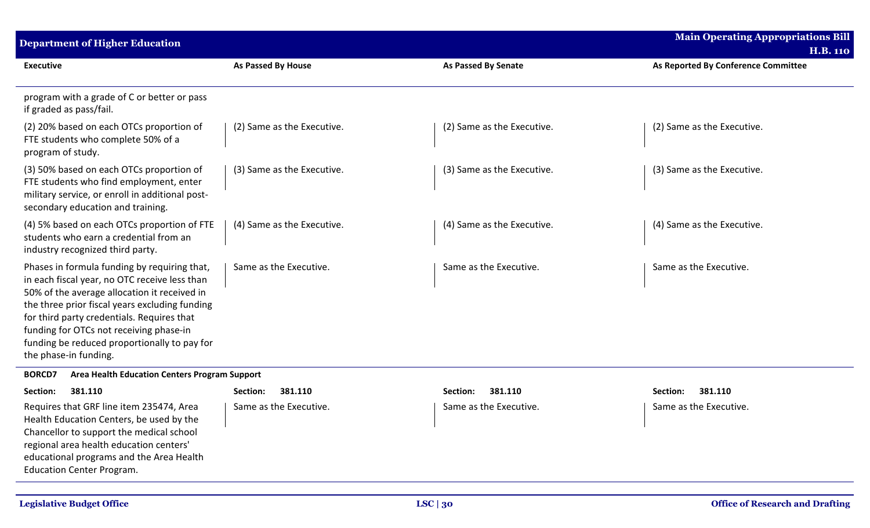| <b>Department of Higher Education</b>                                                                                                                                                                                                                                                                                                                             |                            |                            | Main Operating Appropriations Bill<br><b>H.B. 110</b> |
|-------------------------------------------------------------------------------------------------------------------------------------------------------------------------------------------------------------------------------------------------------------------------------------------------------------------------------------------------------------------|----------------------------|----------------------------|-------------------------------------------------------|
| <b>Executive</b>                                                                                                                                                                                                                                                                                                                                                  | <b>As Passed By House</b>  | <b>As Passed By Senate</b> | As Reported By Conference Committee                   |
| program with a grade of C or better or pass<br>if graded as pass/fail.                                                                                                                                                                                                                                                                                            |                            |                            |                                                       |
| (2) 20% based on each OTCs proportion of<br>FTE students who complete 50% of a<br>program of study.                                                                                                                                                                                                                                                               | (2) Same as the Executive. | (2) Same as the Executive. | (2) Same as the Executive.                            |
| (3) 50% based on each OTCs proportion of<br>FTE students who find employment, enter<br>military service, or enroll in additional post-<br>secondary education and training.                                                                                                                                                                                       | (3) Same as the Executive. | (3) Same as the Executive. | (3) Same as the Executive.                            |
| (4) 5% based on each OTCs proportion of FTE<br>students who earn a credential from an<br>industry recognized third party.                                                                                                                                                                                                                                         | (4) Same as the Executive. | (4) Same as the Executive. | (4) Same as the Executive.                            |
| Phases in formula funding by requiring that,<br>in each fiscal year, no OTC receive less than<br>50% of the average allocation it received in<br>the three prior fiscal years excluding funding<br>for third party credentials. Requires that<br>funding for OTCs not receiving phase-in<br>funding be reduced proportionally to pay for<br>the phase-in funding. | Same as the Executive.     | Same as the Executive.     | Same as the Executive.                                |
| <b>BORCD7</b><br><b>Area Health Education Centers Program Support</b>                                                                                                                                                                                                                                                                                             |                            |                            |                                                       |
| Section:<br>381.110                                                                                                                                                                                                                                                                                                                                               | 381.110<br>Section:        | 381.110<br>Section:        | 381.110<br>Section:                                   |
| Requires that GRF line item 235474, Area<br>Health Education Centers, be used by the<br>Chancellor to support the medical school<br>regional area health education centers'<br>educational programs and the Area Health<br><b>Education Center Program.</b>                                                                                                       | Same as the Executive.     | Same as the Executive.     | Same as the Executive.                                |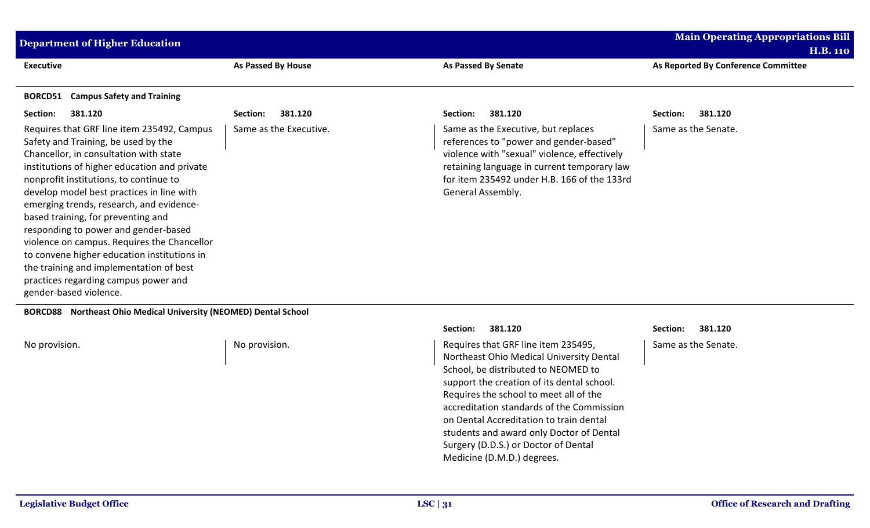| <b>Executive</b><br>As Passed By House<br><b>As Passed By Senate</b><br>As Reported By Conference Committee<br><b>Campus Safety and Training</b><br>BORCD51<br>381.120<br>Section:<br>381.120<br>381.120<br>381.120<br>Section:<br>Section:<br>Section:<br>Same as the Executive.<br>Requires that GRF line item 235492, Campus<br>Same as the Executive, but replaces<br>Same as the Senate.<br>Safety and Training, be used by the<br>references to "power and gender-based"<br>violence with "sexual" violence, effectively<br>Chancellor, in consultation with state<br>institutions of higher education and private<br>retaining language in current temporary law<br>nonprofit institutions, to continue to<br>for item 235492 under H.B. 166 of the 133rd<br>develop model best practices in line with<br>General Assembly.<br>emerging trends, research, and evidence-<br>based training, for preventing and<br>responding to power and gender-based<br>violence on campus. Requires the Chancellor<br>to convene higher education institutions in<br>the training and implementation of best<br>practices regarding campus power and | <b>Department of Higher Education</b> |  | <b>Main Operating Appropriations Bill</b><br><b>H.B. 110</b> |
|-----------------------------------------------------------------------------------------------------------------------------------------------------------------------------------------------------------------------------------------------------------------------------------------------------------------------------------------------------------------------------------------------------------------------------------------------------------------------------------------------------------------------------------------------------------------------------------------------------------------------------------------------------------------------------------------------------------------------------------------------------------------------------------------------------------------------------------------------------------------------------------------------------------------------------------------------------------------------------------------------------------------------------------------------------------------------------------------------------------------------------------------------|---------------------------------------|--|--------------------------------------------------------------|
|                                                                                                                                                                                                                                                                                                                                                                                                                                                                                                                                                                                                                                                                                                                                                                                                                                                                                                                                                                                                                                                                                                                                               |                                       |  |                                                              |
|                                                                                                                                                                                                                                                                                                                                                                                                                                                                                                                                                                                                                                                                                                                                                                                                                                                                                                                                                                                                                                                                                                                                               |                                       |  |                                                              |
|                                                                                                                                                                                                                                                                                                                                                                                                                                                                                                                                                                                                                                                                                                                                                                                                                                                                                                                                                                                                                                                                                                                                               |                                       |  |                                                              |
|                                                                                                                                                                                                                                                                                                                                                                                                                                                                                                                                                                                                                                                                                                                                                                                                                                                                                                                                                                                                                                                                                                                                               | gender-based violence.                |  |                                                              |

**BORCD88 Northeast Ohio Medical University (NEOMED) Dental School**

No provision. No provision. And Allen and Allen Controller Monography in the U.S. No provision. The extending of the extending of the extending of the extending of the extending of the extending of the extending of the ext Northeast Ohio Medical University Dental School, be distributed to NEOMED to support the creation of its dental school. Requires the school to meet all of the accreditation standards of the Commission on Dental Accreditation to train dental students and award only Doctor of Dental Surgery (D.D.S.) or Doctor of Dental Medicine (D.M.D.) degrees.

**Section: 381.120 Section: 381.120** Same as the Senate.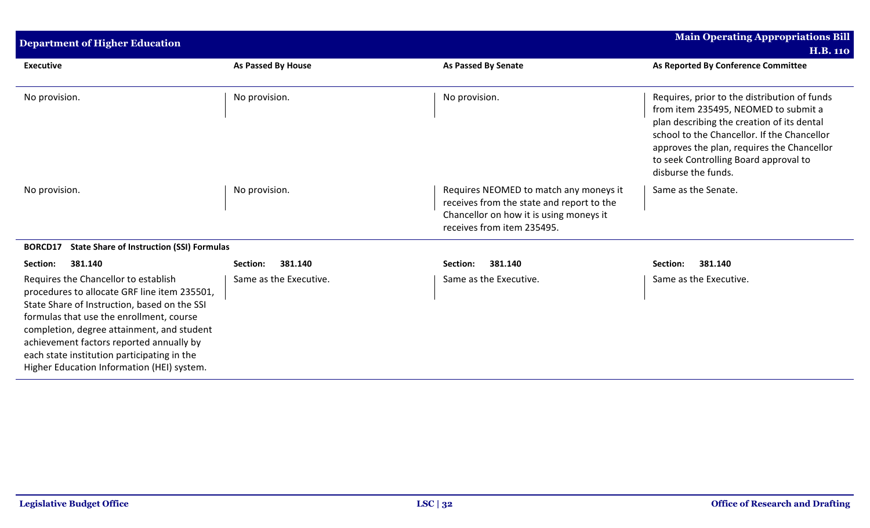| <b>Department of Higher Education</b>                                                                                                                                                                                                                                                                                                                                   |                        |                                                                                                                                                              | <b>Main Operating Appropriations Bill</b>                                                                                                                                                                                                                                                       |
|-------------------------------------------------------------------------------------------------------------------------------------------------------------------------------------------------------------------------------------------------------------------------------------------------------------------------------------------------------------------------|------------------------|--------------------------------------------------------------------------------------------------------------------------------------------------------------|-------------------------------------------------------------------------------------------------------------------------------------------------------------------------------------------------------------------------------------------------------------------------------------------------|
|                                                                                                                                                                                                                                                                                                                                                                         |                        |                                                                                                                                                              | <b>H.B. 110</b>                                                                                                                                                                                                                                                                                 |
| <b>Executive</b>                                                                                                                                                                                                                                                                                                                                                        | As Passed By House     | <b>As Passed By Senate</b>                                                                                                                                   | As Reported By Conference Committee                                                                                                                                                                                                                                                             |
| No provision.                                                                                                                                                                                                                                                                                                                                                           | No provision.          | No provision.                                                                                                                                                | Requires, prior to the distribution of funds<br>from item 235495, NEOMED to submit a<br>plan describing the creation of its dental<br>school to the Chancellor. If the Chancellor<br>approves the plan, requires the Chancellor<br>to seek Controlling Board approval to<br>disburse the funds. |
| No provision.                                                                                                                                                                                                                                                                                                                                                           | No provision.          | Requires NEOMED to match any moneys it<br>receives from the state and report to the<br>Chancellor on how it is using moneys it<br>receives from item 235495. | Same as the Senate.                                                                                                                                                                                                                                                                             |
| <b>State Share of Instruction (SSI) Formulas</b><br>BORCD17                                                                                                                                                                                                                                                                                                             |                        |                                                                                                                                                              |                                                                                                                                                                                                                                                                                                 |
| 381.140<br>Section:                                                                                                                                                                                                                                                                                                                                                     | 381.140<br>Section:    | 381.140<br>Section:                                                                                                                                          | Section:<br>381.140                                                                                                                                                                                                                                                                             |
| Requires the Chancellor to establish<br>procedures to allocate GRF line item 235501,<br>State Share of Instruction, based on the SSI<br>formulas that use the enrollment, course<br>completion, degree attainment, and student<br>achievement factors reported annually by<br>each state institution participating in the<br>Higher Education Information (HEI) system. | Same as the Executive. | Same as the Executive.                                                                                                                                       | Same as the Executive.                                                                                                                                                                                                                                                                          |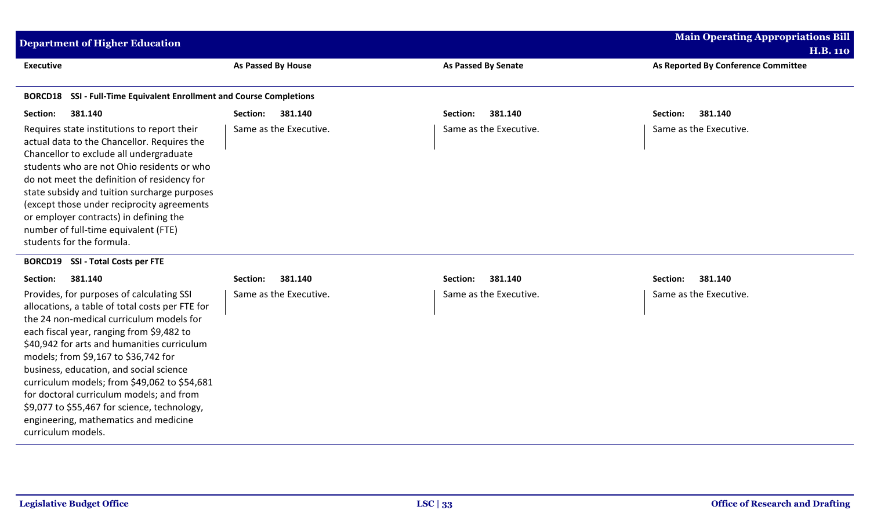| <b>Department of Higher Education</b>                                                                                                                                                                                                                                                                                                                                                                                                                                                                                              |                           |                            | <b>Main Operating Appropriations Bill</b> |
|------------------------------------------------------------------------------------------------------------------------------------------------------------------------------------------------------------------------------------------------------------------------------------------------------------------------------------------------------------------------------------------------------------------------------------------------------------------------------------------------------------------------------------|---------------------------|----------------------------|-------------------------------------------|
|                                                                                                                                                                                                                                                                                                                                                                                                                                                                                                                                    |                           |                            | <b>H.B. 110</b>                           |
| <b>Executive</b>                                                                                                                                                                                                                                                                                                                                                                                                                                                                                                                   | <b>As Passed By House</b> | <b>As Passed By Senate</b> | As Reported By Conference Committee       |
| SSI - Full-Time Equivalent Enrollment and Course Completions<br><b>BORCD18</b>                                                                                                                                                                                                                                                                                                                                                                                                                                                     |                           |                            |                                           |
| 381.140<br>Section:                                                                                                                                                                                                                                                                                                                                                                                                                                                                                                                | Section:<br>381.140       | 381.140<br>Section:        | Section:<br>381.140                       |
| Requires state institutions to report their<br>actual data to the Chancellor. Requires the<br>Chancellor to exclude all undergraduate<br>students who are not Ohio residents or who<br>do not meet the definition of residency for<br>state subsidy and tuition surcharge purposes<br>(except those under reciprocity agreements<br>or employer contracts) in defining the<br>number of full-time equivalent (FTE)<br>students for the formula.                                                                                    | Same as the Executive.    | Same as the Executive.     | Same as the Executive.                    |
| <b>SSI - Total Costs per FTE</b><br><b>BORCD19</b>                                                                                                                                                                                                                                                                                                                                                                                                                                                                                 |                           |                            |                                           |
| 381.140<br>Section:                                                                                                                                                                                                                                                                                                                                                                                                                                                                                                                | 381.140<br>Section:       | 381.140<br>Section:        | Section:<br>381.140                       |
| Provides, for purposes of calculating SSI<br>allocations, a table of total costs per FTE for<br>the 24 non-medical curriculum models for<br>each fiscal year, ranging from \$9,482 to<br>\$40,942 for arts and humanities curriculum<br>models; from \$9,167 to \$36,742 for<br>business, education, and social science<br>curriculum models; from \$49,062 to \$54,681<br>for doctoral curriculum models; and from<br>\$9,077 to \$55,467 for science, technology,<br>engineering, mathematics and medicine<br>curriculum models. | Same as the Executive.    | Same as the Executive.     | Same as the Executive.                    |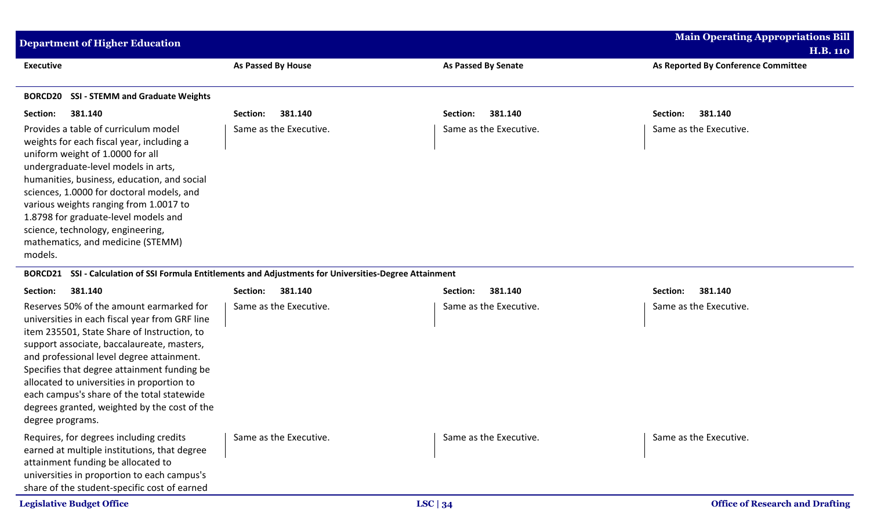| <b>Department of Higher Education</b>                                                                                                                                                                                                                                                                                                                                                                                           |                        |                        | <b>Main Operating Appropriations Bill</b> |
|---------------------------------------------------------------------------------------------------------------------------------------------------------------------------------------------------------------------------------------------------------------------------------------------------------------------------------------------------------------------------------------------------------------------------------|------------------------|------------------------|-------------------------------------------|
|                                                                                                                                                                                                                                                                                                                                                                                                                                 |                        |                        | <b>H.B. 110</b>                           |
| <b>Executive</b>                                                                                                                                                                                                                                                                                                                                                                                                                | As Passed By House     | As Passed By Senate    | As Reported By Conference Committee       |
| <b>SSI - STEMM and Graduate Weights</b><br><b>BORCD20</b>                                                                                                                                                                                                                                                                                                                                                                       |                        |                        |                                           |
| 381.140<br>Section:                                                                                                                                                                                                                                                                                                                                                                                                             | 381.140<br>Section:    | 381.140<br>Section:    | 381.140<br>Section:                       |
| Provides a table of curriculum model<br>weights for each fiscal year, including a<br>uniform weight of 1.0000 for all<br>undergraduate-level models in arts,<br>humanities, business, education, and social<br>sciences, 1.0000 for doctoral models, and<br>various weights ranging from 1.0017 to<br>1.8798 for graduate-level models and<br>science, technology, engineering,<br>mathematics, and medicine (STEMM)<br>models. | Same as the Executive. | Same as the Executive. | Same as the Executive.                    |

## **BORCD21 SSI - Calculation of SSI Formula Entitlements and Adjustments for Universities-Degree Attainment**

| 381.140<br>Section:                                                                                                                                                                                                                                                                                                                                                                                                                                 | 381.140<br>Section:    | 381.140<br>Section:    | 381.140<br>Section:                    |
|-----------------------------------------------------------------------------------------------------------------------------------------------------------------------------------------------------------------------------------------------------------------------------------------------------------------------------------------------------------------------------------------------------------------------------------------------------|------------------------|------------------------|----------------------------------------|
| Reserves 50% of the amount earmarked for<br>universities in each fiscal year from GRF line<br>item 235501, State Share of Instruction, to<br>support associate, baccalaureate, masters,<br>and professional level degree attainment.<br>Specifies that degree attainment funding be<br>allocated to universities in proportion to<br>each campus's share of the total statewide<br>degrees granted, weighted by the cost of the<br>degree programs. | Same as the Executive. | Same as the Executive. | Same as the Executive.                 |
| Requires, for degrees including credits<br>earned at multiple institutions, that degree<br>attainment funding be allocated to<br>universities in proportion to each campus's<br>share of the student-specific cost of earned                                                                                                                                                                                                                        | Same as the Executive. | Same as the Executive. | Same as the Executive.                 |
| <b>Legislative Budget Office</b>                                                                                                                                                                                                                                                                                                                                                                                                                    | LSC $ 34$              |                        | <b>Office of Research and Drafting</b> |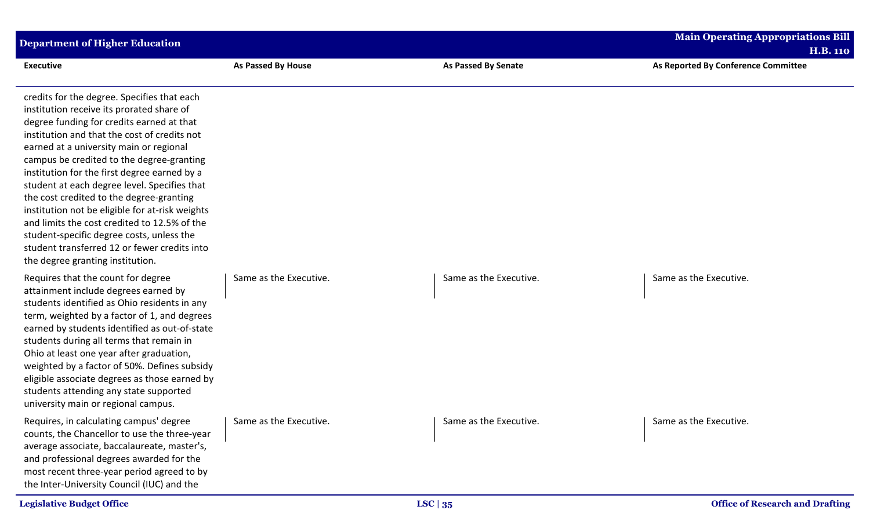| <b>Department of Higher Education</b>                                                                                                                                                                                                                                                                                                                                                                                                                                                                                                                                                                                                                         |                        |                            | <b>Main Operating Appropriations Bill</b><br><b>H.B. 110</b> |
|---------------------------------------------------------------------------------------------------------------------------------------------------------------------------------------------------------------------------------------------------------------------------------------------------------------------------------------------------------------------------------------------------------------------------------------------------------------------------------------------------------------------------------------------------------------------------------------------------------------------------------------------------------------|------------------------|----------------------------|--------------------------------------------------------------|
| <b>Executive</b>                                                                                                                                                                                                                                                                                                                                                                                                                                                                                                                                                                                                                                              | As Passed By House     | <b>As Passed By Senate</b> | As Reported By Conference Committee                          |
| credits for the degree. Specifies that each<br>institution receive its prorated share of<br>degree funding for credits earned at that<br>institution and that the cost of credits not<br>earned at a university main or regional<br>campus be credited to the degree-granting<br>institution for the first degree earned by a<br>student at each degree level. Specifies that<br>the cost credited to the degree-granting<br>institution not be eligible for at-risk weights<br>and limits the cost credited to 12.5% of the<br>student-specific degree costs, unless the<br>student transferred 12 or fewer credits into<br>the degree granting institution. |                        |                            |                                                              |
| Requires that the count for degree<br>attainment include degrees earned by<br>students identified as Ohio residents in any<br>term, weighted by a factor of 1, and degrees<br>earned by students identified as out-of-state<br>students during all terms that remain in<br>Ohio at least one year after graduation,<br>weighted by a factor of 50%. Defines subsidy<br>eligible associate degrees as those earned by<br>students attending any state supported<br>university main or regional campus.                                                                                                                                                         | Same as the Executive. | Same as the Executive.     | Same as the Executive.                                       |
| Requires, in calculating campus' degree<br>counts, the Chancellor to use the three-year<br>average associate, baccalaureate, master's,<br>and professional degrees awarded for the<br>most recent three-year period agreed to by<br>the Inter-University Council (IUC) and the                                                                                                                                                                                                                                                                                                                                                                                | Same as the Executive. | Same as the Executive.     | Same as the Executive.                                       |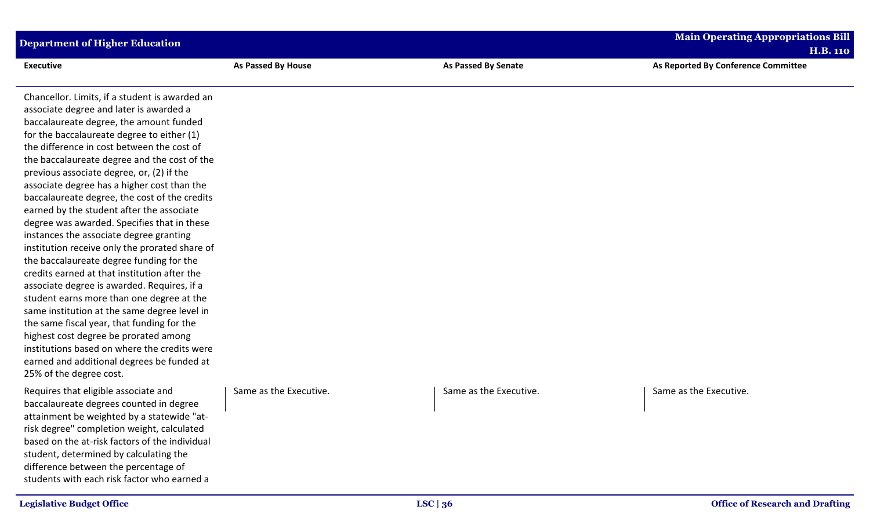| <b>Department of Higher Education</b>                                                                                                                                                                                                                                                                                                                                                                                                                                                                                                                                                                                                                                                                                                                                                                                                                                                                                                                                                                                                                                          |                        |                            | <b>Main Operating Appropriations Bill</b><br><b>H.B. 110</b> |
|--------------------------------------------------------------------------------------------------------------------------------------------------------------------------------------------------------------------------------------------------------------------------------------------------------------------------------------------------------------------------------------------------------------------------------------------------------------------------------------------------------------------------------------------------------------------------------------------------------------------------------------------------------------------------------------------------------------------------------------------------------------------------------------------------------------------------------------------------------------------------------------------------------------------------------------------------------------------------------------------------------------------------------------------------------------------------------|------------------------|----------------------------|--------------------------------------------------------------|
| <b>Executive</b>                                                                                                                                                                                                                                                                                                                                                                                                                                                                                                                                                                                                                                                                                                                                                                                                                                                                                                                                                                                                                                                               | As Passed By House     | <b>As Passed By Senate</b> | As Reported By Conference Committee                          |
| Chancellor. Limits, if a student is awarded an<br>associate degree and later is awarded a<br>baccalaureate degree, the amount funded<br>for the baccalaureate degree to either (1)<br>the difference in cost between the cost of<br>the baccalaureate degree and the cost of the<br>previous associate degree, or, (2) if the<br>associate degree has a higher cost than the<br>baccalaureate degree, the cost of the credits<br>earned by the student after the associate<br>degree was awarded. Specifies that in these<br>instances the associate degree granting<br>institution receive only the prorated share of<br>the baccalaureate degree funding for the<br>credits earned at that institution after the<br>associate degree is awarded. Requires, if a<br>student earns more than one degree at the<br>same institution at the same degree level in<br>the same fiscal year, that funding for the<br>highest cost degree be prorated among<br>institutions based on where the credits were<br>earned and additional degrees be funded at<br>25% of the degree cost. |                        |                            |                                                              |
| Requires that eligible associate and<br>baccalaureate degrees counted in degree<br>attainment be weighted by a statewide "at-<br>risk degree" completion weight, calculated<br>based on the at-risk factors of the individual<br>student, determined by calculating the<br>difference between the percentage of<br>students with each risk factor who earned a                                                                                                                                                                                                                                                                                                                                                                                                                                                                                                                                                                                                                                                                                                                 | Same as the Executive. | Same as the Executive.     | Same as the Executive.                                       |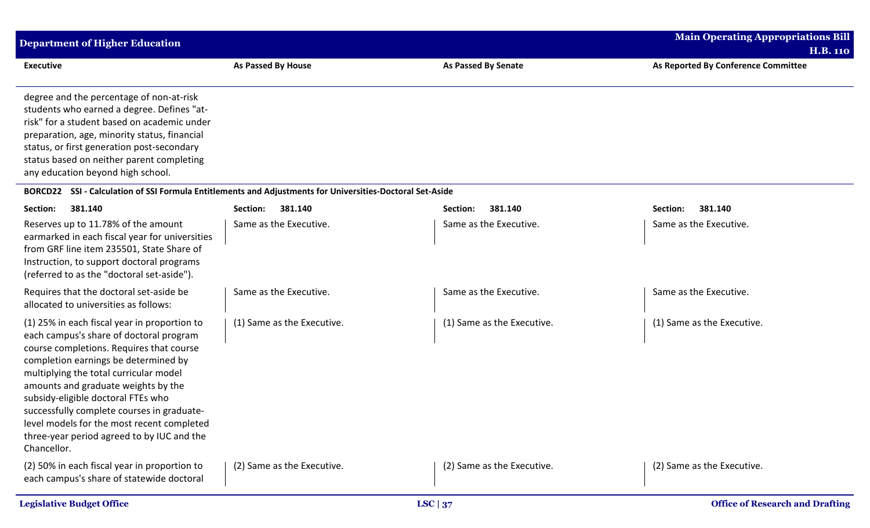| Department of Higher Education                                                                                                                                                                                                                                                                                        |                    |                     | <b>Main Operating Appropriations Bill</b><br><b>H.B. 110</b> |
|-----------------------------------------------------------------------------------------------------------------------------------------------------------------------------------------------------------------------------------------------------------------------------------------------------------------------|--------------------|---------------------|--------------------------------------------------------------|
| <b>Executive</b>                                                                                                                                                                                                                                                                                                      | As Passed By House | As Passed By Senate | As Reported By Conference Committee                          |
| degree and the percentage of non-at-risk<br>students who earned a degree. Defines "at-<br>risk" for a student based on academic under<br>preparation, age, minority status, financial<br>status, or first generation post-secondary<br>status based on neither parent completing<br>any education beyond high school. |                    |                     |                                                              |

## **BORCD22 SSI - Calculation of SSI Formula Entitlements and Adjustments for Universities-Doctoral Set-Aside**

| 381.140<br>Section:                                                                                                                                                                                                                                                                                                                                                                                                                                         | 381.140<br>Section:        | 381.140<br>Section:        | 381.140<br>Section:        |
|-------------------------------------------------------------------------------------------------------------------------------------------------------------------------------------------------------------------------------------------------------------------------------------------------------------------------------------------------------------------------------------------------------------------------------------------------------------|----------------------------|----------------------------|----------------------------|
| Reserves up to 11.78% of the amount<br>earmarked in each fiscal year for universities<br>from GRF line item 235501, State Share of<br>Instruction, to support doctoral programs<br>(referred to as the "doctoral set-aside").                                                                                                                                                                                                                               | Same as the Executive.     | Same as the Executive.     | Same as the Executive.     |
| Requires that the doctoral set-aside be<br>allocated to universities as follows:                                                                                                                                                                                                                                                                                                                                                                            | Same as the Executive.     | Same as the Executive.     | Same as the Executive.     |
| (1) 25% in each fiscal year in proportion to<br>each campus's share of doctoral program<br>course completions. Requires that course<br>completion earnings be determined by<br>multiplying the total curricular model<br>amounts and graduate weights by the<br>subsidy-eligible doctoral FTEs who<br>successfully complete courses in graduate-<br>level models for the most recent completed<br>three-year period agreed to by IUC and the<br>Chancellor. | (1) Same as the Executive. | (1) Same as the Executive. | (1) Same as the Executive. |
| (2) 50% in each fiscal year in proportion to<br>each campus's share of statewide doctoral                                                                                                                                                                                                                                                                                                                                                                   | (2) Same as the Executive. | (2) Same as the Executive. | (2) Same as the Executive. |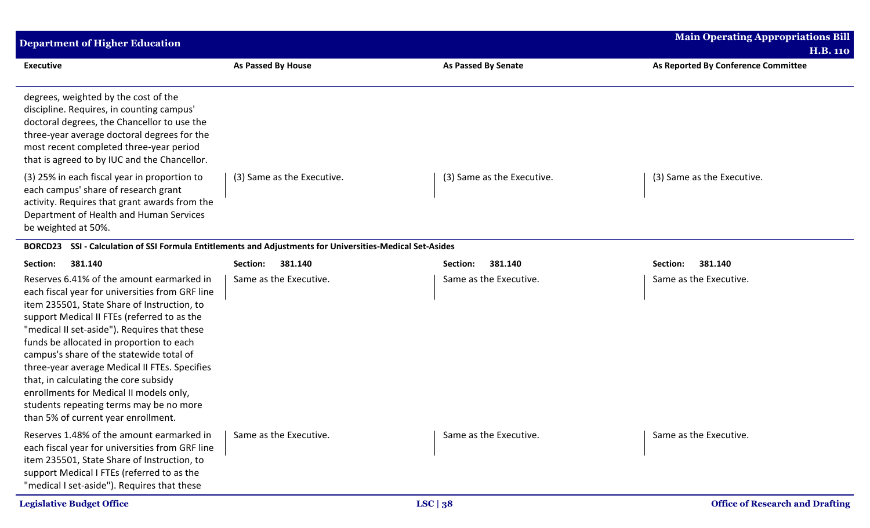| <b>Department of Higher Education</b>                                                                                                                                                                                                                                                                                                                                                                                                                                                                                                                     |                                                                                                   |                            | <b>Main Operating Appropriations Bill</b><br><b>H.B. 110</b> |
|-----------------------------------------------------------------------------------------------------------------------------------------------------------------------------------------------------------------------------------------------------------------------------------------------------------------------------------------------------------------------------------------------------------------------------------------------------------------------------------------------------------------------------------------------------------|---------------------------------------------------------------------------------------------------|----------------------------|--------------------------------------------------------------|
| <b>Executive</b>                                                                                                                                                                                                                                                                                                                                                                                                                                                                                                                                          | <b>As Passed By House</b>                                                                         | <b>As Passed By Senate</b> | As Reported By Conference Committee                          |
| degrees, weighted by the cost of the<br>discipline. Requires, in counting campus'<br>doctoral degrees, the Chancellor to use the<br>three-year average doctoral degrees for the<br>most recent completed three-year period<br>that is agreed to by IUC and the Chancellor.                                                                                                                                                                                                                                                                                |                                                                                                   |                            |                                                              |
| (3) 25% in each fiscal year in proportion to<br>each campus' share of research grant<br>activity. Requires that grant awards from the<br>Department of Health and Human Services<br>be weighted at 50%.                                                                                                                                                                                                                                                                                                                                                   | (3) Same as the Executive.                                                                        | (3) Same as the Executive. | (3) Same as the Executive.                                   |
| <b>BORCD23</b>                                                                                                                                                                                                                                                                                                                                                                                                                                                                                                                                            | SSI - Calculation of SSI Formula Entitlements and Adjustments for Universities-Medical Set-Asides |                            |                                                              |
| 381.140<br>Section:                                                                                                                                                                                                                                                                                                                                                                                                                                                                                                                                       | 381.140<br>Section:                                                                               | Section:<br>381.140        | 381.140<br>Section:                                          |
| Reserves 6.41% of the amount earmarked in<br>each fiscal year for universities from GRF line<br>item 235501, State Share of Instruction, to<br>support Medical II FTEs (referred to as the<br>"medical II set-aside"). Requires that these<br>funds be allocated in proportion to each<br>campus's share of the statewide total of<br>three-year average Medical II FTEs. Specifies<br>that, in calculating the core subsidy<br>enrollments for Medical II models only,<br>students repeating terms may be no more<br>than 5% of current year enrollment. | Same as the Executive.                                                                            | Same as the Executive.     | Same as the Executive.                                       |
| Reserves 1.48% of the amount earmarked in<br>each fiscal year for universities from GRF line<br>item 235501, State Share of Instruction, to<br>support Medical I FTEs (referred to as the<br>"medical I set-aside"). Requires that these                                                                                                                                                                                                                                                                                                                  | Same as the Executive.                                                                            | Same as the Executive.     | Same as the Executive.                                       |
| <b>Legislative Budget Office</b>                                                                                                                                                                                                                                                                                                                                                                                                                                                                                                                          |                                                                                                   | LSC $ 38$                  | <b>Office of Research and Drafting</b>                       |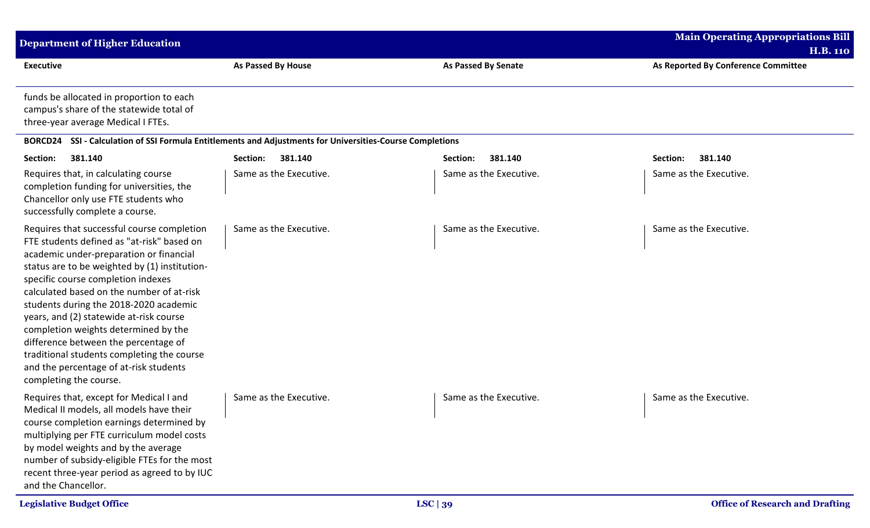| <b>Department of Higher Education</b>                                                                                                                                                                                                                                                                                                                                                                                                                                                                                                                          |                                                                                                   |                            | <b>Main Operating Appropriations Bill</b><br><b>H.B. 110</b> |
|----------------------------------------------------------------------------------------------------------------------------------------------------------------------------------------------------------------------------------------------------------------------------------------------------------------------------------------------------------------------------------------------------------------------------------------------------------------------------------------------------------------------------------------------------------------|---------------------------------------------------------------------------------------------------|----------------------------|--------------------------------------------------------------|
| <b>Executive</b>                                                                                                                                                                                                                                                                                                                                                                                                                                                                                                                                               | As Passed By House                                                                                | <b>As Passed By Senate</b> | As Reported By Conference Committee                          |
| funds be allocated in proportion to each<br>campus's share of the statewide total of<br>three-year average Medical I FTEs.                                                                                                                                                                                                                                                                                                                                                                                                                                     |                                                                                                   |                            |                                                              |
| <b>BORCD24</b>                                                                                                                                                                                                                                                                                                                                                                                                                                                                                                                                                 | SSI - Calculation of SSI Formula Entitlements and Adjustments for Universities-Course Completions |                            |                                                              |
| Section:<br>381.140                                                                                                                                                                                                                                                                                                                                                                                                                                                                                                                                            | Section:<br>381.140                                                                               | 381.140<br>Section:        | 381.140<br>Section:                                          |
| Requires that, in calculating course<br>completion funding for universities, the<br>Chancellor only use FTE students who<br>successfully complete a course.                                                                                                                                                                                                                                                                                                                                                                                                    | Same as the Executive.                                                                            | Same as the Executive.     | Same as the Executive.                                       |
| Requires that successful course completion<br>FTE students defined as "at-risk" based on<br>academic under-preparation or financial<br>status are to be weighted by (1) institution-<br>specific course completion indexes<br>calculated based on the number of at-risk<br>students during the 2018-2020 academic<br>years, and (2) statewide at-risk course<br>completion weights determined by the<br>difference between the percentage of<br>traditional students completing the course<br>and the percentage of at-risk students<br>completing the course. | Same as the Executive.                                                                            | Same as the Executive.     | Same as the Executive.                                       |
| Requires that, except for Medical I and<br>Medical II models, all models have their<br>course completion earnings determined by<br>multiplying per FTE curriculum model costs<br>by model weights and by the average<br>number of subsidy-eligible FTEs for the most<br>recent three-year period as agreed to by IUC<br>and the Chancellor.                                                                                                                                                                                                                    | Same as the Executive.                                                                            | Same as the Executive.     | Same as the Executive.                                       |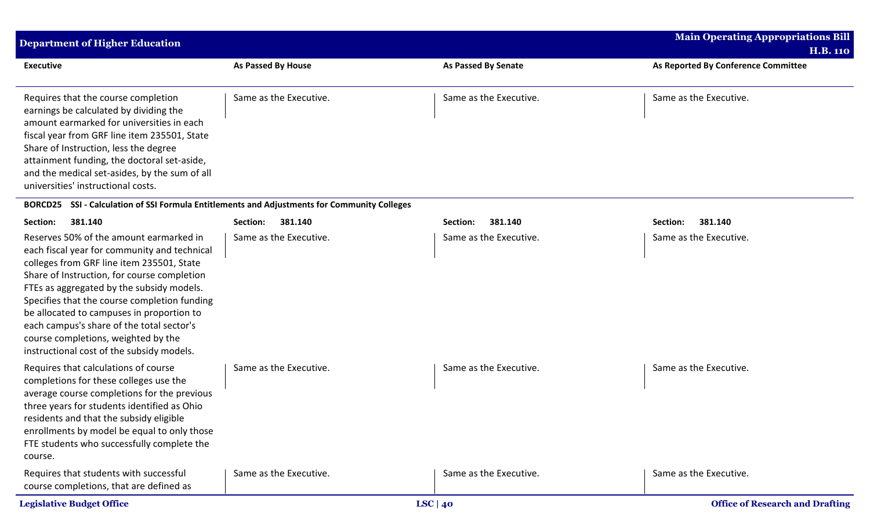| Department of Higher Education                                                                                                                                                                                                                                                                                                                            |                        |                            | <b>Main Operating Appropriations Bill</b><br><b>H.B. 110</b> |
|-----------------------------------------------------------------------------------------------------------------------------------------------------------------------------------------------------------------------------------------------------------------------------------------------------------------------------------------------------------|------------------------|----------------------------|--------------------------------------------------------------|
| <b>Executive</b>                                                                                                                                                                                                                                                                                                                                          | As Passed By House     | <b>As Passed By Senate</b> | As Reported By Conference Committee                          |
| Requires that the course completion<br>earnings be calculated by dividing the<br>amount earmarked for universities in each<br>fiscal year from GRF line item 235501, State<br>Share of Instruction, less the degree<br>attainment funding, the doctoral set-aside,<br>and the medical set-asides, by the sum of all<br>universities' instructional costs. | Same as the Executive. | Same as the Executive.     | Same as the Executive.                                       |

## **BORCD25 SSI - Calculation of SSI Formula Entitlements and Adjustments for Community Colleges**

| 381.140<br>Section:                                                                                                                                                                                                                                                                                                                                                                                                                                            | 381.140<br>Section:    | 381.140<br>Section:    | 381.140<br>Section:                    |
|----------------------------------------------------------------------------------------------------------------------------------------------------------------------------------------------------------------------------------------------------------------------------------------------------------------------------------------------------------------------------------------------------------------------------------------------------------------|------------------------|------------------------|----------------------------------------|
| Reserves 50% of the amount earmarked in<br>each fiscal year for community and technical<br>colleges from GRF line item 235501, State<br>Share of Instruction, for course completion<br>FTEs as aggregated by the subsidy models.<br>Specifies that the course completion funding<br>be allocated to campuses in proportion to<br>each campus's share of the total sector's<br>course completions, weighted by the<br>instructional cost of the subsidy models. | Same as the Executive. | Same as the Executive. | Same as the Executive.                 |
| Requires that calculations of course<br>completions for these colleges use the<br>average course completions for the previous<br>three years for students identified as Ohio<br>residents and that the subsidy eligible<br>enrollments by model be equal to only those<br>FTE students who successfully complete the<br>course.                                                                                                                                | Same as the Executive. | Same as the Executive. | Same as the Executive.                 |
| Requires that students with successful<br>course completions, that are defined as                                                                                                                                                                                                                                                                                                                                                                              | Same as the Executive. | Same as the Executive. | Same as the Executive.                 |
| <b>Legislative Budget Office</b>                                                                                                                                                                                                                                                                                                                                                                                                                               |                        | LSC   $40$             | <b>Office of Research and Drafting</b> |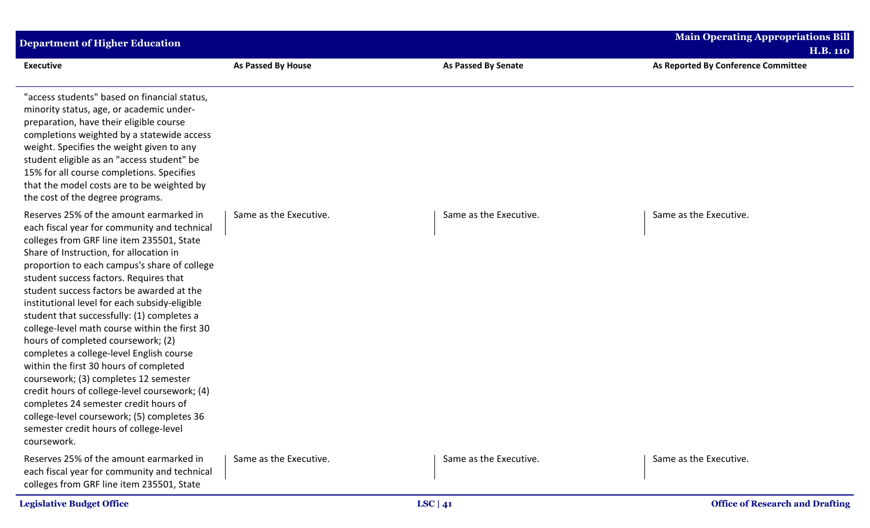| <b>Department of Higher Education</b>                                                                                                                                                                                                                                                                                                                                                                                                                                                                                                                                                                                                                                                                                                                                                                                                        |                        |                            | <b>Main Operating Appropriations Bill</b>              |
|----------------------------------------------------------------------------------------------------------------------------------------------------------------------------------------------------------------------------------------------------------------------------------------------------------------------------------------------------------------------------------------------------------------------------------------------------------------------------------------------------------------------------------------------------------------------------------------------------------------------------------------------------------------------------------------------------------------------------------------------------------------------------------------------------------------------------------------------|------------------------|----------------------------|--------------------------------------------------------|
| <b>Executive</b>                                                                                                                                                                                                                                                                                                                                                                                                                                                                                                                                                                                                                                                                                                                                                                                                                             | As Passed By House     | <b>As Passed By Senate</b> | <b>H.B. 110</b><br>As Reported By Conference Committee |
| "access students" based on financial status,<br>minority status, age, or academic under-<br>preparation, have their eligible course<br>completions weighted by a statewide access<br>weight. Specifies the weight given to any<br>student eligible as an "access student" be<br>15% for all course completions. Specifies<br>that the model costs are to be weighted by<br>the cost of the degree programs.                                                                                                                                                                                                                                                                                                                                                                                                                                  |                        |                            |                                                        |
| Reserves 25% of the amount earmarked in<br>each fiscal year for community and technical<br>colleges from GRF line item 235501, State<br>Share of Instruction, for allocation in<br>proportion to each campus's share of college<br>student success factors. Requires that<br>student success factors be awarded at the<br>institutional level for each subsidy-eligible<br>student that successfully: (1) completes a<br>college-level math course within the first 30<br>hours of completed coursework; (2)<br>completes a college-level English course<br>within the first 30 hours of completed<br>coursework; (3) completes 12 semester<br>credit hours of college-level coursework; (4)<br>completes 24 semester credit hours of<br>college-level coursework; (5) completes 36<br>semester credit hours of college-level<br>coursework. | Same as the Executive. | Same as the Executive.     | Same as the Executive.                                 |
| Reserves 25% of the amount earmarked in<br>each fiscal year for community and technical<br>colleges from GRF line item 235501, State                                                                                                                                                                                                                                                                                                                                                                                                                                                                                                                                                                                                                                                                                                         | Same as the Executive. | Same as the Executive.     | Same as the Executive.                                 |
| <b>Legislative Budget Office</b>                                                                                                                                                                                                                                                                                                                                                                                                                                                                                                                                                                                                                                                                                                                                                                                                             |                        | LSC   $41$                 | <b>Office of Research and Drafting</b>                 |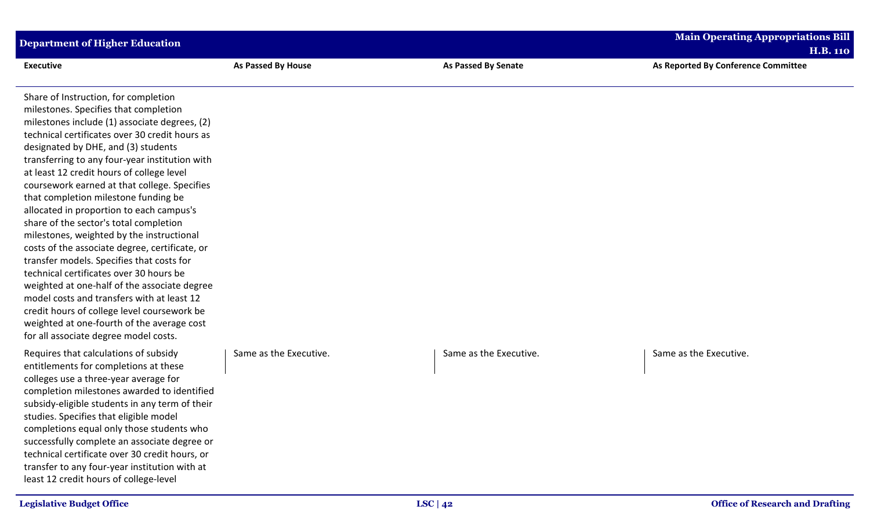| <b>Department of Higher Education</b>                                                                                                                                                                                                                                                                                                                                                                                                                                                                                                                                                                                                                                                                                                                                                                                                                                                                                           |                        |                            | <b>Main Operating Appropriations Bill</b><br><b>H.B. 110</b> |
|---------------------------------------------------------------------------------------------------------------------------------------------------------------------------------------------------------------------------------------------------------------------------------------------------------------------------------------------------------------------------------------------------------------------------------------------------------------------------------------------------------------------------------------------------------------------------------------------------------------------------------------------------------------------------------------------------------------------------------------------------------------------------------------------------------------------------------------------------------------------------------------------------------------------------------|------------------------|----------------------------|--------------------------------------------------------------|
| <b>Executive</b>                                                                                                                                                                                                                                                                                                                                                                                                                                                                                                                                                                                                                                                                                                                                                                                                                                                                                                                | As Passed By House     | <b>As Passed By Senate</b> | As Reported By Conference Committee                          |
| Share of Instruction, for completion<br>milestones. Specifies that completion<br>milestones include (1) associate degrees, (2)<br>technical certificates over 30 credit hours as<br>designated by DHE, and (3) students<br>transferring to any four-year institution with<br>at least 12 credit hours of college level<br>coursework earned at that college. Specifies<br>that completion milestone funding be<br>allocated in proportion to each campus's<br>share of the sector's total completion<br>milestones, weighted by the instructional<br>costs of the associate degree, certificate, or<br>transfer models. Specifies that costs for<br>technical certificates over 30 hours be<br>weighted at one-half of the associate degree<br>model costs and transfers with at least 12<br>credit hours of college level coursework be<br>weighted at one-fourth of the average cost<br>for all associate degree model costs. |                        |                            |                                                              |
| Requires that calculations of subsidy<br>entitlements for completions at these<br>colleges use a three-year average for<br>completion milestones awarded to identified<br>subsidy-eligible students in any term of their<br>studies. Specifies that eligible model<br>completions equal only those students who<br>successfully complete an associate degree or<br>technical certificate over 30 credit hours, or<br>transfer to any four-year institution with at<br>least 12 credit hours of college-level                                                                                                                                                                                                                                                                                                                                                                                                                    | Same as the Executive. | Same as the Executive.     | Same as the Executive.                                       |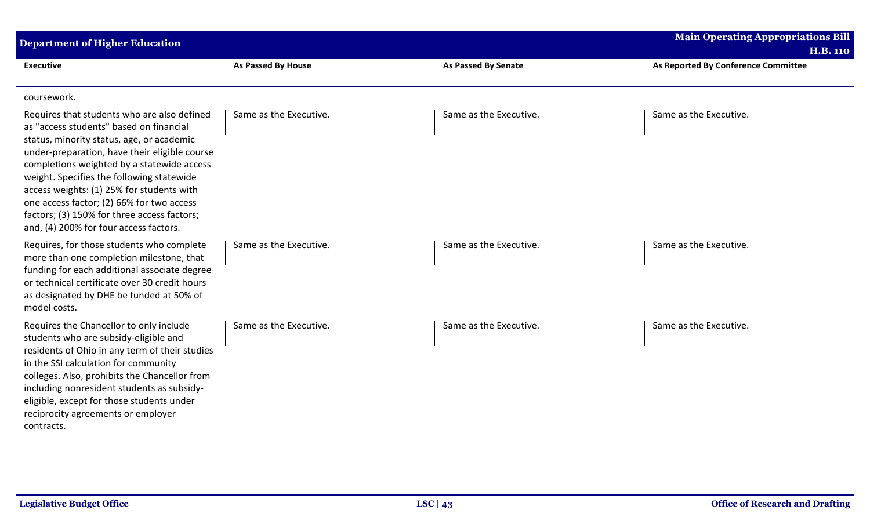| <b>Department of Higher Education</b>                                                                                                                                                                                                                                                                                                                                                                                                                              |                        |                        | <b>Main Operating Appropriations Bill</b><br><b>H.B. 110</b> |
|--------------------------------------------------------------------------------------------------------------------------------------------------------------------------------------------------------------------------------------------------------------------------------------------------------------------------------------------------------------------------------------------------------------------------------------------------------------------|------------------------|------------------------|--------------------------------------------------------------|
| <b>Executive</b>                                                                                                                                                                                                                                                                                                                                                                                                                                                   | As Passed By House     | As Passed By Senate    | As Reported By Conference Committee                          |
| coursework.                                                                                                                                                                                                                                                                                                                                                                                                                                                        |                        |                        |                                                              |
| Requires that students who are also defined<br>as "access students" based on financial<br>status, minority status, age, or academic<br>under-preparation, have their eligible course<br>completions weighted by a statewide access<br>weight. Specifies the following statewide<br>access weights: (1) 25% for students with<br>one access factor; (2) 66% for two access<br>factors; (3) 150% for three access factors;<br>and, (4) 200% for four access factors. | Same as the Executive. | Same as the Executive. | Same as the Executive.                                       |
| Requires, for those students who complete<br>more than one completion milestone, that<br>funding for each additional associate degree<br>or technical certificate over 30 credit hours<br>as designated by DHE be funded at 50% of<br>model costs.                                                                                                                                                                                                                 | Same as the Executive. | Same as the Executive. | Same as the Executive.                                       |
| Requires the Chancellor to only include<br>students who are subsidy-eligible and<br>residents of Ohio in any term of their studies<br>in the SSI calculation for community<br>colleges. Also, prohibits the Chancellor from<br>including nonresident students as subsidy-<br>eligible, except for those students under<br>reciprocity agreements or employer<br>contracts.                                                                                         | Same as the Executive. | Same as the Executive. | Same as the Executive.                                       |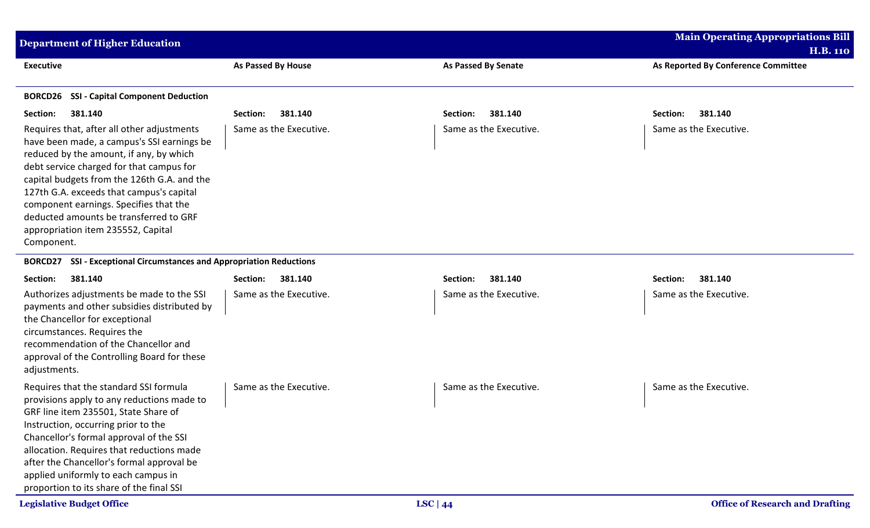| <b>Department of Higher Education</b>                                                                                                                                                                                                                                                                                                                                                                              |                           |                            | <b>Main Operating Appropriations Bill</b><br><b>H.B. 110</b> |
|--------------------------------------------------------------------------------------------------------------------------------------------------------------------------------------------------------------------------------------------------------------------------------------------------------------------------------------------------------------------------------------------------------------------|---------------------------|----------------------------|--------------------------------------------------------------|
| <b>Executive</b>                                                                                                                                                                                                                                                                                                                                                                                                   | <b>As Passed By House</b> | <b>As Passed By Senate</b> | As Reported By Conference Committee                          |
| <b>SSI - Capital Component Deduction</b><br><b>BORCD26</b>                                                                                                                                                                                                                                                                                                                                                         |                           |                            |                                                              |
| 381.140<br>Section:                                                                                                                                                                                                                                                                                                                                                                                                | 381.140<br>Section:       | 381.140<br>Section:        | 381.140<br>Section:                                          |
| Requires that, after all other adjustments<br>have been made, a campus's SSI earnings be<br>reduced by the amount, if any, by which<br>debt service charged for that campus for<br>capital budgets from the 126th G.A. and the<br>127th G.A. exceeds that campus's capital<br>component earnings. Specifies that the<br>deducted amounts be transferred to GRF<br>appropriation item 235552, Capital<br>Component. | Same as the Executive.    | Same as the Executive.     | Same as the Executive.                                       |
| <b>SSI - Exceptional Circumstances and Appropriation Reductions</b><br><b>BORCD27</b>                                                                                                                                                                                                                                                                                                                              |                           |                            |                                                              |
| 381.140<br>Section:                                                                                                                                                                                                                                                                                                                                                                                                | 381.140<br>Section:       | 381.140<br>Section:        | 381.140<br>Section:                                          |
| Authorizes adjustments be made to the SSI<br>payments and other subsidies distributed by<br>the Chancellor for exceptional<br>circumstances. Requires the<br>recommendation of the Chancellor and<br>approval of the Controlling Board for these<br>adjustments.                                                                                                                                                   | Same as the Executive.    | Same as the Executive.     | Same as the Executive.                                       |
| Requires that the standard SSI formula<br>provisions apply to any reductions made to<br>GRF line item 235501, State Share of<br>Instruction, occurring prior to the<br>Chancellor's formal approval of the SSI<br>allocation. Requires that reductions made<br>after the Chancellor's formal approval be<br>applied uniformly to each campus in<br>proportion to its share of the final SSI                        | Same as the Executive.    | Same as the Executive.     | Same as the Executive.                                       |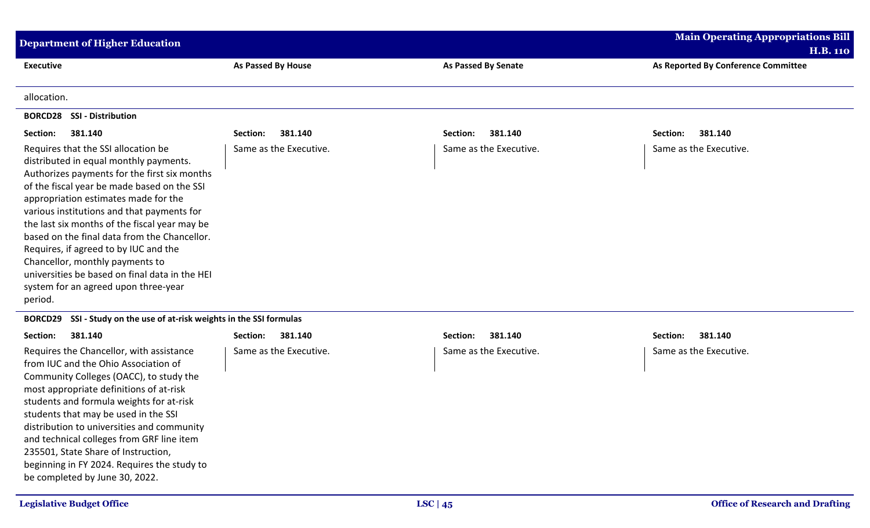| <b>Department of Higher Education</b>                                                                                                                                                                                                                                                                                                                                                                                                                                                                                                                |                           |                            | <b>Main Operating Appropriations Bill</b>              |
|------------------------------------------------------------------------------------------------------------------------------------------------------------------------------------------------------------------------------------------------------------------------------------------------------------------------------------------------------------------------------------------------------------------------------------------------------------------------------------------------------------------------------------------------------|---------------------------|----------------------------|--------------------------------------------------------|
| <b>Executive</b>                                                                                                                                                                                                                                                                                                                                                                                                                                                                                                                                     | <b>As Passed By House</b> | <b>As Passed By Senate</b> | <b>H.B. 110</b><br>As Reported By Conference Committee |
| allocation.                                                                                                                                                                                                                                                                                                                                                                                                                                                                                                                                          |                           |                            |                                                        |
| <b>BORCD28 SSI - Distribution</b>                                                                                                                                                                                                                                                                                                                                                                                                                                                                                                                    |                           |                            |                                                        |
| 381.140<br>Section:                                                                                                                                                                                                                                                                                                                                                                                                                                                                                                                                  | 381.140<br>Section:       | 381.140<br>Section:        | 381.140<br>Section:                                    |
| Requires that the SSI allocation be<br>distributed in equal monthly payments.<br>Authorizes payments for the first six months<br>of the fiscal year be made based on the SSI<br>appropriation estimates made for the<br>various institutions and that payments for<br>the last six months of the fiscal year may be<br>based on the final data from the Chancellor.<br>Requires, if agreed to by IUC and the<br>Chancellor, monthly payments to<br>universities be based on final data in the HEI<br>system for an agreed upon three-year<br>period. | Same as the Executive.    | Same as the Executive.     | Same as the Executive.                                 |
| SSI - Study on the use of at-risk weights in the SSI formulas<br><b>BORCD29</b>                                                                                                                                                                                                                                                                                                                                                                                                                                                                      |                           |                            |                                                        |
| Section:<br>381.140                                                                                                                                                                                                                                                                                                                                                                                                                                                                                                                                  | Section:<br>381.140       | 381.140<br>Section:        | 381.140<br>Section:                                    |
| Requires the Chancellor, with assistance<br>from IUC and the Ohio Association of<br>Community Colleges (OACC), to study the<br>most appropriate definitions of at-risk<br>students and formula weights for at-risk<br>students that may be used in the SSI<br>distribution to universities and community<br>and technical colleges from GRF line item<br>235501, State Share of Instruction,<br>beginning in FY 2024. Requires the study to<br>be completed by June 30, 2022.                                                                        | Same as the Executive.    | Same as the Executive.     | Same as the Executive.                                 |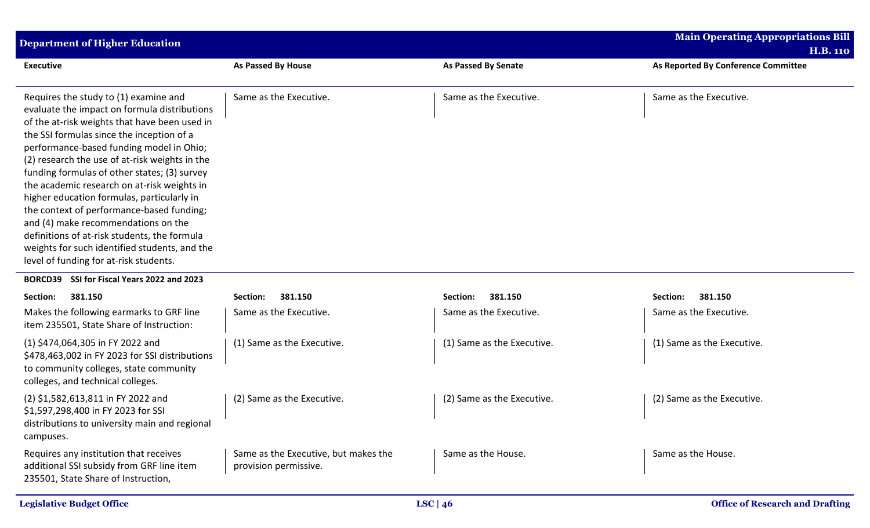| <b>Department of Higher Education</b>                                                                                                                                                                                                                                                                                                                                                                                                                                                                                                                                                                                                                         |                                                               |                            | <b>Main Operating Appropriations Bill</b><br><b>H.B. 110</b> |
|---------------------------------------------------------------------------------------------------------------------------------------------------------------------------------------------------------------------------------------------------------------------------------------------------------------------------------------------------------------------------------------------------------------------------------------------------------------------------------------------------------------------------------------------------------------------------------------------------------------------------------------------------------------|---------------------------------------------------------------|----------------------------|--------------------------------------------------------------|
| <b>Executive</b>                                                                                                                                                                                                                                                                                                                                                                                                                                                                                                                                                                                                                                              | As Passed By House                                            | <b>As Passed By Senate</b> | As Reported By Conference Committee                          |
| Requires the study to (1) examine and<br>evaluate the impact on formula distributions<br>of the at-risk weights that have been used in<br>the SSI formulas since the inception of a<br>performance-based funding model in Ohio;<br>(2) research the use of at-risk weights in the<br>funding formulas of other states; (3) survey<br>the academic research on at-risk weights in<br>higher education formulas, particularly in<br>the context of performance-based funding;<br>and (4) make recommendations on the<br>definitions of at-risk students, the formula<br>weights for such identified students, and the<br>level of funding for at-risk students. | Same as the Executive.                                        | Same as the Executive.     | Same as the Executive.                                       |
| SSI for Fiscal Years 2022 and 2023<br><b>BORCD39</b>                                                                                                                                                                                                                                                                                                                                                                                                                                                                                                                                                                                                          |                                                               |                            |                                                              |
| Section:<br>381.150                                                                                                                                                                                                                                                                                                                                                                                                                                                                                                                                                                                                                                           | 381.150<br>Section:                                           | 381.150<br>Section:        | 381.150<br>Section:                                          |
| Makes the following earmarks to GRF line<br>item 235501, State Share of Instruction:                                                                                                                                                                                                                                                                                                                                                                                                                                                                                                                                                                          | Same as the Executive.                                        | Same as the Executive.     | Same as the Executive.                                       |
| (1) \$474,064,305 in FY 2022 and<br>\$478,463,002 in FY 2023 for SSI distributions<br>to community colleges, state community<br>colleges, and technical colleges.                                                                                                                                                                                                                                                                                                                                                                                                                                                                                             | (1) Same as the Executive.                                    | (1) Same as the Executive. | (1) Same as the Executive.                                   |
| (2) \$1,582,613,811 in FY 2022 and<br>\$1,597,298,400 in FY 2023 for SSI<br>distributions to university main and regional<br>campuses.                                                                                                                                                                                                                                                                                                                                                                                                                                                                                                                        | (2) Same as the Executive.                                    | (2) Same as the Executive. | (2) Same as the Executive.                                   |
| Requires any institution that receives<br>additional SSI subsidy from GRF line item<br>235501, State Share of Instruction,                                                                                                                                                                                                                                                                                                                                                                                                                                                                                                                                    | Same as the Executive, but makes the<br>provision permissive. | Same as the House.         | Same as the House.                                           |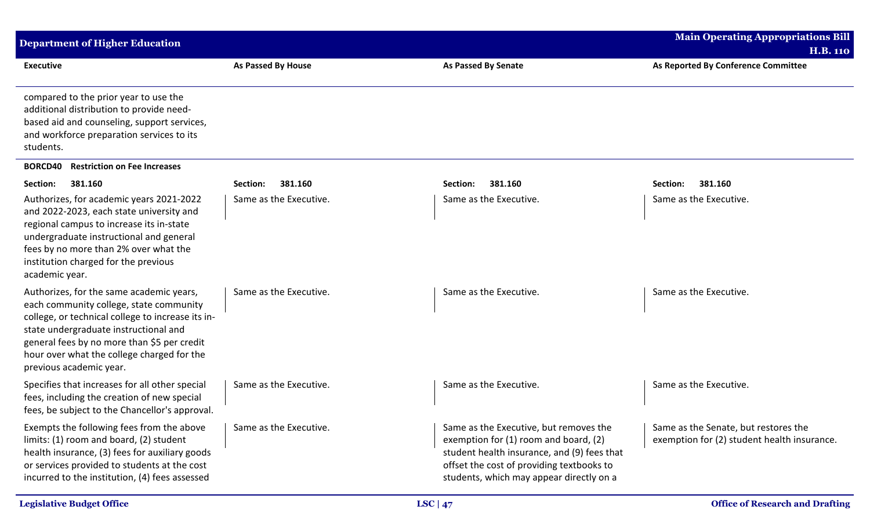| <b>Department of Higher Education</b>                                                                                                                                                                                                                                                                     |                           |                                                                                                                                                                                                                         | <b>Main Operating Appropriations Bill</b>                                           |
|-----------------------------------------------------------------------------------------------------------------------------------------------------------------------------------------------------------------------------------------------------------------------------------------------------------|---------------------------|-------------------------------------------------------------------------------------------------------------------------------------------------------------------------------------------------------------------------|-------------------------------------------------------------------------------------|
|                                                                                                                                                                                                                                                                                                           |                           |                                                                                                                                                                                                                         | <b>H.B. 110</b>                                                                     |
| <b>Executive</b>                                                                                                                                                                                                                                                                                          | <b>As Passed By House</b> | <b>As Passed By Senate</b>                                                                                                                                                                                              | As Reported By Conference Committee                                                 |
| compared to the prior year to use the<br>additional distribution to provide need-<br>based aid and counseling, support services,<br>and workforce preparation services to its<br>students.                                                                                                                |                           |                                                                                                                                                                                                                         |                                                                                     |
| <b>BORCD40</b><br><b>Restriction on Fee Increases</b>                                                                                                                                                                                                                                                     |                           |                                                                                                                                                                                                                         |                                                                                     |
| Section:<br>381.160                                                                                                                                                                                                                                                                                       | 381.160<br>Section:       | 381.160<br>Section:                                                                                                                                                                                                     | 381.160<br>Section:                                                                 |
| Authorizes, for academic years 2021-2022<br>and 2022-2023, each state university and<br>regional campus to increase its in-state<br>undergraduate instructional and general<br>fees by no more than 2% over what the<br>institution charged for the previous<br>academic year.                            | Same as the Executive.    | Same as the Executive.                                                                                                                                                                                                  | Same as the Executive.                                                              |
| Authorizes, for the same academic years,<br>each community college, state community<br>college, or technical college to increase its in-<br>state undergraduate instructional and<br>general fees by no more than \$5 per credit<br>hour over what the college charged for the<br>previous academic year. | Same as the Executive.    | Same as the Executive.                                                                                                                                                                                                  | Same as the Executive.                                                              |
| Specifies that increases for all other special<br>fees, including the creation of new special<br>fees, be subject to the Chancellor's approval.                                                                                                                                                           | Same as the Executive.    | Same as the Executive.                                                                                                                                                                                                  | Same as the Executive.                                                              |
| Exempts the following fees from the above<br>limits: (1) room and board, (2) student<br>health insurance, (3) fees for auxiliary goods<br>or services provided to students at the cost<br>incurred to the institution, (4) fees assessed                                                                  | Same as the Executive.    | Same as the Executive, but removes the<br>exemption for (1) room and board, (2)<br>student health insurance, and (9) fees that<br>offset the cost of providing textbooks to<br>students, which may appear directly on a | Same as the Senate, but restores the<br>exemption for (2) student health insurance. |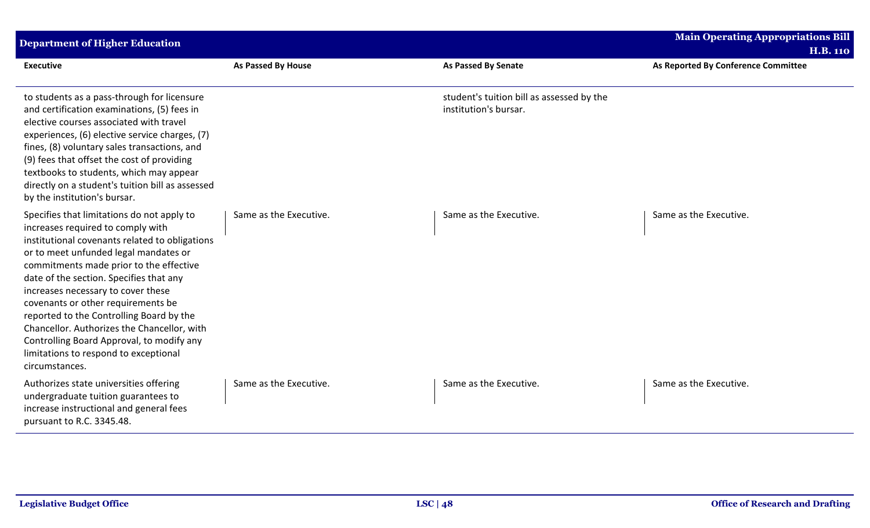| <b>Department of Higher Education</b>                                                                                                                                                                                                                                                                                                                                                                                                                                                                                                           |                        |                                                                    | <b>Main Operating Appropriations Bill</b>              |
|-------------------------------------------------------------------------------------------------------------------------------------------------------------------------------------------------------------------------------------------------------------------------------------------------------------------------------------------------------------------------------------------------------------------------------------------------------------------------------------------------------------------------------------------------|------------------------|--------------------------------------------------------------------|--------------------------------------------------------|
| <b>Executive</b>                                                                                                                                                                                                                                                                                                                                                                                                                                                                                                                                | As Passed By House     | <b>As Passed By Senate</b>                                         | <b>H.B. 110</b><br>As Reported By Conference Committee |
| to students as a pass-through for licensure<br>and certification examinations, (5) fees in<br>elective courses associated with travel<br>experiences, (6) elective service charges, (7)<br>fines, (8) voluntary sales transactions, and<br>(9) fees that offset the cost of providing<br>textbooks to students, which may appear<br>directly on a student's tuition bill as assessed<br>by the institution's bursar.                                                                                                                            |                        | student's tuition bill as assessed by the<br>institution's bursar. |                                                        |
| Specifies that limitations do not apply to<br>increases required to comply with<br>institutional covenants related to obligations<br>or to meet unfunded legal mandates or<br>commitments made prior to the effective<br>date of the section. Specifies that any<br>increases necessary to cover these<br>covenants or other requirements be<br>reported to the Controlling Board by the<br>Chancellor. Authorizes the Chancellor, with<br>Controlling Board Approval, to modify any<br>limitations to respond to exceptional<br>circumstances. | Same as the Executive. | Same as the Executive.                                             | Same as the Executive.                                 |
| Authorizes state universities offering<br>undergraduate tuition guarantees to<br>increase instructional and general fees<br>pursuant to R.C. 3345.48.                                                                                                                                                                                                                                                                                                                                                                                           | Same as the Executive. | Same as the Executive.                                             | Same as the Executive.                                 |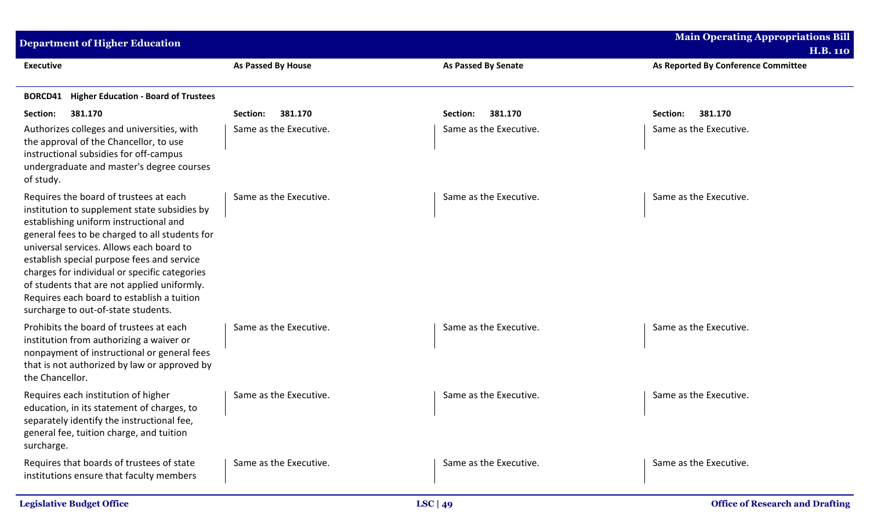| <b>Department of Higher Education</b>                                                                                                                                                                                                                                                                                                                                                                                                                             |                           |                            | <b>Main Operating Appropriations Bill</b><br><b>H.B. 110</b> |
|-------------------------------------------------------------------------------------------------------------------------------------------------------------------------------------------------------------------------------------------------------------------------------------------------------------------------------------------------------------------------------------------------------------------------------------------------------------------|---------------------------|----------------------------|--------------------------------------------------------------|
| <b>Executive</b>                                                                                                                                                                                                                                                                                                                                                                                                                                                  | <b>As Passed By House</b> | <b>As Passed By Senate</b> | As Reported By Conference Committee                          |
| <b>Higher Education - Board of Trustees</b><br><b>BORCD41</b>                                                                                                                                                                                                                                                                                                                                                                                                     |                           |                            |                                                              |
| Section:<br>381.170                                                                                                                                                                                                                                                                                                                                                                                                                                               | 381.170<br>Section:       | 381.170<br>Section:        | 381.170<br>Section:                                          |
| Authorizes colleges and universities, with<br>the approval of the Chancellor, to use<br>instructional subsidies for off-campus<br>undergraduate and master's degree courses<br>of study.                                                                                                                                                                                                                                                                          | Same as the Executive.    | Same as the Executive.     | Same as the Executive.                                       |
| Requires the board of trustees at each<br>institution to supplement state subsidies by<br>establishing uniform instructional and<br>general fees to be charged to all students for<br>universal services. Allows each board to<br>establish special purpose fees and service<br>charges for individual or specific categories<br>of students that are not applied uniformly.<br>Requires each board to establish a tuition<br>surcharge to out-of-state students. | Same as the Executive.    | Same as the Executive.     | Same as the Executive.                                       |
| Prohibits the board of trustees at each<br>institution from authorizing a waiver or<br>nonpayment of instructional or general fees<br>that is not authorized by law or approved by<br>the Chancellor.                                                                                                                                                                                                                                                             | Same as the Executive.    | Same as the Executive.     | Same as the Executive.                                       |
| Requires each institution of higher<br>education, in its statement of charges, to<br>separately identify the instructional fee,<br>general fee, tuition charge, and tuition<br>surcharge.                                                                                                                                                                                                                                                                         | Same as the Executive.    | Same as the Executive.     | Same as the Executive.                                       |
| Requires that boards of trustees of state<br>institutions ensure that faculty members                                                                                                                                                                                                                                                                                                                                                                             | Same as the Executive.    | Same as the Executive.     | Same as the Executive.                                       |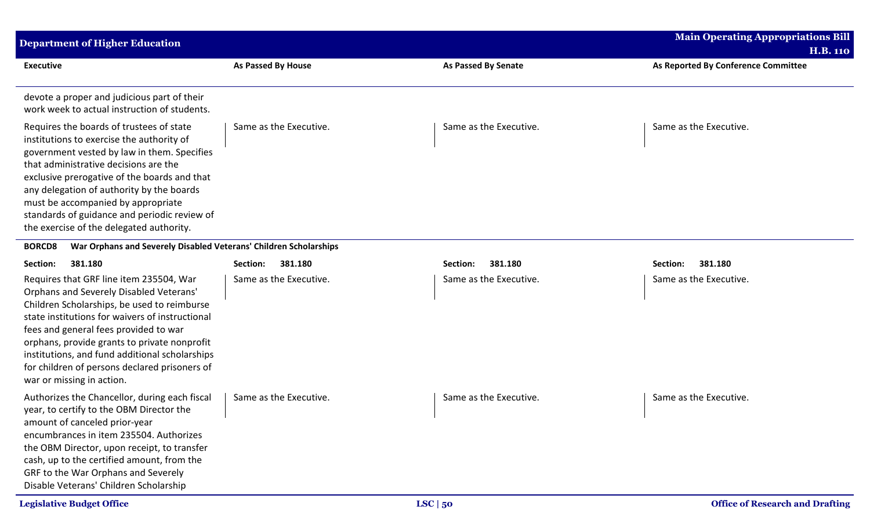| <b>Department of Higher Education</b>                                                                                                                                                                                                                                                                                                                                                                         |                           |                            | <b>Main Operating Appropriations Bill</b>              |
|---------------------------------------------------------------------------------------------------------------------------------------------------------------------------------------------------------------------------------------------------------------------------------------------------------------------------------------------------------------------------------------------------------------|---------------------------|----------------------------|--------------------------------------------------------|
| <b>Executive</b>                                                                                                                                                                                                                                                                                                                                                                                              | <b>As Passed By House</b> | <b>As Passed By Senate</b> | <b>H.B. 110</b><br>As Reported By Conference Committee |
| devote a proper and judicious part of their<br>work week to actual instruction of students.                                                                                                                                                                                                                                                                                                                   |                           |                            |                                                        |
| Requires the boards of trustees of state<br>institutions to exercise the authority of<br>government vested by law in them. Specifies<br>that administrative decisions are the<br>exclusive prerogative of the boards and that<br>any delegation of authority by the boards<br>must be accompanied by appropriate<br>standards of guidance and periodic review of<br>the exercise of the delegated authority.  | Same as the Executive.    | Same as the Executive.     | Same as the Executive.                                 |
| War Orphans and Severely Disabled Veterans' Children Scholarships<br><b>BORCD8</b>                                                                                                                                                                                                                                                                                                                            |                           |                            |                                                        |
| 381.180<br>Section:                                                                                                                                                                                                                                                                                                                                                                                           | 381.180<br>Section:       | 381.180<br>Section:        | 381.180<br>Section:                                    |
| Requires that GRF line item 235504, War<br>Orphans and Severely Disabled Veterans'<br>Children Scholarships, be used to reimburse<br>state institutions for waivers of instructional<br>fees and general fees provided to war<br>orphans, provide grants to private nonprofit<br>institutions, and fund additional scholarships<br>for children of persons declared prisoners of<br>war or missing in action. | Same as the Executive.    | Same as the Executive.     | Same as the Executive.                                 |
| Authorizes the Chancellor, during each fiscal<br>year, to certify to the OBM Director the<br>amount of canceled prior-year<br>encumbrances in item 235504. Authorizes<br>the OBM Director, upon receipt, to transfer<br>cash, up to the certified amount, from the<br>GRF to the War Orphans and Severely<br>Disable Veterans' Children Scholarship                                                           | Same as the Executive.    | Same as the Executive.     | Same as the Executive.                                 |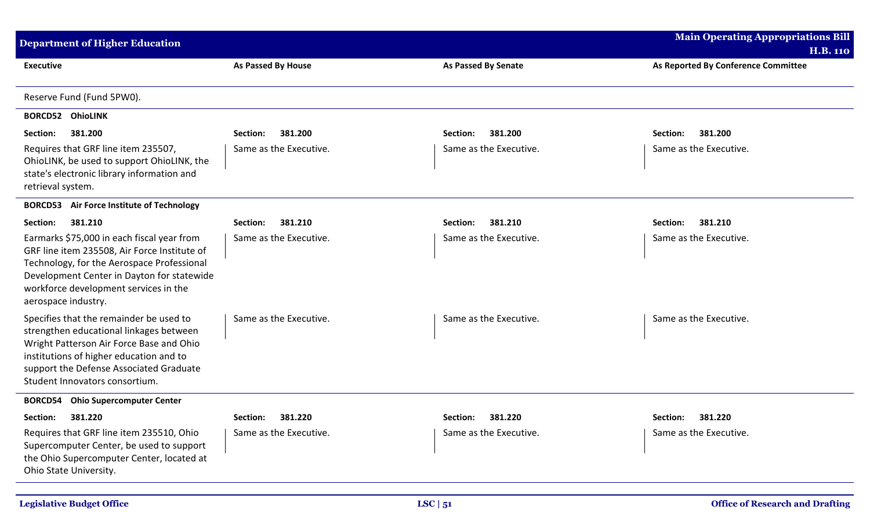| <b>Department of Higher Education</b>                                                                                                                                                                                                                  |                        | <b>Main Operating Appropriations Bill</b> |                                     |
|--------------------------------------------------------------------------------------------------------------------------------------------------------------------------------------------------------------------------------------------------------|------------------------|-------------------------------------------|-------------------------------------|
|                                                                                                                                                                                                                                                        |                        |                                           | <b>H.B. 110</b>                     |
| <b>Executive</b>                                                                                                                                                                                                                                       | As Passed By House     | <b>As Passed By Senate</b>                | As Reported By Conference Committee |
| Reserve Fund (Fund 5PW0).                                                                                                                                                                                                                              |                        |                                           |                                     |
| <b>BORCD52 OhioLINK</b>                                                                                                                                                                                                                                |                        |                                           |                                     |
| 381.200<br>Section:                                                                                                                                                                                                                                    | 381.200<br>Section:    | 381.200<br>Section:                       | Section:<br>381.200                 |
| Requires that GRF line item 235507,<br>OhioLINK, be used to support OhioLINK, the<br>state's electronic library information and<br>retrieval system.                                                                                                   | Same as the Executive. | Same as the Executive.                    | Same as the Executive.              |
| <b>BORCD53</b> Air Force Institute of Technology                                                                                                                                                                                                       |                        |                                           |                                     |
| 381.210<br>Section:                                                                                                                                                                                                                                    | 381.210<br>Section:    | 381.210<br>Section:                       | 381.210<br>Section:                 |
| Earmarks \$75,000 in each fiscal year from<br>GRF line item 235508, Air Force Institute of<br>Technology, for the Aerospace Professional<br>Development Center in Dayton for statewide<br>workforce development services in the<br>aerospace industry. | Same as the Executive. | Same as the Executive.                    | Same as the Executive.              |
| Specifies that the remainder be used to<br>strengthen educational linkages between<br>Wright Patterson Air Force Base and Ohio<br>institutions of higher education and to<br>support the Defense Associated Graduate<br>Student Innovators consortium. | Same as the Executive. | Same as the Executive.                    | Same as the Executive.              |
| <b>BORCD54</b> Ohio Supercomputer Center                                                                                                                                                                                                               |                        |                                           |                                     |
| Section: 381.220                                                                                                                                                                                                                                       | Section: 381.220       | Section: 381.220                          | Section: 381.220                    |
| Requires that GRF line item 235510, Ohio<br>Supercomputer Center, be used to support<br>the Ohio Supercomputer Center, located at<br>Ohio State University.                                                                                            | Same as the Executive. | Same as the Executive.                    | Same as the Executive.              |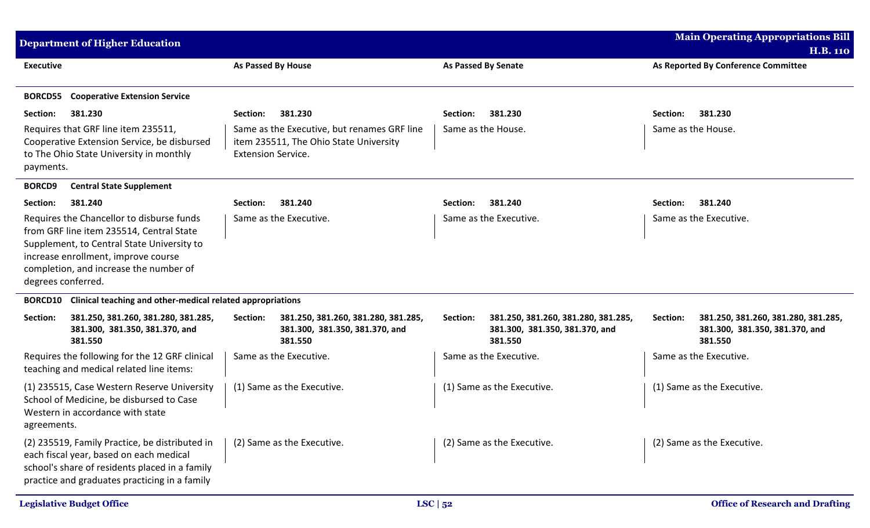| <b>Department of Higher Education</b>                                                                                                                                                                                                      |                                                                                                                    |                                                                                              | <b>Main Operating Appropriations Bill</b><br><b>H.B. 110</b>                                 |
|--------------------------------------------------------------------------------------------------------------------------------------------------------------------------------------------------------------------------------------------|--------------------------------------------------------------------------------------------------------------------|----------------------------------------------------------------------------------------------|----------------------------------------------------------------------------------------------|
| <b>Executive</b>                                                                                                                                                                                                                           | <b>As Passed By House</b>                                                                                          | <b>As Passed By Senate</b>                                                                   | As Reported By Conference Committee                                                          |
| <b>BORCD55</b><br><b>Cooperative Extension Service</b>                                                                                                                                                                                     |                                                                                                                    |                                                                                              |                                                                                              |
| 381.230<br>Section:                                                                                                                                                                                                                        | Section:<br>381.230                                                                                                | 381.230<br>Section:                                                                          | Section:<br>381.230                                                                          |
| Requires that GRF line item 235511,<br>Cooperative Extension Service, be disbursed<br>to The Ohio State University in monthly<br>payments.                                                                                                 | Same as the Executive, but renames GRF line<br>item 235511, The Ohio State University<br><b>Extension Service.</b> | Same as the House.                                                                           | Same as the House.                                                                           |
| <b>BORCD9</b><br><b>Central State Supplement</b>                                                                                                                                                                                           |                                                                                                                    |                                                                                              |                                                                                              |
| 381.240<br>Section:                                                                                                                                                                                                                        | 381.240<br>Section:                                                                                                | 381.240<br>Section:                                                                          | 381.240<br>Section:                                                                          |
| Requires the Chancellor to disburse funds<br>from GRF line item 235514, Central State<br>Supplement, to Central State University to<br>increase enrollment, improve course<br>completion, and increase the number of<br>degrees conferred. | Same as the Executive.                                                                                             | Same as the Executive.                                                                       | Same as the Executive.                                                                       |
| Clinical teaching and other-medical related appropriations<br><b>BORCD10</b>                                                                                                                                                               |                                                                                                                    |                                                                                              |                                                                                              |
| Section:<br>381.250, 381.260, 381.280, 381.285,<br>381.300, 381.350, 381.370, and<br>381.550                                                                                                                                               | 381.250, 381.260, 381.280, 381.285,<br>Section:<br>381.300, 381.350, 381.370, and<br>381.550                       | 381.250, 381.260, 381.280, 381.285,<br>Section:<br>381.300, 381.350, 381.370, and<br>381.550 | Section:<br>381.250, 381.260, 381.280, 381.285,<br>381.300, 381.350, 381.370, and<br>381.550 |
| Requires the following for the 12 GRF clinical<br>teaching and medical related line items:                                                                                                                                                 | Same as the Executive.                                                                                             | Same as the Executive.                                                                       | Same as the Executive.                                                                       |
| (1) 235515, Case Western Reserve University<br>School of Medicine, be disbursed to Case<br>Western in accordance with state<br>agreements.                                                                                                 | (1) Same as the Executive.                                                                                         | (1) Same as the Executive.                                                                   | (1) Same as the Executive.                                                                   |
| (2) 235519, Family Practice, be distributed in<br>each fiscal year, based on each medical<br>school's share of residents placed in a family<br>practice and graduates practicing in a family                                               | (2) Same as the Executive.                                                                                         | (2) Same as the Executive.                                                                   | (2) Same as the Executive.                                                                   |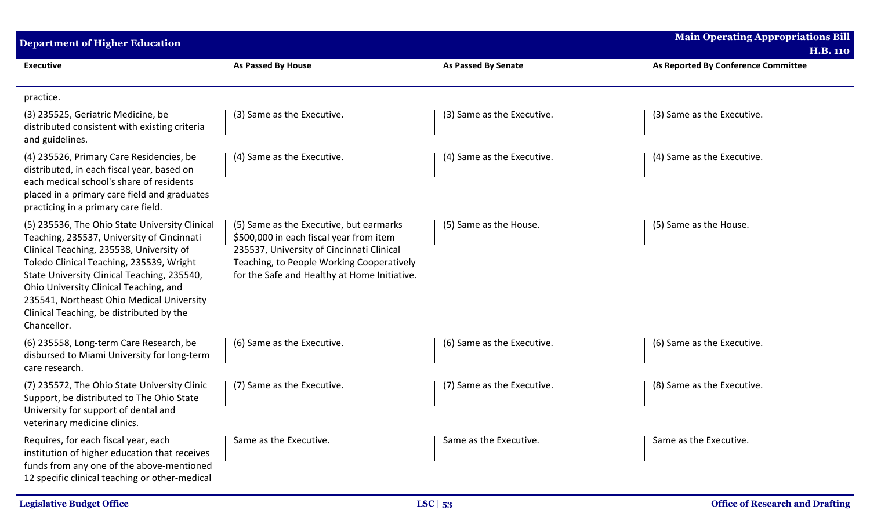| <b>Department of Higher Education</b>                                                                                                                                                                                                                                                                                                                                                 |                                                                                                                                                                                                                              |                            | <b>Main Operating Appropriations Bill</b><br><b>H.B. 110</b> |
|---------------------------------------------------------------------------------------------------------------------------------------------------------------------------------------------------------------------------------------------------------------------------------------------------------------------------------------------------------------------------------------|------------------------------------------------------------------------------------------------------------------------------------------------------------------------------------------------------------------------------|----------------------------|--------------------------------------------------------------|
| <b>Executive</b>                                                                                                                                                                                                                                                                                                                                                                      | As Passed By House                                                                                                                                                                                                           | As Passed By Senate        | As Reported By Conference Committee                          |
| practice.                                                                                                                                                                                                                                                                                                                                                                             |                                                                                                                                                                                                                              |                            |                                                              |
| (3) 235525, Geriatric Medicine, be<br>distributed consistent with existing criteria<br>and guidelines.                                                                                                                                                                                                                                                                                | (3) Same as the Executive.                                                                                                                                                                                                   | (3) Same as the Executive. | (3) Same as the Executive.                                   |
| (4) 235526, Primary Care Residencies, be<br>distributed, in each fiscal year, based on<br>each medical school's share of residents<br>placed in a primary care field and graduates<br>practicing in a primary care field.                                                                                                                                                             | (4) Same as the Executive.                                                                                                                                                                                                   | (4) Same as the Executive. | (4) Same as the Executive.                                   |
| (5) 235536, The Ohio State University Clinical<br>Teaching, 235537, University of Cincinnati<br>Clinical Teaching, 235538, University of<br>Toledo Clinical Teaching, 235539, Wright<br>State University Clinical Teaching, 235540,<br>Ohio University Clinical Teaching, and<br>235541, Northeast Ohio Medical University<br>Clinical Teaching, be distributed by the<br>Chancellor. | (5) Same as the Executive, but earmarks<br>\$500,000 in each fiscal year from item<br>235537, University of Cincinnati Clinical<br>Teaching, to People Working Cooperatively<br>for the Safe and Healthy at Home Initiative. | (5) Same as the House.     | (5) Same as the House.                                       |
| (6) 235558, Long-term Care Research, be<br>disbursed to Miami University for long-term<br>care research.                                                                                                                                                                                                                                                                              | (6) Same as the Executive.                                                                                                                                                                                                   | (6) Same as the Executive. | (6) Same as the Executive.                                   |
| (7) 235572, The Ohio State University Clinic<br>Support, be distributed to The Ohio State<br>University for support of dental and<br>veterinary medicine clinics.                                                                                                                                                                                                                     | (7) Same as the Executive.                                                                                                                                                                                                   | (7) Same as the Executive. | (8) Same as the Executive.                                   |
| Requires, for each fiscal year, each<br>institution of higher education that receives<br>funds from any one of the above-mentioned<br>12 specific clinical teaching or other-medical                                                                                                                                                                                                  | Same as the Executive.                                                                                                                                                                                                       | Same as the Executive.     | Same as the Executive.                                       |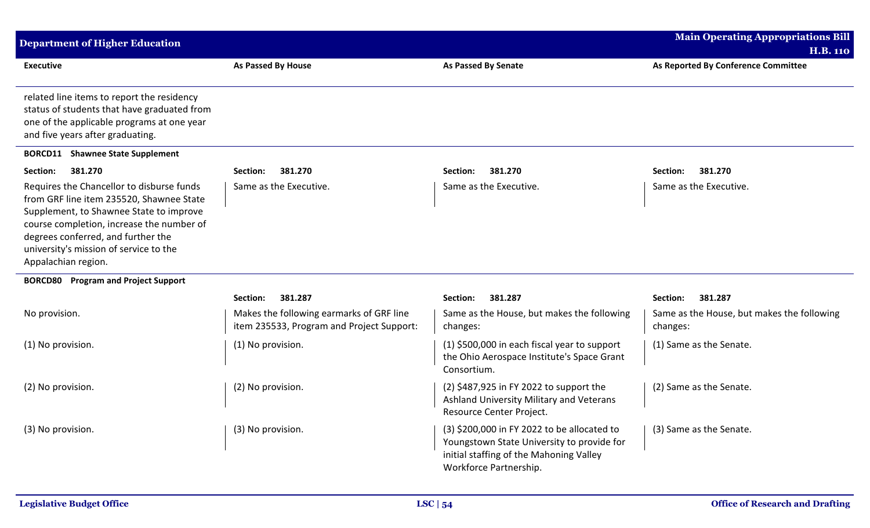| <b>Department of Higher Education</b>                                                                                                                                                                                                                                                |                                                                                       |                                                                                                                                                                | <b>Main Operating Appropriations Bill</b>              |
|--------------------------------------------------------------------------------------------------------------------------------------------------------------------------------------------------------------------------------------------------------------------------------------|---------------------------------------------------------------------------------------|----------------------------------------------------------------------------------------------------------------------------------------------------------------|--------------------------------------------------------|
|                                                                                                                                                                                                                                                                                      |                                                                                       |                                                                                                                                                                | <b>H.B. 110</b>                                        |
| <b>Executive</b>                                                                                                                                                                                                                                                                     | <b>As Passed By House</b>                                                             | <b>As Passed By Senate</b>                                                                                                                                     | As Reported By Conference Committee                    |
| related line items to report the residency<br>status of students that have graduated from<br>one of the applicable programs at one year<br>and five years after graduating.                                                                                                          |                                                                                       |                                                                                                                                                                |                                                        |
| <b>BORCD11</b> Shawnee State Supplement                                                                                                                                                                                                                                              |                                                                                       |                                                                                                                                                                |                                                        |
| 381.270<br>Section:                                                                                                                                                                                                                                                                  | 381.270<br>Section:                                                                   | 381.270<br>Section:                                                                                                                                            | 381.270<br>Section:                                    |
| Requires the Chancellor to disburse funds<br>from GRF line item 235520, Shawnee State<br>Supplement, to Shawnee State to improve<br>course completion, increase the number of<br>degrees conferred, and further the<br>university's mission of service to the<br>Appalachian region. | Same as the Executive.                                                                | Same as the Executive.                                                                                                                                         | Same as the Executive.                                 |
| <b>BORCD80</b> Program and Project Support                                                                                                                                                                                                                                           |                                                                                       |                                                                                                                                                                |                                                        |
|                                                                                                                                                                                                                                                                                      | 381.287<br>Section:                                                                   | Section:<br>381.287                                                                                                                                            | Section:<br>381.287                                    |
| No provision.                                                                                                                                                                                                                                                                        | Makes the following earmarks of GRF line<br>item 235533, Program and Project Support: | Same as the House, but makes the following<br>changes:                                                                                                         | Same as the House, but makes the following<br>changes: |
| (1) No provision.                                                                                                                                                                                                                                                                    | (1) No provision.                                                                     | (1) \$500,000 in each fiscal year to support<br>the Ohio Aerospace Institute's Space Grant<br>Consortium.                                                      | (1) Same as the Senate.                                |
| (2) No provision.                                                                                                                                                                                                                                                                    | (2) No provision.                                                                     | (2) \$487,925 in FY 2022 to support the<br>Ashland University Military and Veterans<br>Resource Center Project.                                                | (2) Same as the Senate.                                |
| (3) No provision.                                                                                                                                                                                                                                                                    | (3) No provision.                                                                     | (3) \$200,000 in FY 2022 to be allocated to<br>Youngstown State University to provide for<br>initial staffing of the Mahoning Valley<br>Workforce Partnership. | (3) Same as the Senate.                                |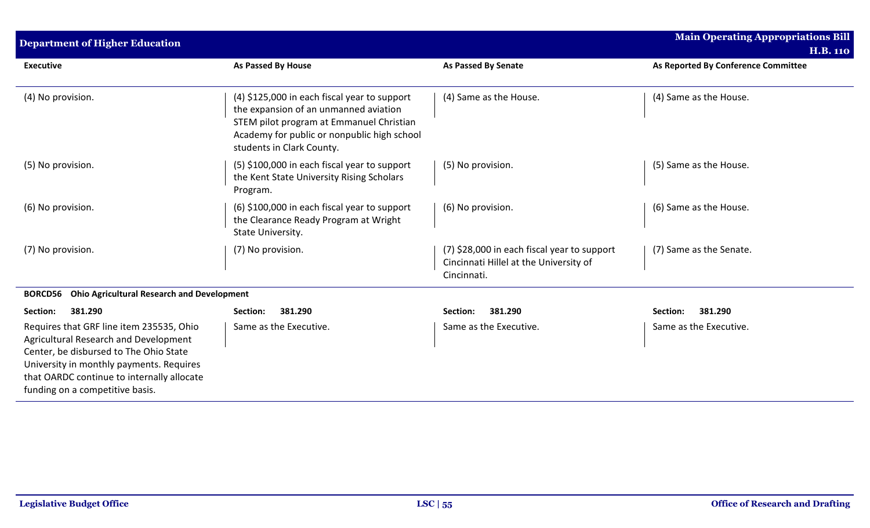| <b>Department of Higher Education</b>                                                                                                                                                                                                                    |                                                                                                                                                                                                               |                                                                                                      | <b>Main Operating Appropriations Bill</b><br><b>H.B. 110</b> |
|----------------------------------------------------------------------------------------------------------------------------------------------------------------------------------------------------------------------------------------------------------|---------------------------------------------------------------------------------------------------------------------------------------------------------------------------------------------------------------|------------------------------------------------------------------------------------------------------|--------------------------------------------------------------|
| <b>Executive</b>                                                                                                                                                                                                                                         | <b>As Passed By House</b>                                                                                                                                                                                     | <b>As Passed By Senate</b>                                                                           | As Reported By Conference Committee                          |
| (4) No provision.                                                                                                                                                                                                                                        | (4) \$125,000 in each fiscal year to support<br>the expansion of an unmanned aviation<br>STEM pilot program at Emmanuel Christian<br>Academy for public or nonpublic high school<br>students in Clark County. | (4) Same as the House.                                                                               | (4) Same as the House.                                       |
| (5) No provision.                                                                                                                                                                                                                                        | (5) \$100,000 in each fiscal year to support<br>the Kent State University Rising Scholars<br>Program.                                                                                                         | (5) No provision.                                                                                    | (5) Same as the House.                                       |
| (6) No provision.                                                                                                                                                                                                                                        | (6) \$100,000 in each fiscal year to support<br>the Clearance Ready Program at Wright<br>State University.                                                                                                    | (6) No provision.                                                                                    | (6) Same as the House.                                       |
| (7) No provision.                                                                                                                                                                                                                                        | (7) No provision.                                                                                                                                                                                             | (7) \$28,000 in each fiscal year to support<br>Cincinnati Hillel at the University of<br>Cincinnati. | (7) Same as the Senate.                                      |
| <b>Ohio Agricultural Research and Development</b><br><b>BORCD56</b>                                                                                                                                                                                      |                                                                                                                                                                                                               |                                                                                                      |                                                              |
| 381.290<br>Section:                                                                                                                                                                                                                                      | 381.290<br>Section:                                                                                                                                                                                           | 381.290<br>Section:                                                                                  | 381.290<br>Section:                                          |
| Requires that GRF line item 235535, Ohio<br>Agricultural Research and Development<br>Center, be disbursed to The Ohio State<br>University in monthly payments. Requires<br>that OARDC continue to internally allocate<br>funding on a competitive basis. | Same as the Executive.                                                                                                                                                                                        | Same as the Executive.                                                                               | Same as the Executive.                                       |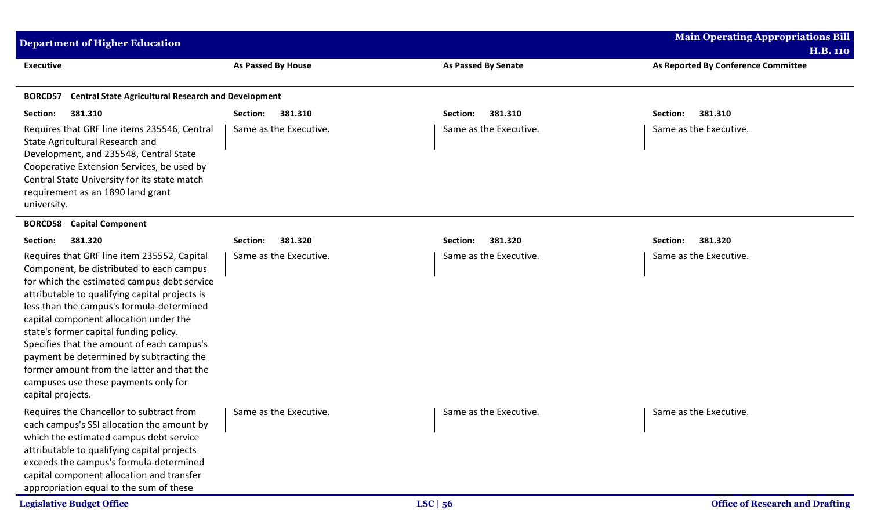| <b>Department of Higher Education</b>                                                                                                                                                                                                                                                                                                                                                                                                                                                                                          |                        |                            | <b>Main Operating Appropriations Bill</b>              |
|--------------------------------------------------------------------------------------------------------------------------------------------------------------------------------------------------------------------------------------------------------------------------------------------------------------------------------------------------------------------------------------------------------------------------------------------------------------------------------------------------------------------------------|------------------------|----------------------------|--------------------------------------------------------|
| <b>Executive</b>                                                                                                                                                                                                                                                                                                                                                                                                                                                                                                               | As Passed By House     | <b>As Passed By Senate</b> | <b>H.B. 110</b><br>As Reported By Conference Committee |
| <b>Central State Agricultural Research and Development</b><br><b>BORCD57</b>                                                                                                                                                                                                                                                                                                                                                                                                                                                   |                        |                            |                                                        |
| 381.310<br>Section:                                                                                                                                                                                                                                                                                                                                                                                                                                                                                                            | 381.310<br>Section:    | 381.310<br>Section:        | Section:<br>381.310                                    |
| Requires that GRF line items 235546, Central<br>State Agricultural Research and<br>Development, and 235548, Central State<br>Cooperative Extension Services, be used by<br>Central State University for its state match<br>requirement as an 1890 land grant<br>university.                                                                                                                                                                                                                                                    | Same as the Executive. | Same as the Executive.     | Same as the Executive.                                 |
| <b>Capital Component</b><br><b>BORCD58</b>                                                                                                                                                                                                                                                                                                                                                                                                                                                                                     |                        |                            |                                                        |
| 381.320<br>Section:                                                                                                                                                                                                                                                                                                                                                                                                                                                                                                            | 381.320<br>Section:    | 381.320<br>Section:        | 381.320<br>Section:                                    |
| Requires that GRF line item 235552, Capital<br>Component, be distributed to each campus<br>for which the estimated campus debt service<br>attributable to qualifying capital projects is<br>less than the campus's formula-determined<br>capital component allocation under the<br>state's former capital funding policy.<br>Specifies that the amount of each campus's<br>payment be determined by subtracting the<br>former amount from the latter and that the<br>campuses use these payments only for<br>capital projects. | Same as the Executive. | Same as the Executive.     | Same as the Executive.                                 |
| Requires the Chancellor to subtract from<br>each campus's SSI allocation the amount by<br>which the estimated campus debt service<br>attributable to qualifying capital projects<br>exceeds the campus's formula-determined<br>capital component allocation and transfer<br>appropriation equal to the sum of these                                                                                                                                                                                                            | Same as the Executive. | Same as the Executive.     | Same as the Executive.                                 |
| <b>Legislative Budget Office</b>                                                                                                                                                                                                                                                                                                                                                                                                                                                                                               |                        | LSC   56                   | <b>Office of Research and Drafting</b>                 |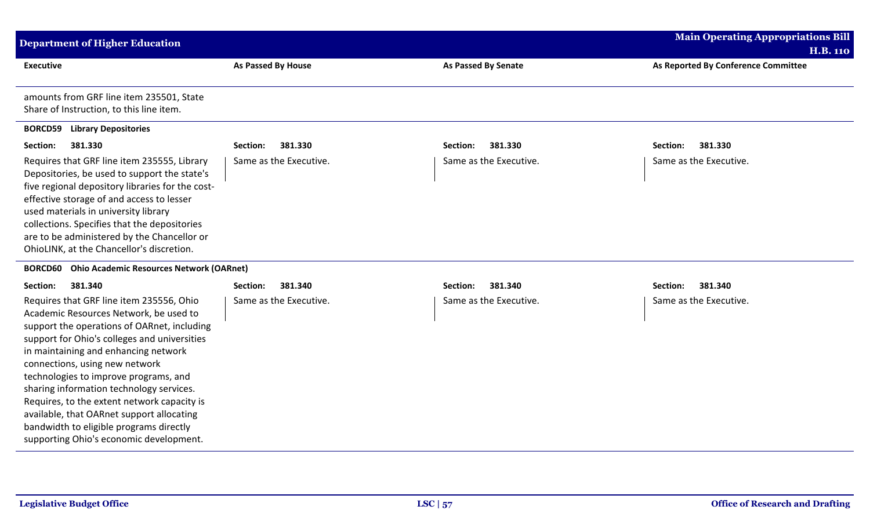| <b>Department of Higher Education</b>                                                                                                                                                                                                                                                                                                                                                                                                                                                                                              |                           |                            | <b>Main Operating Appropriations Bill</b>              |
|------------------------------------------------------------------------------------------------------------------------------------------------------------------------------------------------------------------------------------------------------------------------------------------------------------------------------------------------------------------------------------------------------------------------------------------------------------------------------------------------------------------------------------|---------------------------|----------------------------|--------------------------------------------------------|
| <b>Executive</b>                                                                                                                                                                                                                                                                                                                                                                                                                                                                                                                   | <b>As Passed By House</b> | <b>As Passed By Senate</b> | <b>H.B. 110</b><br>As Reported By Conference Committee |
| amounts from GRF line item 235501, State<br>Share of Instruction, to this line item.                                                                                                                                                                                                                                                                                                                                                                                                                                               |                           |                            |                                                        |
| <b>BORCD59 Library Depositories</b>                                                                                                                                                                                                                                                                                                                                                                                                                                                                                                |                           |                            |                                                        |
| 381.330<br>Section:                                                                                                                                                                                                                                                                                                                                                                                                                                                                                                                | 381.330<br>Section:       | 381.330<br>Section:        | 381.330<br>Section:                                    |
| Requires that GRF line item 235555, Library<br>Depositories, be used to support the state's<br>five regional depository libraries for the cost-<br>effective storage of and access to lesser<br>used materials in university library<br>collections. Specifies that the depositories<br>are to be administered by the Chancellor or<br>OhioLINK, at the Chancellor's discretion.                                                                                                                                                   | Same as the Executive.    | Same as the Executive.     | Same as the Executive.                                 |
| <b>BORCD60</b> Ohio Academic Resources Network (OARnet)                                                                                                                                                                                                                                                                                                                                                                                                                                                                            |                           |                            |                                                        |
| Section:<br>381.340                                                                                                                                                                                                                                                                                                                                                                                                                                                                                                                | Section:<br>381.340       | 381.340<br>Section:        | 381.340<br>Section:                                    |
| Requires that GRF line item 235556, Ohio<br>Academic Resources Network, be used to<br>support the operations of OARnet, including<br>support for Ohio's colleges and universities<br>in maintaining and enhancing network<br>connections, using new network<br>technologies to improve programs, and<br>sharing information technology services.<br>Requires, to the extent network capacity is<br>available, that OARnet support allocating<br>bandwidth to eligible programs directly<br>supporting Ohio's economic development. | Same as the Executive.    | Same as the Executive.     | Same as the Executive.                                 |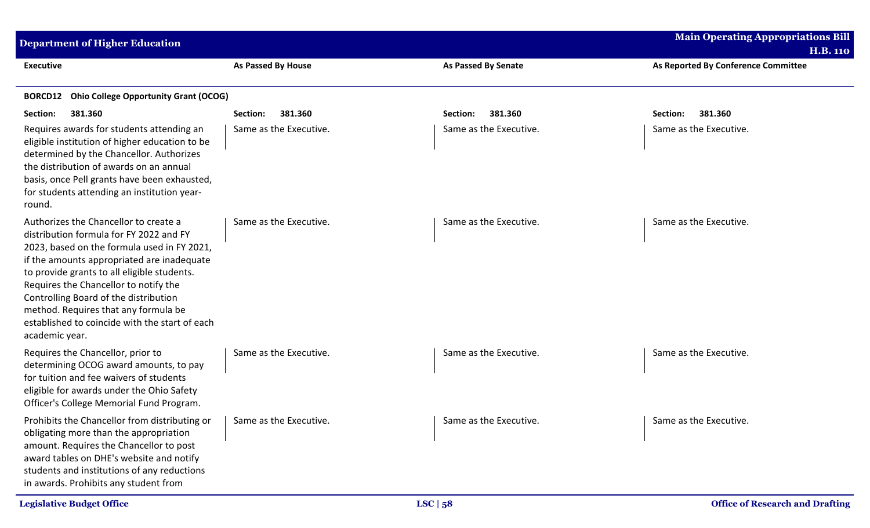| <b>Department of Higher Education</b>                                                                                                                                                                                                                                                                                                                                                                                      |                           |                            | <b>Main Operating Appropriations Bill</b> |  |
|----------------------------------------------------------------------------------------------------------------------------------------------------------------------------------------------------------------------------------------------------------------------------------------------------------------------------------------------------------------------------------------------------------------------------|---------------------------|----------------------------|-------------------------------------------|--|
|                                                                                                                                                                                                                                                                                                                                                                                                                            |                           |                            | <b>H.B. 110</b>                           |  |
| <b>Executive</b>                                                                                                                                                                                                                                                                                                                                                                                                           | <b>As Passed By House</b> | <b>As Passed By Senate</b> | As Reported By Conference Committee       |  |
| <b>Ohio College Opportunity Grant (OCOG)</b><br><b>BORCD12</b>                                                                                                                                                                                                                                                                                                                                                             |                           |                            |                                           |  |
| 381.360<br>Section:                                                                                                                                                                                                                                                                                                                                                                                                        | 381.360<br>Section:       | 381.360<br>Section:        | 381.360<br>Section:                       |  |
| Requires awards for students attending an<br>eligible institution of higher education to be<br>determined by the Chancellor. Authorizes<br>the distribution of awards on an annual<br>basis, once Pell grants have been exhausted,<br>for students attending an institution year-<br>round.                                                                                                                                | Same as the Executive.    | Same as the Executive.     | Same as the Executive.                    |  |
| Authorizes the Chancellor to create a<br>distribution formula for FY 2022 and FY<br>2023, based on the formula used in FY 2021,<br>if the amounts appropriated are inadequate<br>to provide grants to all eligible students.<br>Requires the Chancellor to notify the<br>Controlling Board of the distribution<br>method. Requires that any formula be<br>established to coincide with the start of each<br>academic year. | Same as the Executive.    | Same as the Executive.     | Same as the Executive.                    |  |
| Requires the Chancellor, prior to<br>determining OCOG award amounts, to pay<br>for tuition and fee waivers of students<br>eligible for awards under the Ohio Safety<br>Officer's College Memorial Fund Program.                                                                                                                                                                                                            | Same as the Executive.    | Same as the Executive.     | Same as the Executive.                    |  |
| Prohibits the Chancellor from distributing or<br>obligating more than the appropriation<br>amount. Requires the Chancellor to post<br>award tables on DHE's website and notify<br>students and institutions of any reductions<br>in awards. Prohibits any student from                                                                                                                                                     | Same as the Executive.    | Same as the Executive.     | Same as the Executive.                    |  |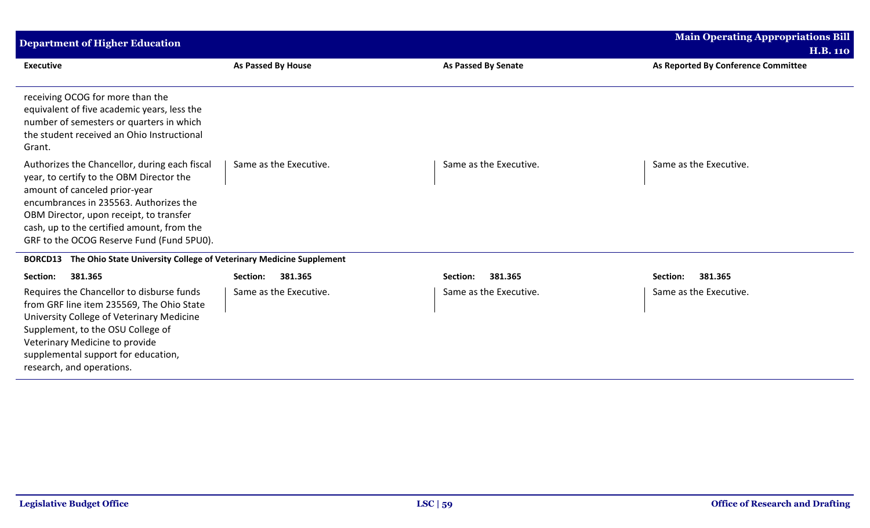| <b>Department of Higher Education</b>                                                                                                                                                                                                                                                                      |                        |                            | <b>Main Operating Appropriations Bill</b><br><b>H.B. 110</b> |
|------------------------------------------------------------------------------------------------------------------------------------------------------------------------------------------------------------------------------------------------------------------------------------------------------------|------------------------|----------------------------|--------------------------------------------------------------|
| <b>Executive</b>                                                                                                                                                                                                                                                                                           | As Passed By House     | <b>As Passed By Senate</b> | As Reported By Conference Committee                          |
| receiving OCOG for more than the<br>equivalent of five academic years, less the<br>number of semesters or quarters in which<br>the student received an Ohio Instructional<br>Grant.                                                                                                                        |                        |                            |                                                              |
| Authorizes the Chancellor, during each fiscal<br>year, to certify to the OBM Director the<br>amount of canceled prior-year<br>encumbrances in 235563. Authorizes the<br>OBM Director, upon receipt, to transfer<br>cash, up to the certified amount, from the<br>GRF to the OCOG Reserve Fund (Fund 5PU0). | Same as the Executive. | Same as the Executive.     | Same as the Executive.                                       |
| The Ohio State University College of Veterinary Medicine Supplement<br><b>BORCD13</b>                                                                                                                                                                                                                      |                        |                            |                                                              |
| Section:<br>381.365                                                                                                                                                                                                                                                                                        | 381.365<br>Section:    | 381.365<br>Section:        | Section:<br>381.365                                          |
| Requires the Chancellor to disburse funds<br>from GRF line item 235569, The Ohio State<br>University College of Veterinary Medicine<br>Supplement, to the OSU College of<br>Veterinary Medicine to provide<br>supplemental support for education,<br>research, and operations.                             | Same as the Executive. | Same as the Executive.     | Same as the Executive.                                       |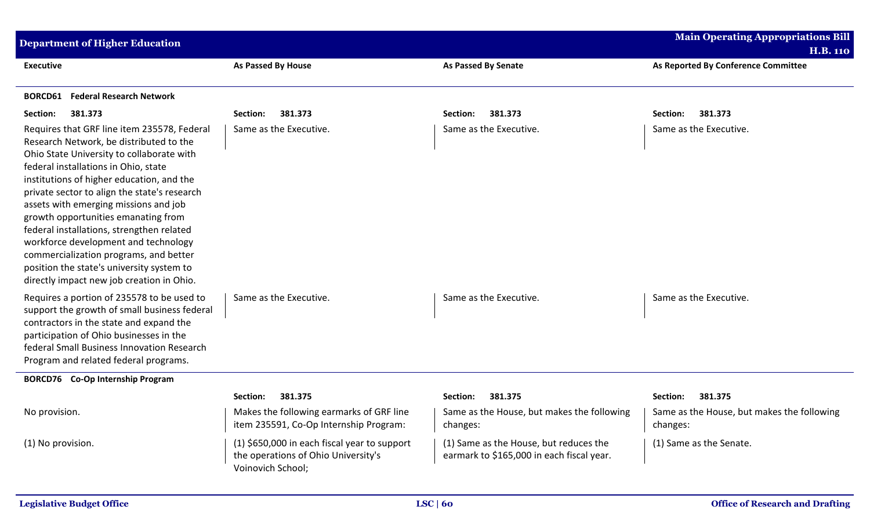| <b>Department of Higher Education</b>                                                                                                                                                                                                                                                                                                                                                                                                                                                                                                                                             |                                                                                                          |                                                                                     | <b>Main Operating Appropriations Bill</b>              |
|-----------------------------------------------------------------------------------------------------------------------------------------------------------------------------------------------------------------------------------------------------------------------------------------------------------------------------------------------------------------------------------------------------------------------------------------------------------------------------------------------------------------------------------------------------------------------------------|----------------------------------------------------------------------------------------------------------|-------------------------------------------------------------------------------------|--------------------------------------------------------|
|                                                                                                                                                                                                                                                                                                                                                                                                                                                                                                                                                                                   |                                                                                                          |                                                                                     | <b>H.B. 110</b>                                        |
| <b>Executive</b>                                                                                                                                                                                                                                                                                                                                                                                                                                                                                                                                                                  | As Passed By House                                                                                       | <b>As Passed By Senate</b>                                                          | As Reported By Conference Committee                    |
| <b>BORCD61</b> Federal Research Network                                                                                                                                                                                                                                                                                                                                                                                                                                                                                                                                           |                                                                                                          |                                                                                     |                                                        |
| 381.373<br>Section:                                                                                                                                                                                                                                                                                                                                                                                                                                                                                                                                                               | 381.373<br>Section:                                                                                      | 381.373<br>Section:                                                                 | 381.373<br>Section:                                    |
| Requires that GRF line item 235578, Federal<br>Research Network, be distributed to the<br>Ohio State University to collaborate with<br>federal installations in Ohio, state<br>institutions of higher education, and the<br>private sector to align the state's research<br>assets with emerging missions and job<br>growth opportunities emanating from<br>federal installations, strengthen related<br>workforce development and technology<br>commercialization programs, and better<br>position the state's university system to<br>directly impact new job creation in Ohio. | Same as the Executive.                                                                                   | Same as the Executive.                                                              | Same as the Executive.                                 |
| Requires a portion of 235578 to be used to<br>support the growth of small business federal<br>contractors in the state and expand the<br>participation of Ohio businesses in the<br>federal Small Business Innovation Research<br>Program and related federal programs.                                                                                                                                                                                                                                                                                                           | Same as the Executive.                                                                                   | Same as the Executive.                                                              | Same as the Executive.                                 |
| <b>BORCD76</b> Co-Op Internship Program                                                                                                                                                                                                                                                                                                                                                                                                                                                                                                                                           |                                                                                                          |                                                                                     |                                                        |
|                                                                                                                                                                                                                                                                                                                                                                                                                                                                                                                                                                                   | 381.375<br>Section:                                                                                      | 381.375<br>Section:                                                                 | 381.375<br>Section:                                    |
| No provision.                                                                                                                                                                                                                                                                                                                                                                                                                                                                                                                                                                     | Makes the following earmarks of GRF line<br>item 235591, Co-Op Internship Program:                       | Same as the House, but makes the following<br>changes:                              | Same as the House, but makes the following<br>changes: |
| (1) No provision.                                                                                                                                                                                                                                                                                                                                                                                                                                                                                                                                                                 | (1) \$650,000 in each fiscal year to support<br>the operations of Ohio University's<br>Voinovich School; | (1) Same as the House, but reduces the<br>earmark to \$165,000 in each fiscal year. | (1) Same as the Senate.                                |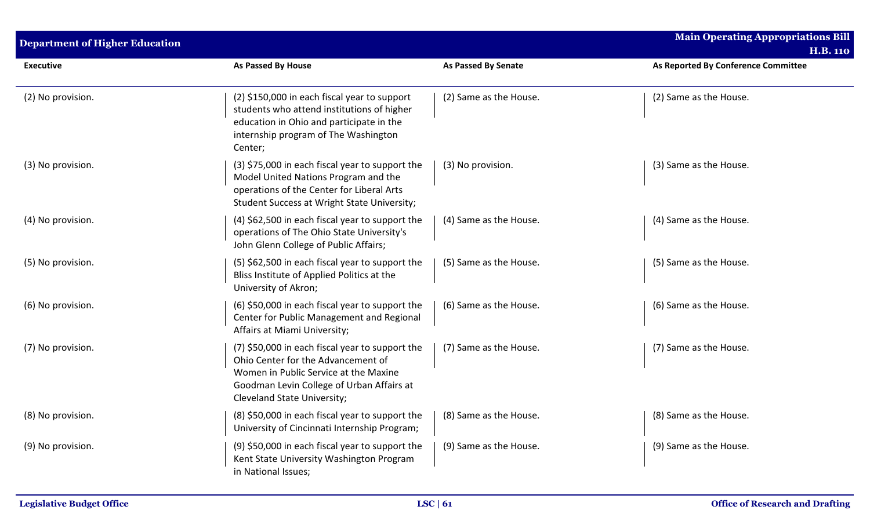| <b>Department of Higher Education</b> |                                                                                                                                                                                                            |                            | <b>Main Operating Appropriations Bill</b><br><b>H.B. 110</b> |
|---------------------------------------|------------------------------------------------------------------------------------------------------------------------------------------------------------------------------------------------------------|----------------------------|--------------------------------------------------------------|
| <b>Executive</b>                      | <b>As Passed By House</b>                                                                                                                                                                                  | <b>As Passed By Senate</b> | As Reported By Conference Committee                          |
| (2) No provision.                     | (2) \$150,000 in each fiscal year to support<br>students who attend institutions of higher<br>education in Ohio and participate in the<br>internship program of The Washington<br>Center;                  | (2) Same as the House.     | (2) Same as the House.                                       |
| (3) No provision.                     | (3) \$75,000 in each fiscal year to support the<br>Model United Nations Program and the<br>operations of the Center for Liberal Arts<br>Student Success at Wright State University;                        | (3) No provision.          | (3) Same as the House.                                       |
| (4) No provision.                     | (4) \$62,500 in each fiscal year to support the<br>operations of The Ohio State University's<br>John Glenn College of Public Affairs;                                                                      | (4) Same as the House.     | (4) Same as the House.                                       |
| (5) No provision.                     | (5) \$62,500 in each fiscal year to support the<br>Bliss Institute of Applied Politics at the<br>University of Akron;                                                                                      | (5) Same as the House.     | (5) Same as the House.                                       |
| (6) No provision.                     | (6) \$50,000 in each fiscal year to support the<br>Center for Public Management and Regional<br>Affairs at Miami University;                                                                               | (6) Same as the House.     | (6) Same as the House.                                       |
| (7) No provision.                     | (7) \$50,000 in each fiscal year to support the<br>Ohio Center for the Advancement of<br>Women in Public Service at the Maxine<br>Goodman Levin College of Urban Affairs at<br>Cleveland State University; | (7) Same as the House.     | (7) Same as the House.                                       |
| (8) No provision.                     | (8) \$50,000 in each fiscal year to support the<br>University of Cincinnati Internship Program;                                                                                                            | (8) Same as the House.     | (8) Same as the House.                                       |
| (9) No provision.                     | (9) \$50,000 in each fiscal year to support the<br>Kent State University Washington Program<br>in National Issues;                                                                                         | (9) Same as the House.     | (9) Same as the House.                                       |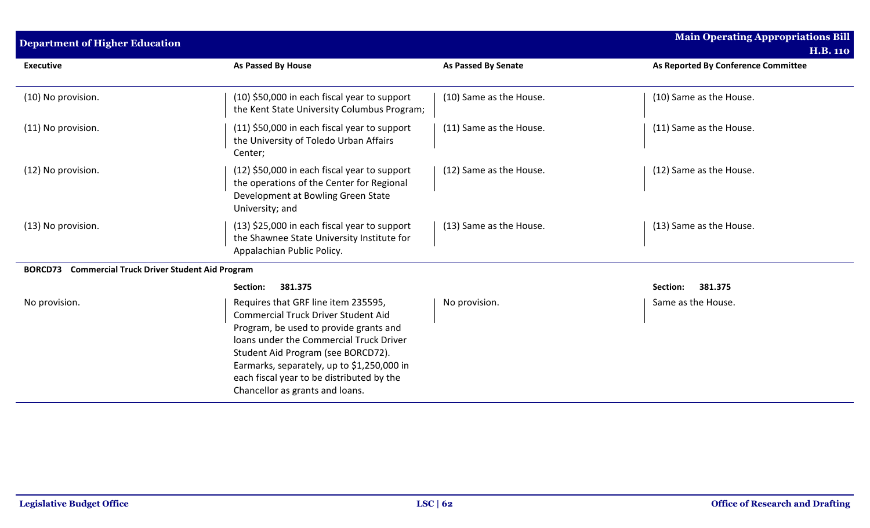| <b>Department of Higher Education</b>                                |                                                                                                                                                                                                                                                                                                                                            |                            | <b>Main Operating Appropriations Bill</b><br><b>H.B. 110</b> |
|----------------------------------------------------------------------|--------------------------------------------------------------------------------------------------------------------------------------------------------------------------------------------------------------------------------------------------------------------------------------------------------------------------------------------|----------------------------|--------------------------------------------------------------|
| <b>Executive</b>                                                     | As Passed By House                                                                                                                                                                                                                                                                                                                         | <b>As Passed By Senate</b> | As Reported By Conference Committee                          |
| (10) No provision.                                                   | (10) \$50,000 in each fiscal year to support<br>the Kent State University Columbus Program;                                                                                                                                                                                                                                                | (10) Same as the House.    | (10) Same as the House.                                      |
| (11) No provision.                                                   | $(11)$ \$50,000 in each fiscal year to support<br>the University of Toledo Urban Affairs<br>Center;                                                                                                                                                                                                                                        | (11) Same as the House.    | (11) Same as the House.                                      |
| (12) No provision.                                                   | (12) \$50,000 in each fiscal year to support<br>the operations of the Center for Regional<br>Development at Bowling Green State<br>University; and                                                                                                                                                                                         | (12) Same as the House.    | (12) Same as the House.                                      |
| (13) No provision.                                                   | (13) \$25,000 in each fiscal year to support<br>the Shawnee State University Institute for<br>Appalachian Public Policy.                                                                                                                                                                                                                   | (13) Same as the House.    | (13) Same as the House.                                      |
| <b>Commercial Truck Driver Student Aid Program</b><br><b>BORCD73</b> |                                                                                                                                                                                                                                                                                                                                            |                            |                                                              |
|                                                                      | 381.375<br>Section:                                                                                                                                                                                                                                                                                                                        |                            | 381.375<br>Section:                                          |
| No provision.                                                        | Requires that GRF line item 235595,<br><b>Commercial Truck Driver Student Aid</b><br>Program, be used to provide grants and<br>loans under the Commercial Truck Driver<br>Student Aid Program (see BORCD72).<br>Earmarks, separately, up to \$1,250,000 in<br>each fiscal year to be distributed by the<br>Chancellor as grants and loans. | No provision.              | Same as the House.                                           |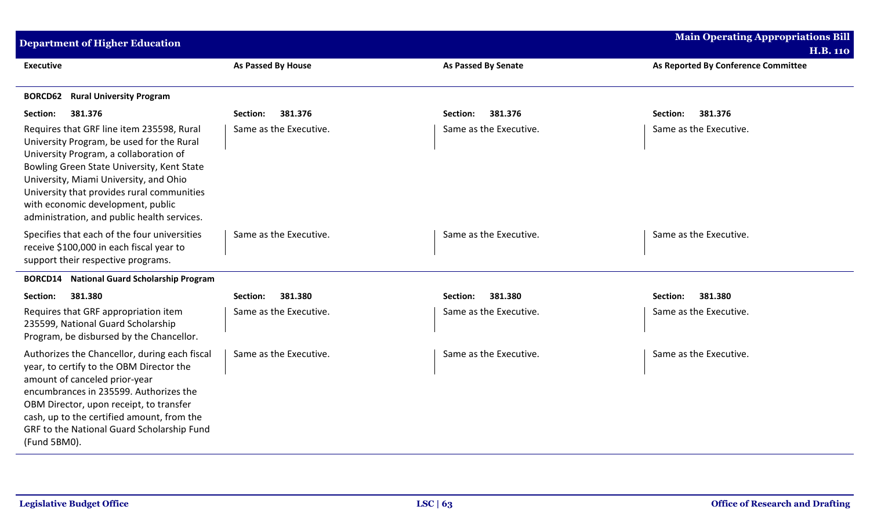| <b>Department of Higher Education</b>                                                                                                                                                                                                                                                                                                                      |                        |                        | <b>Main Operating Appropriations Bill</b><br><b>H.B. 110</b> |
|------------------------------------------------------------------------------------------------------------------------------------------------------------------------------------------------------------------------------------------------------------------------------------------------------------------------------------------------------------|------------------------|------------------------|--------------------------------------------------------------|
| <b>Executive</b>                                                                                                                                                                                                                                                                                                                                           | As Passed By House     | As Passed By Senate    | As Reported By Conference Committee                          |
| <b>Rural University Program</b><br><b>BORCD62</b>                                                                                                                                                                                                                                                                                                          |                        |                        |                                                              |
| 381.376<br>Section:                                                                                                                                                                                                                                                                                                                                        | 381.376<br>Section:    | 381.376<br>Section:    | 381.376<br>Section:                                          |
| Requires that GRF line item 235598, Rural<br>University Program, be used for the Rural<br>University Program, a collaboration of<br>Bowling Green State University, Kent State<br>University, Miami University, and Ohio<br>University that provides rural communities<br>with economic development, public<br>administration, and public health services. | Same as the Executive. | Same as the Executive. | Same as the Executive.                                       |
| Specifies that each of the four universities<br>receive \$100,000 in each fiscal year to<br>support their respective programs.                                                                                                                                                                                                                             | Same as the Executive. | Same as the Executive. | Same as the Executive.                                       |
| <b>BORCD14</b> National Guard Scholarship Program                                                                                                                                                                                                                                                                                                          |                        |                        |                                                              |
| Section:<br>381.380                                                                                                                                                                                                                                                                                                                                        | 381.380<br>Section:    | 381.380<br>Section:    | 381.380<br>Section:                                          |
| Requires that GRF appropriation item<br>235599, National Guard Scholarship<br>Program, be disbursed by the Chancellor.                                                                                                                                                                                                                                     | Same as the Executive. | Same as the Executive. | Same as the Executive.                                       |
| Authorizes the Chancellor, during each fiscal<br>year, to certify to the OBM Director the<br>amount of canceled prior-year<br>encumbrances in 235599. Authorizes the<br>OBM Director, upon receipt, to transfer<br>cash, up to the certified amount, from the<br>GRF to the National Guard Scholarship Fund<br>(Fund 5BM0).                                | Same as the Executive. | Same as the Executive. | Same as the Executive.                                       |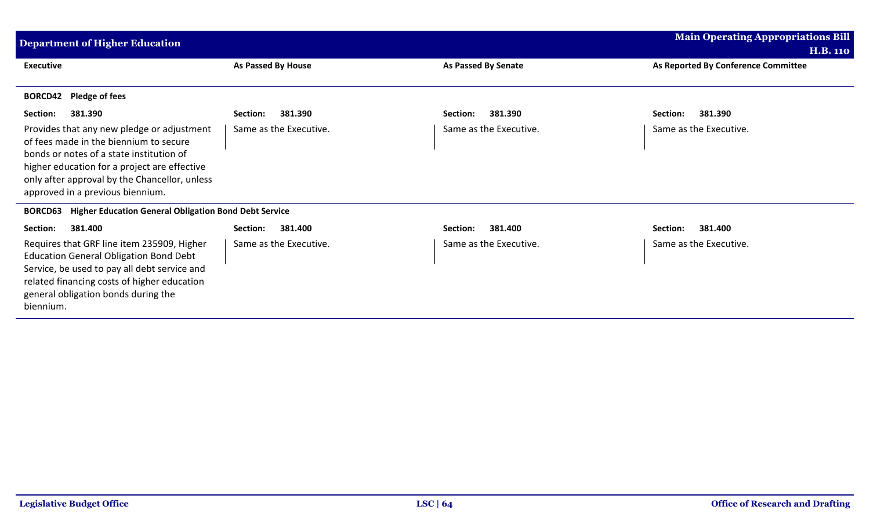| <b>Department of Higher Education</b>                                                                                                                                                                                                                                 |                        |                            | <b>Main Operating Appropriations Bill</b>              |
|-----------------------------------------------------------------------------------------------------------------------------------------------------------------------------------------------------------------------------------------------------------------------|------------------------|----------------------------|--------------------------------------------------------|
| <b>Executive</b>                                                                                                                                                                                                                                                      | As Passed By House     | <b>As Passed By Senate</b> | <b>H.B. 110</b><br>As Reported By Conference Committee |
| <b>Pledge of fees</b><br><b>BORCD42</b>                                                                                                                                                                                                                               |                        |                            |                                                        |
| 381.390<br>Section:                                                                                                                                                                                                                                                   | 381.390<br>Section:    | 381.390<br>Section:        | Section:<br>381.390                                    |
| Provides that any new pledge or adjustment<br>of fees made in the biennium to secure<br>bonds or notes of a state institution of<br>higher education for a project are effective<br>only after approval by the Chancellor, unless<br>approved in a previous biennium. | Same as the Executive. | Same as the Executive.     | Same as the Executive.                                 |
| <b>BORCD63</b> Higher Education General Obligation Bond Debt Service                                                                                                                                                                                                  |                        |                            |                                                        |
| 381.400<br>Section:                                                                                                                                                                                                                                                   | Section:<br>381.400    | 381.400<br>Section:        | Section:<br>381.400                                    |
| Requires that GRF line item 235909, Higher<br><b>Education General Obligation Bond Debt</b><br>Service, be used to pay all debt service and<br>related financing costs of higher education<br>general obligation bonds during the<br>biennium.                        | Same as the Executive. | Same as the Executive.     | Same as the Executive.                                 |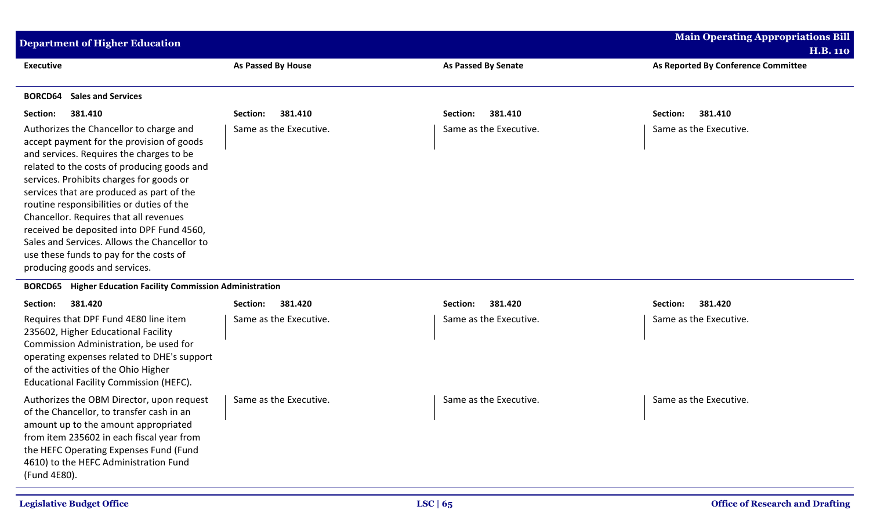| <b>Department of Higher Education</b>                                                                                                                                                                                                                                                                                                                                                                                                                                                                                                    |                        |                            | <b>Main Operating Appropriations Bill</b><br><b>H.B. 110</b> |
|------------------------------------------------------------------------------------------------------------------------------------------------------------------------------------------------------------------------------------------------------------------------------------------------------------------------------------------------------------------------------------------------------------------------------------------------------------------------------------------------------------------------------------------|------------------------|----------------------------|--------------------------------------------------------------|
| <b>Executive</b>                                                                                                                                                                                                                                                                                                                                                                                                                                                                                                                         | As Passed By House     | <b>As Passed By Senate</b> | As Reported By Conference Committee                          |
| <b>Sales and Services</b><br><b>BORCD64</b>                                                                                                                                                                                                                                                                                                                                                                                                                                                                                              |                        |                            |                                                              |
| 381.410<br>Section:                                                                                                                                                                                                                                                                                                                                                                                                                                                                                                                      | 381.410<br>Section:    | 381.410<br>Section:        | 381.410<br>Section:                                          |
| Authorizes the Chancellor to charge and<br>accept payment for the provision of goods<br>and services. Requires the charges to be<br>related to the costs of producing goods and<br>services. Prohibits charges for goods or<br>services that are produced as part of the<br>routine responsibilities or duties of the<br>Chancellor. Requires that all revenues<br>received be deposited into DPF Fund 4560,<br>Sales and Services. Allows the Chancellor to<br>use these funds to pay for the costs of<br>producing goods and services. | Same as the Executive. | Same as the Executive.     | Same as the Executive.                                       |

## **BORCD65 Higher Education Facility Commission Administration**

| 381.420<br>Section:<br>Requires that DPF Fund 4E80 line item<br>235602, Higher Educational Facility<br>Commission Administration, be used for<br>operating expenses related to DHE's support<br>of the activities of the Ohio Higher<br><b>Educational Facility Commission (HEFC).</b> | 381.420<br>Section:<br>Same as the Executive. | 381.420<br>Section:<br>Same as the Executive. | 381.420<br>Section:<br>Same as the Executive. |
|----------------------------------------------------------------------------------------------------------------------------------------------------------------------------------------------------------------------------------------------------------------------------------------|-----------------------------------------------|-----------------------------------------------|-----------------------------------------------|
| Authorizes the OBM Director, upon request<br>of the Chancellor, to transfer cash in an<br>amount up to the amount appropriated<br>from item 235602 in each fiscal year from<br>the HEFC Operating Expenses Fund (Fund<br>4610) to the HEFC Administration Fund<br>(Fund 4E80).         | Same as the Executive.                        | Same as the Executive.                        | Same as the Executive.                        |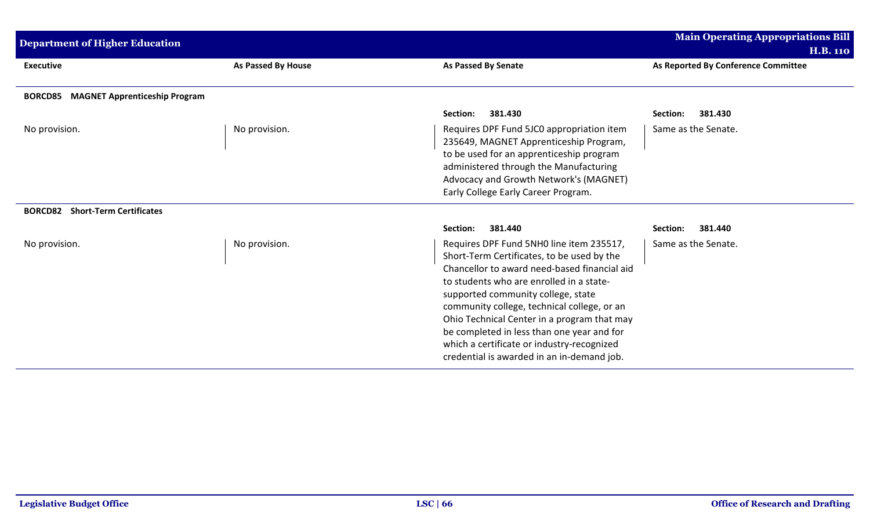| <b>Department of Higher Education</b>                  |                           |                                                                                                                                                                                                                                                                                                                                                                                                                                                                  | <b>Main Operating Appropriations Bill</b> |
|--------------------------------------------------------|---------------------------|------------------------------------------------------------------------------------------------------------------------------------------------------------------------------------------------------------------------------------------------------------------------------------------------------------------------------------------------------------------------------------------------------------------------------------------------------------------|-------------------------------------------|
|                                                        |                           |                                                                                                                                                                                                                                                                                                                                                                                                                                                                  | <b>H.B. 110</b>                           |
| <b>Executive</b>                                       | <b>As Passed By House</b> | <b>As Passed By Senate</b>                                                                                                                                                                                                                                                                                                                                                                                                                                       | As Reported By Conference Committee       |
| <b>MAGNET Apprenticeship Program</b><br><b>BORCD85</b> |                           |                                                                                                                                                                                                                                                                                                                                                                                                                                                                  |                                           |
|                                                        |                           | 381.430<br>Section:                                                                                                                                                                                                                                                                                                                                                                                                                                              | 381.430<br>Section:                       |
| No provision.                                          | No provision.             | Requires DPF Fund 5JC0 appropriation item<br>235649, MAGNET Apprenticeship Program,<br>to be used for an apprenticeship program<br>administered through the Manufacturing<br>Advocacy and Growth Network's (MAGNET)<br>Early College Early Career Program.                                                                                                                                                                                                       | Same as the Senate.                       |
| <b>BORCD82</b> Short-Term Certificates                 |                           |                                                                                                                                                                                                                                                                                                                                                                                                                                                                  |                                           |
|                                                        |                           | Section:<br>381.440                                                                                                                                                                                                                                                                                                                                                                                                                                              | 381.440<br>Section:                       |
| No provision.                                          | No provision.             | Requires DPF Fund 5NH0 line item 235517,<br>Short-Term Certificates, to be used by the<br>Chancellor to award need-based financial aid<br>to students who are enrolled in a state-<br>supported community college, state<br>community college, technical college, or an<br>Ohio Technical Center in a program that may<br>be completed in less than one year and for<br>which a certificate or industry-recognized<br>credential is awarded in an in-demand job. | Same as the Senate.                       |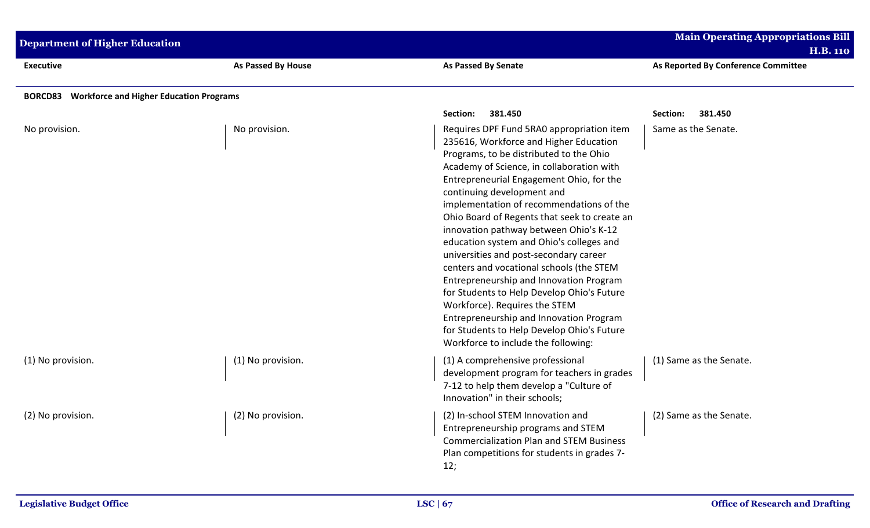| Main Operating Appropriations Bill<br><b>Department of Higher Education</b><br><b>H.B. 110</b> |                    |                                                                                                                                                                                                                                                                                                                                                                                                                                                                                                                                                                                                                                                                                                                                                                                                                |                                            |
|------------------------------------------------------------------------------------------------|--------------------|----------------------------------------------------------------------------------------------------------------------------------------------------------------------------------------------------------------------------------------------------------------------------------------------------------------------------------------------------------------------------------------------------------------------------------------------------------------------------------------------------------------------------------------------------------------------------------------------------------------------------------------------------------------------------------------------------------------------------------------------------------------------------------------------------------------|--------------------------------------------|
| <b>Executive</b>                                                                               | As Passed By House | <b>As Passed By Senate</b>                                                                                                                                                                                                                                                                                                                                                                                                                                                                                                                                                                                                                                                                                                                                                                                     | As Reported By Conference Committee        |
| <b>BORCD83</b> Workforce and Higher Education Programs                                         |                    |                                                                                                                                                                                                                                                                                                                                                                                                                                                                                                                                                                                                                                                                                                                                                                                                                |                                            |
| No provision.                                                                                  | No provision.      | Section:<br>381.450<br>Requires DPF Fund 5RA0 appropriation item<br>235616, Workforce and Higher Education<br>Programs, to be distributed to the Ohio<br>Academy of Science, in collaboration with<br>Entrepreneurial Engagement Ohio, for the<br>continuing development and<br>implementation of recommendations of the<br>Ohio Board of Regents that seek to create an<br>innovation pathway between Ohio's K-12<br>education system and Ohio's colleges and<br>universities and post-secondary career<br>centers and vocational schools (the STEM<br>Entrepreneurship and Innovation Program<br>for Students to Help Develop Ohio's Future<br>Workforce). Requires the STEM<br>Entrepreneurship and Innovation Program<br>for Students to Help Develop Ohio's Future<br>Workforce to include the following: | Section:<br>381.450<br>Same as the Senate. |
| (1) No provision.                                                                              | (1) No provision.  | (1) A comprehensive professional<br>development program for teachers in grades<br>7-12 to help them develop a "Culture of<br>Innovation" in their schools;                                                                                                                                                                                                                                                                                                                                                                                                                                                                                                                                                                                                                                                     | (1) Same as the Senate.                    |
| (2) No provision.                                                                              | (2) No provision.  | (2) In-school STEM Innovation and<br>Entrepreneurship programs and STEM<br><b>Commercialization Plan and STEM Business</b><br>Plan competitions for students in grades 7-<br>12;                                                                                                                                                                                                                                                                                                                                                                                                                                                                                                                                                                                                                               | (2) Same as the Senate.                    |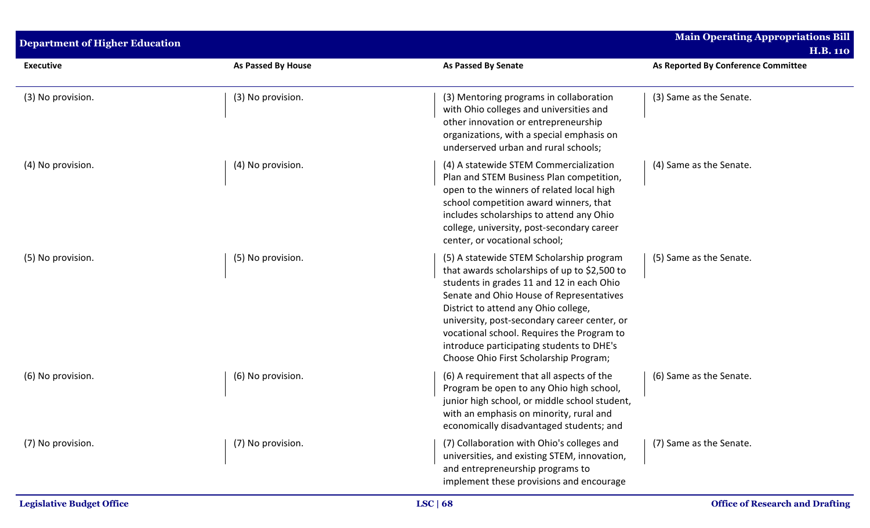| <b>Department of Higher Education</b> |                    |                                                                                                                                                                                                                                                                                                                                                                                                                | <b>Main Operating Appropriations Bill</b><br><b>H.B. 110</b> |
|---------------------------------------|--------------------|----------------------------------------------------------------------------------------------------------------------------------------------------------------------------------------------------------------------------------------------------------------------------------------------------------------------------------------------------------------------------------------------------------------|--------------------------------------------------------------|
| <b>Executive</b>                      | As Passed By House | <b>As Passed By Senate</b>                                                                                                                                                                                                                                                                                                                                                                                     | As Reported By Conference Committee                          |
| (3) No provision.                     | (3) No provision.  | (3) Mentoring programs in collaboration<br>with Ohio colleges and universities and<br>other innovation or entrepreneurship<br>organizations, with a special emphasis on<br>underserved urban and rural schools;                                                                                                                                                                                                | (3) Same as the Senate.                                      |
| (4) No provision.                     | (4) No provision.  | (4) A statewide STEM Commercialization<br>Plan and STEM Business Plan competition,<br>open to the winners of related local high<br>school competition award winners, that<br>includes scholarships to attend any Ohio<br>college, university, post-secondary career<br>center, or vocational school;                                                                                                           | (4) Same as the Senate.                                      |
| (5) No provision.                     | (5) No provision.  | (5) A statewide STEM Scholarship program<br>that awards scholarships of up to \$2,500 to<br>students in grades 11 and 12 in each Ohio<br>Senate and Ohio House of Representatives<br>District to attend any Ohio college,<br>university, post-secondary career center, or<br>vocational school. Requires the Program to<br>introduce participating students to DHE's<br>Choose Ohio First Scholarship Program; | (5) Same as the Senate.                                      |
| (6) No provision.                     | (6) No provision.  | (6) A requirement that all aspects of the<br>Program be open to any Ohio high school,<br>junior high school, or middle school student,<br>with an emphasis on minority, rural and<br>economically disadvantaged students; and                                                                                                                                                                                  | (6) Same as the Senate.                                      |
| (7) No provision.                     | (7) No provision.  | (7) Collaboration with Ohio's colleges and<br>universities, and existing STEM, innovation,<br>and entrepreneurship programs to<br>implement these provisions and encourage                                                                                                                                                                                                                                     | (7) Same as the Senate.                                      |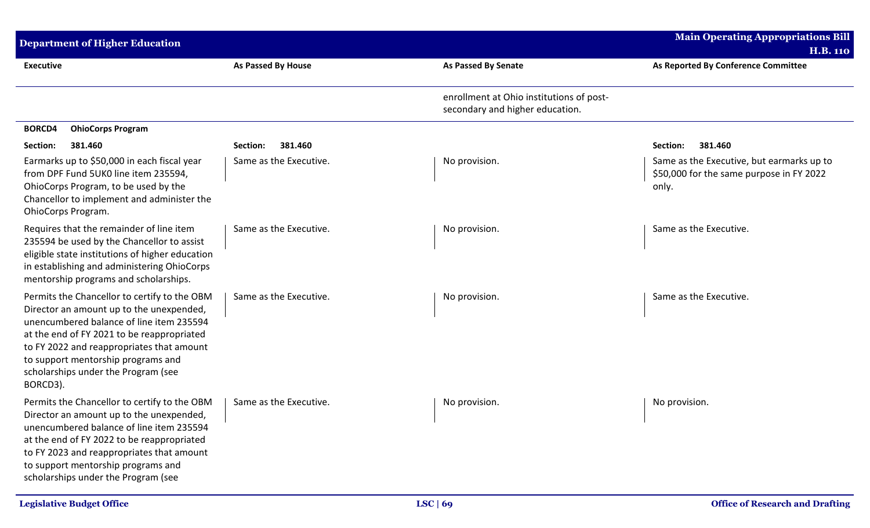| <b>Department of Higher Education</b>                                                                                                                                                                                                                                                                                    |                        |                                                                             | <b>Main Operating Appropriations Bill</b>                                                      |
|--------------------------------------------------------------------------------------------------------------------------------------------------------------------------------------------------------------------------------------------------------------------------------------------------------------------------|------------------------|-----------------------------------------------------------------------------|------------------------------------------------------------------------------------------------|
|                                                                                                                                                                                                                                                                                                                          |                        |                                                                             | <b>H.B. 110</b>                                                                                |
| <b>Executive</b>                                                                                                                                                                                                                                                                                                         | As Passed By House     | <b>As Passed By Senate</b>                                                  | As Reported By Conference Committee                                                            |
|                                                                                                                                                                                                                                                                                                                          |                        | enrollment at Ohio institutions of post-<br>secondary and higher education. |                                                                                                |
| <b>BORCD4</b><br><b>OhioCorps Program</b>                                                                                                                                                                                                                                                                                |                        |                                                                             |                                                                                                |
| 381.460<br>Section:                                                                                                                                                                                                                                                                                                      | 381.460<br>Section:    |                                                                             | 381.460<br>Section:                                                                            |
| Earmarks up to \$50,000 in each fiscal year<br>from DPF Fund 5UK0 line item 235594,<br>OhioCorps Program, to be used by the<br>Chancellor to implement and administer the<br><b>OhioCorps Program.</b>                                                                                                                   | Same as the Executive. | No provision.                                                               | Same as the Executive, but earmarks up to<br>\$50,000 for the same purpose in FY 2022<br>only. |
| Requires that the remainder of line item<br>235594 be used by the Chancellor to assist<br>eligible state institutions of higher education<br>in establishing and administering OhioCorps<br>mentorship programs and scholarships.                                                                                        | Same as the Executive. | No provision.                                                               | Same as the Executive.                                                                         |
| Permits the Chancellor to certify to the OBM<br>Director an amount up to the unexpended,<br>unencumbered balance of line item 235594<br>at the end of FY 2021 to be reappropriated<br>to FY 2022 and reappropriates that amount<br>to support mentorship programs and<br>scholarships under the Program (see<br>BORCD3). | Same as the Executive. | No provision.                                                               | Same as the Executive.                                                                         |
| Permits the Chancellor to certify to the OBM<br>Director an amount up to the unexpended,<br>unencumbered balance of line item 235594<br>at the end of FY 2022 to be reappropriated<br>to FY 2023 and reappropriates that amount<br>to support mentorship programs and<br>scholarships under the Program (see             | Same as the Executive. | No provision.                                                               | No provision.                                                                                  |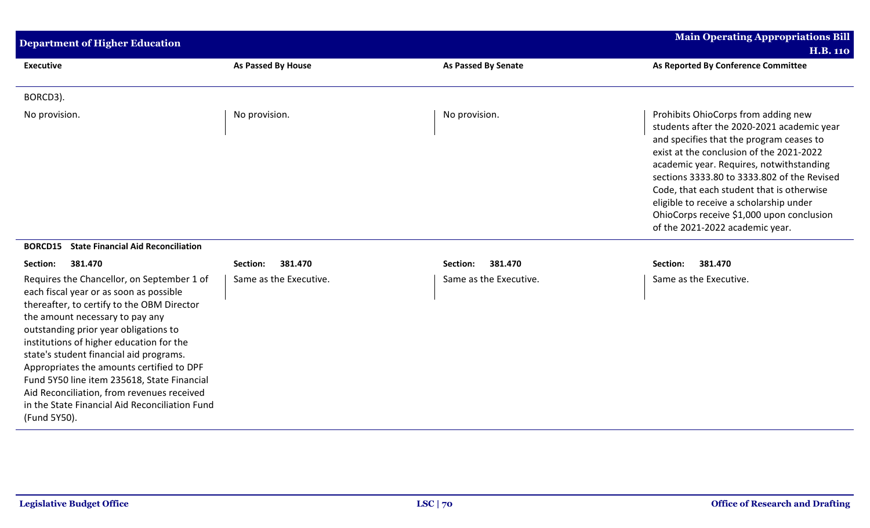| <b>Department of Higher Education</b>                                                                                                                                                                                                                                                                                                                                                                                                                                                                              |                           |                            | <b>Main Operating Appropriations Bill</b>                                                                                                                                                                                                                                                                                                                                                                                                    |
|--------------------------------------------------------------------------------------------------------------------------------------------------------------------------------------------------------------------------------------------------------------------------------------------------------------------------------------------------------------------------------------------------------------------------------------------------------------------------------------------------------------------|---------------------------|----------------------------|----------------------------------------------------------------------------------------------------------------------------------------------------------------------------------------------------------------------------------------------------------------------------------------------------------------------------------------------------------------------------------------------------------------------------------------------|
| <b>Executive</b>                                                                                                                                                                                                                                                                                                                                                                                                                                                                                                   | <b>As Passed By House</b> | <b>As Passed By Senate</b> | <b>H.B. 110</b><br>As Reported By Conference Committee                                                                                                                                                                                                                                                                                                                                                                                       |
|                                                                                                                                                                                                                                                                                                                                                                                                                                                                                                                    |                           |                            |                                                                                                                                                                                                                                                                                                                                                                                                                                              |
| BORCD3).                                                                                                                                                                                                                                                                                                                                                                                                                                                                                                           |                           |                            |                                                                                                                                                                                                                                                                                                                                                                                                                                              |
| No provision.                                                                                                                                                                                                                                                                                                                                                                                                                                                                                                      | No provision.             | No provision.              | Prohibits OhioCorps from adding new<br>students after the 2020-2021 academic year<br>and specifies that the program ceases to<br>exist at the conclusion of the 2021-2022<br>academic year. Requires, notwithstanding<br>sections 3333.80 to 3333.802 of the Revised<br>Code, that each student that is otherwise<br>eligible to receive a scholarship under<br>OhioCorps receive \$1,000 upon conclusion<br>of the 2021-2022 academic year. |
| <b>State Financial Aid Reconciliation</b><br><b>BORCD15</b>                                                                                                                                                                                                                                                                                                                                                                                                                                                        |                           |                            |                                                                                                                                                                                                                                                                                                                                                                                                                                              |
| Section:<br>381.470                                                                                                                                                                                                                                                                                                                                                                                                                                                                                                | Section:<br>381.470       | 381.470<br>Section:        | Section:<br>381.470                                                                                                                                                                                                                                                                                                                                                                                                                          |
| Requires the Chancellor, on September 1 of<br>each fiscal year or as soon as possible<br>thereafter, to certify to the OBM Director<br>the amount necessary to pay any<br>outstanding prior year obligations to<br>institutions of higher education for the<br>state's student financial aid programs.<br>Appropriates the amounts certified to DPF<br>Fund 5Y50 line item 235618, State Financial<br>Aid Reconciliation, from revenues received<br>in the State Financial Aid Reconciliation Fund<br>(Fund 5Y50). | Same as the Executive.    | Same as the Executive.     | Same as the Executive.                                                                                                                                                                                                                                                                                                                                                                                                                       |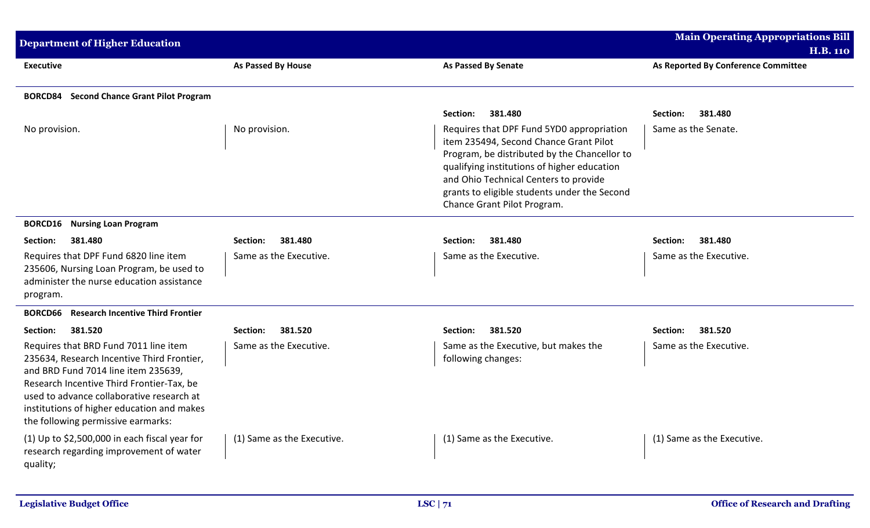| <b>Department of Higher Education</b>                                                                                                                                                                                                                                                                    |                            |                                                                                                                                                                                                                                                                                                            | <b>Main Operating Appropriations Bill</b> |
|----------------------------------------------------------------------------------------------------------------------------------------------------------------------------------------------------------------------------------------------------------------------------------------------------------|----------------------------|------------------------------------------------------------------------------------------------------------------------------------------------------------------------------------------------------------------------------------------------------------------------------------------------------------|-------------------------------------------|
|                                                                                                                                                                                                                                                                                                          |                            |                                                                                                                                                                                                                                                                                                            | <b>H.B. 110</b>                           |
| <b>Executive</b>                                                                                                                                                                                                                                                                                         | As Passed By House         | <b>As Passed By Senate</b>                                                                                                                                                                                                                                                                                 | As Reported By Conference Committee       |
| <b>BORCD84</b> Second Chance Grant Pilot Program                                                                                                                                                                                                                                                         |                            |                                                                                                                                                                                                                                                                                                            |                                           |
|                                                                                                                                                                                                                                                                                                          |                            | Section:<br>381.480                                                                                                                                                                                                                                                                                        | 381.480<br>Section:                       |
| No provision.                                                                                                                                                                                                                                                                                            | No provision.              | Requires that DPF Fund 5YD0 appropriation<br>item 235494, Second Chance Grant Pilot<br>Program, be distributed by the Chancellor to<br>qualifying institutions of higher education<br>and Ohio Technical Centers to provide<br>grants to eligible students under the Second<br>Chance Grant Pilot Program. | Same as the Senate.                       |
| <b>BORCD16</b><br><b>Nursing Loan Program</b>                                                                                                                                                                                                                                                            |                            |                                                                                                                                                                                                                                                                                                            |                                           |
| 381.480<br>Section:                                                                                                                                                                                                                                                                                      | 381.480<br>Section:        | 381.480<br>Section:                                                                                                                                                                                                                                                                                        | 381.480<br>Section:                       |
| Requires that DPF Fund 6820 line item<br>235606, Nursing Loan Program, be used to<br>administer the nurse education assistance<br>program.                                                                                                                                                               | Same as the Executive.     | Same as the Executive.                                                                                                                                                                                                                                                                                     | Same as the Executive.                    |
| <b>Research Incentive Third Frontier</b><br><b>BORCD66</b>                                                                                                                                                                                                                                               |                            |                                                                                                                                                                                                                                                                                                            |                                           |
| 381.520<br>Section:                                                                                                                                                                                                                                                                                      | 381.520<br>Section:        | 381.520<br>Section:                                                                                                                                                                                                                                                                                        | 381.520<br>Section:                       |
| Requires that BRD Fund 7011 line item<br>235634, Research Incentive Third Frontier,<br>and BRD Fund 7014 line item 235639,<br>Research Incentive Third Frontier-Tax, be<br>used to advance collaborative research at<br>institutions of higher education and makes<br>the following permissive earmarks: | Same as the Executive.     | Same as the Executive, but makes the<br>following changes:                                                                                                                                                                                                                                                 | Same as the Executive.                    |
| (1) Up to $$2,500,000$ in each fiscal year for<br>research regarding improvement of water<br>quality;                                                                                                                                                                                                    | (1) Same as the Executive. | (1) Same as the Executive.                                                                                                                                                                                                                                                                                 | (1) Same as the Executive.                |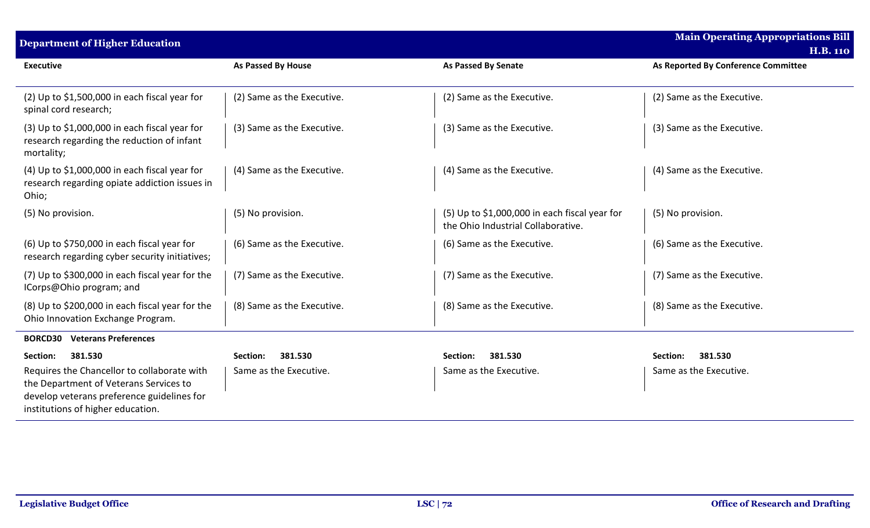| <b>Department of Higher Education</b>                                                                                                                                    |                            |                                                                                       | <b>Main Operating Appropriations Bill</b><br><b>H.B. 110</b> |
|--------------------------------------------------------------------------------------------------------------------------------------------------------------------------|----------------------------|---------------------------------------------------------------------------------------|--------------------------------------------------------------|
| <b>Executive</b>                                                                                                                                                         | As Passed By House         | <b>As Passed By Senate</b>                                                            | As Reported By Conference Committee                          |
| (2) Up to \$1,500,000 in each fiscal year for<br>spinal cord research;                                                                                                   | (2) Same as the Executive. | (2) Same as the Executive.                                                            | (2) Same as the Executive.                                   |
| $(3)$ Up to \$1,000,000 in each fiscal year for<br>research regarding the reduction of infant<br>mortality;                                                              | (3) Same as the Executive. | (3) Same as the Executive.                                                            | (3) Same as the Executive.                                   |
| $(4)$ Up to \$1,000,000 in each fiscal year for<br>research regarding opiate addiction issues in<br>Ohio;                                                                | (4) Same as the Executive. | (4) Same as the Executive.                                                            | (4) Same as the Executive.                                   |
| (5) No provision.                                                                                                                                                        | (5) No provision.          | $(5)$ Up to \$1,000,000 in each fiscal year for<br>the Ohio Industrial Collaborative. | (5) No provision.                                            |
| (6) Up to \$750,000 in each fiscal year for<br>research regarding cyber security initiatives;                                                                            | (6) Same as the Executive. | (6) Same as the Executive.                                                            | (6) Same as the Executive.                                   |
| (7) Up to \$300,000 in each fiscal year for the<br>ICorps@Ohio program; and                                                                                              | (7) Same as the Executive. | (7) Same as the Executive.                                                            | (7) Same as the Executive.                                   |
| (8) Up to \$200,000 in each fiscal year for the<br>Ohio Innovation Exchange Program.                                                                                     | (8) Same as the Executive. | (8) Same as the Executive.                                                            | (8) Same as the Executive.                                   |
| <b>Veterans Preferences</b><br><b>BORCD30</b>                                                                                                                            |                            |                                                                                       |                                                              |
| 381.530<br>Section:                                                                                                                                                      | 381.530<br>Section:        | 381.530<br>Section:                                                                   | 381.530<br>Section:                                          |
| Requires the Chancellor to collaborate with<br>the Department of Veterans Services to<br>develop veterans preference guidelines for<br>institutions of higher education. | Same as the Executive.     | Same as the Executive.                                                                | Same as the Executive.                                       |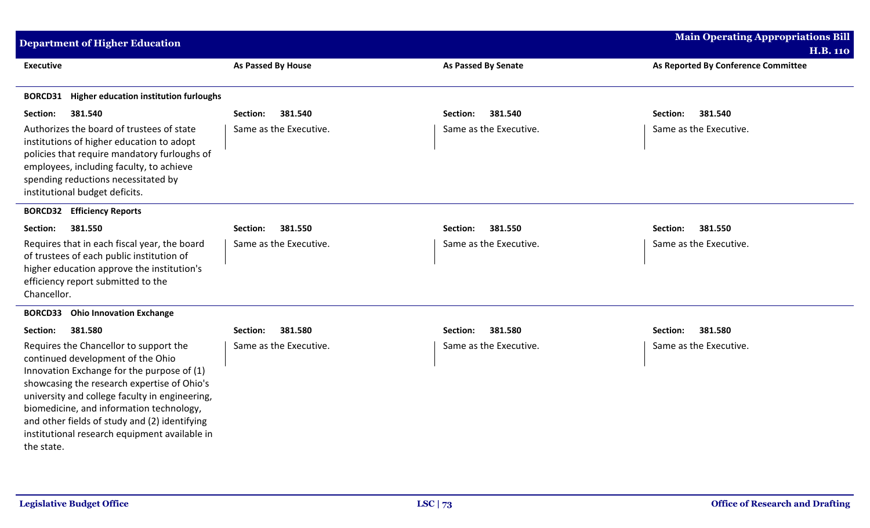| <b>Department of Higher Education</b>                                                                                                                                                                                                                                                                                                                                                  |                        |                            | <b>Main Operating Appropriations Bill</b> |
|----------------------------------------------------------------------------------------------------------------------------------------------------------------------------------------------------------------------------------------------------------------------------------------------------------------------------------------------------------------------------------------|------------------------|----------------------------|-------------------------------------------|
|                                                                                                                                                                                                                                                                                                                                                                                        |                        |                            | <b>H.B. 110</b>                           |
| <b>Executive</b>                                                                                                                                                                                                                                                                                                                                                                       | As Passed By House     | <b>As Passed By Senate</b> | As Reported By Conference Committee       |
| <b>BORCD31</b> Higher education institution furloughs                                                                                                                                                                                                                                                                                                                                  |                        |                            |                                           |
| 381.540<br>Section:                                                                                                                                                                                                                                                                                                                                                                    | 381.540<br>Section:    | 381.540<br>Section:        | 381.540<br>Section:                       |
| Authorizes the board of trustees of state<br>institutions of higher education to adopt<br>policies that require mandatory furloughs of<br>employees, including faculty, to achieve<br>spending reductions necessitated by<br>institutional budget deficits.                                                                                                                            | Same as the Executive. | Same as the Executive.     | Same as the Executive.                    |
| <b>BORCD32 Efficiency Reports</b>                                                                                                                                                                                                                                                                                                                                                      |                        |                            |                                           |
| 381.550<br>Section:                                                                                                                                                                                                                                                                                                                                                                    | 381.550<br>Section:    | 381.550<br>Section:        | 381.550<br>Section:                       |
| Requires that in each fiscal year, the board<br>of trustees of each public institution of<br>higher education approve the institution's<br>efficiency report submitted to the<br>Chancellor.                                                                                                                                                                                           | Same as the Executive. | Same as the Executive.     | Same as the Executive.                    |
| <b>BORCD33</b> Ohio Innovation Exchange                                                                                                                                                                                                                                                                                                                                                |                        |                            |                                           |
| 381.580<br>Section:                                                                                                                                                                                                                                                                                                                                                                    | 381.580<br>Section:    | 381.580<br>Section:        | 381.580<br>Section:                       |
| Requires the Chancellor to support the<br>continued development of the Ohio<br>Innovation Exchange for the purpose of (1)<br>showcasing the research expertise of Ohio's<br>university and college faculty in engineering,<br>biomedicine, and information technology,<br>and other fields of study and (2) identifying<br>institutional research equipment available in<br>the state. | Same as the Executive. | Same as the Executive.     | Same as the Executive.                    |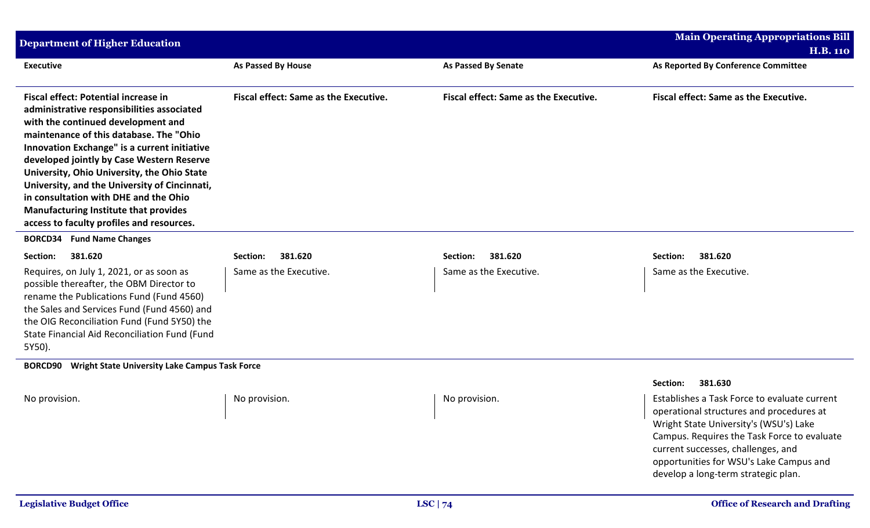| <b>Department of Higher Education</b>                                                                                                                                                                                                                                                                                                                                                                                                                                                                  |                                              |                                              | <b>Main Operating Appropriations Bill</b>                                                                                                                                                                                                                                                                 |
|--------------------------------------------------------------------------------------------------------------------------------------------------------------------------------------------------------------------------------------------------------------------------------------------------------------------------------------------------------------------------------------------------------------------------------------------------------------------------------------------------------|----------------------------------------------|----------------------------------------------|-----------------------------------------------------------------------------------------------------------------------------------------------------------------------------------------------------------------------------------------------------------------------------------------------------------|
|                                                                                                                                                                                                                                                                                                                                                                                                                                                                                                        |                                              |                                              | <b>H.B. 110</b>                                                                                                                                                                                                                                                                                           |
| <b>Executive</b>                                                                                                                                                                                                                                                                                                                                                                                                                                                                                       | <b>As Passed By House</b>                    | <b>As Passed By Senate</b>                   | As Reported By Conference Committee                                                                                                                                                                                                                                                                       |
| Fiscal effect: Potential increase in<br>administrative responsibilities associated<br>with the continued development and<br>maintenance of this database. The "Ohio<br>Innovation Exchange" is a current initiative<br>developed jointly by Case Western Reserve<br>University, Ohio University, the Ohio State<br>University, and the University of Cincinnati,<br>in consultation with DHE and the Ohio<br><b>Manufacturing Institute that provides</b><br>access to faculty profiles and resources. | <b>Fiscal effect: Same as the Executive.</b> | <b>Fiscal effect: Same as the Executive.</b> | <b>Fiscal effect: Same as the Executive.</b>                                                                                                                                                                                                                                                              |
| <b>BORCD34 Fund Name Changes</b>                                                                                                                                                                                                                                                                                                                                                                                                                                                                       |                                              |                                              |                                                                                                                                                                                                                                                                                                           |
| 381.620<br>Section:                                                                                                                                                                                                                                                                                                                                                                                                                                                                                    | 381.620<br>Section:                          | 381.620<br>Section:                          | 381.620<br>Section:                                                                                                                                                                                                                                                                                       |
| Requires, on July 1, 2021, or as soon as<br>possible thereafter, the OBM Director to<br>rename the Publications Fund (Fund 4560)<br>the Sales and Services Fund (Fund 4560) and<br>the OIG Reconciliation Fund (Fund 5Y50) the<br>State Financial Aid Reconciliation Fund (Fund<br>5Y50).                                                                                                                                                                                                              | Same as the Executive.                       | Same as the Executive.                       | Same as the Executive.                                                                                                                                                                                                                                                                                    |
| <b>Wright State University Lake Campus Task Force</b><br><b>BORCD90</b>                                                                                                                                                                                                                                                                                                                                                                                                                                |                                              |                                              |                                                                                                                                                                                                                                                                                                           |
|                                                                                                                                                                                                                                                                                                                                                                                                                                                                                                        |                                              |                                              | 381.630<br>Section:                                                                                                                                                                                                                                                                                       |
| No provision.                                                                                                                                                                                                                                                                                                                                                                                                                                                                                          | No provision.                                | No provision.                                | Establishes a Task Force to evaluate current<br>operational structures and procedures at<br>Wright State University's (WSU's) Lake<br>Campus. Requires the Task Force to evaluate<br>current successes, challenges, and<br>opportunities for WSU's Lake Campus and<br>develop a long-term strategic plan. |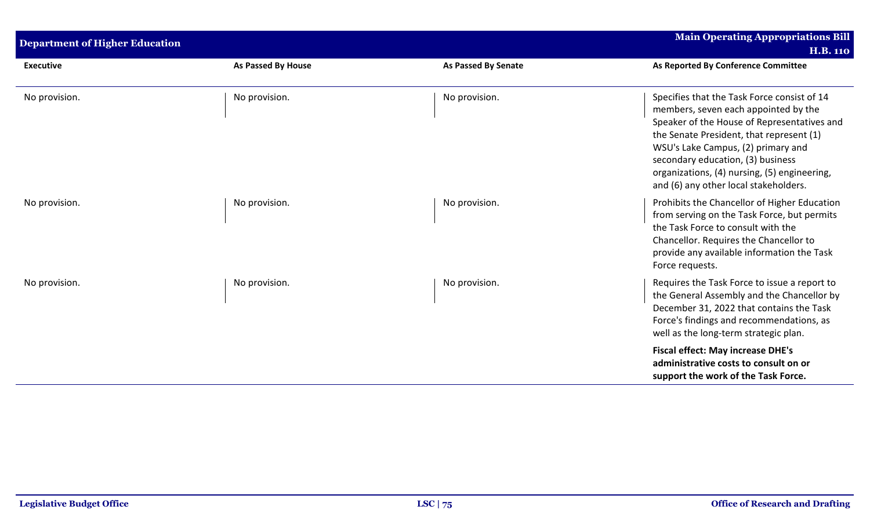| <b>Department of Higher Education</b> |                           |                            | <b>Main Operating Appropriations Bill</b><br><b>H.B. 110</b>                                                                                                                                                                                                                                                                                       |
|---------------------------------------|---------------------------|----------------------------|----------------------------------------------------------------------------------------------------------------------------------------------------------------------------------------------------------------------------------------------------------------------------------------------------------------------------------------------------|
| <b>Executive</b>                      | <b>As Passed By House</b> | <b>As Passed By Senate</b> | As Reported By Conference Committee                                                                                                                                                                                                                                                                                                                |
| No provision.                         | No provision.             | No provision.              | Specifies that the Task Force consist of 14<br>members, seven each appointed by the<br>Speaker of the House of Representatives and<br>the Senate President, that represent (1)<br>WSU's Lake Campus, (2) primary and<br>secondary education, (3) business<br>organizations, (4) nursing, (5) engineering,<br>and (6) any other local stakeholders. |
| No provision.                         | No provision.             | No provision.              | Prohibits the Chancellor of Higher Education<br>from serving on the Task Force, but permits<br>the Task Force to consult with the<br>Chancellor. Requires the Chancellor to<br>provide any available information the Task<br>Force requests.                                                                                                       |
| No provision.                         | No provision.             | No provision.              | Requires the Task Force to issue a report to<br>the General Assembly and the Chancellor by<br>December 31, 2022 that contains the Task<br>Force's findings and recommendations, as<br>well as the long-term strategic plan.                                                                                                                        |
|                                       |                           |                            | <b>Fiscal effect: May increase DHE's</b><br>administrative costs to consult on or<br>support the work of the Task Force.                                                                                                                                                                                                                           |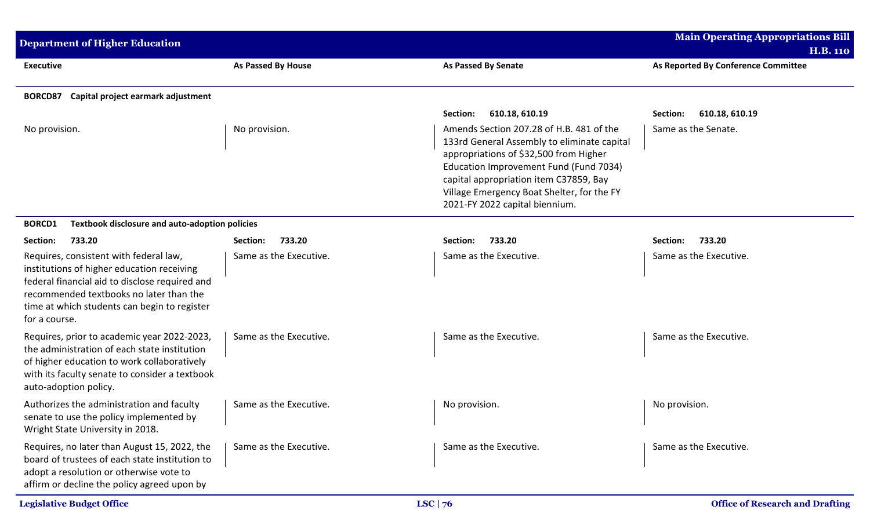| <b>Department of Higher Education</b>                                                                                                                                                                                                              |                           |                                                                                                                                                                                                                                                                                                       | <b>Main Operating Appropriations Bill</b> |
|----------------------------------------------------------------------------------------------------------------------------------------------------------------------------------------------------------------------------------------------------|---------------------------|-------------------------------------------------------------------------------------------------------------------------------------------------------------------------------------------------------------------------------------------------------------------------------------------------------|-------------------------------------------|
|                                                                                                                                                                                                                                                    |                           |                                                                                                                                                                                                                                                                                                       | <b>H.B. 110</b>                           |
| <b>Executive</b>                                                                                                                                                                                                                                   | <b>As Passed By House</b> | <b>As Passed By Senate</b>                                                                                                                                                                                                                                                                            | As Reported By Conference Committee       |
| Capital project earmark adjustment<br>BORCD87                                                                                                                                                                                                      |                           |                                                                                                                                                                                                                                                                                                       |                                           |
|                                                                                                                                                                                                                                                    |                           | 610.18, 610.19<br>Section:                                                                                                                                                                                                                                                                            | Section:<br>610.18, 610.19                |
| No provision.                                                                                                                                                                                                                                      | No provision.             | Amends Section 207.28 of H.B. 481 of the<br>133rd General Assembly to eliminate capital<br>appropriations of \$32,500 from Higher<br>Education Improvement Fund (Fund 7034)<br>capital appropriation item C37859, Bay<br>Village Emergency Boat Shelter, for the FY<br>2021-FY 2022 capital biennium. | Same as the Senate.                       |
| Textbook disclosure and auto-adoption policies<br><b>BORCD1</b>                                                                                                                                                                                    |                           |                                                                                                                                                                                                                                                                                                       |                                           |
| Section:<br>733.20                                                                                                                                                                                                                                 | 733.20<br>Section:        | 733.20<br>Section:                                                                                                                                                                                                                                                                                    | 733.20<br>Section:                        |
| Requires, consistent with federal law,<br>institutions of higher education receiving<br>federal financial aid to disclose required and<br>recommended textbooks no later than the<br>time at which students can begin to register<br>for a course. | Same as the Executive.    | Same as the Executive.                                                                                                                                                                                                                                                                                | Same as the Executive.                    |
| Requires, prior to academic year 2022-2023,<br>the administration of each state institution<br>of higher education to work collaboratively<br>with its faculty senate to consider a textbook<br>auto-adoption policy.                              | Same as the Executive.    | Same as the Executive.                                                                                                                                                                                                                                                                                | Same as the Executive.                    |
| Authorizes the administration and faculty<br>senate to use the policy implemented by<br>Wright State University in 2018.                                                                                                                           | Same as the Executive.    | No provision.                                                                                                                                                                                                                                                                                         | No provision.                             |
| Requires, no later than August 15, 2022, the<br>board of trustees of each state institution to<br>adopt a resolution or otherwise vote to<br>affirm or decline the policy agreed upon by                                                           | Same as the Executive.    | Same as the Executive.                                                                                                                                                                                                                                                                                | Same as the Executive.                    |
| <b>Legislative Budget Office</b>                                                                                                                                                                                                                   |                           | LSC $ 76$                                                                                                                                                                                                                                                                                             | <b>Office of Research and Drafting</b>    |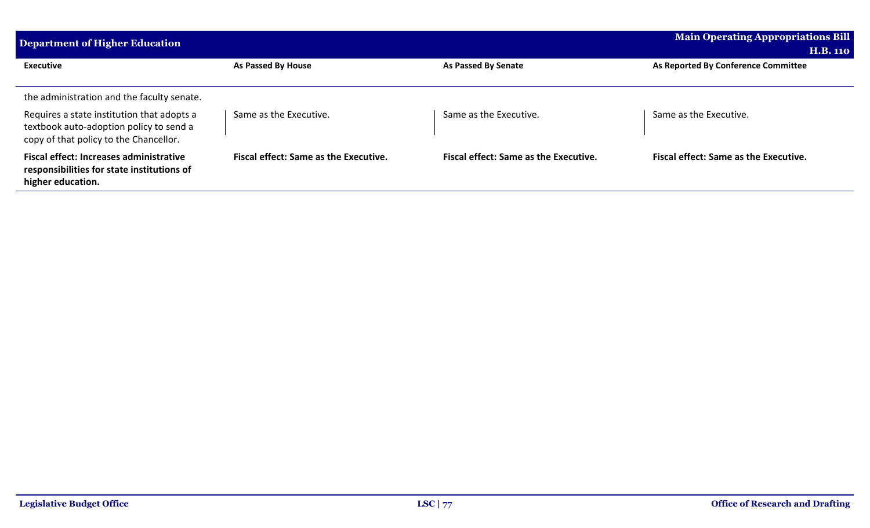| Department of Higher Education                                                                                                  |                                              |                                              | <b>Main Operating Appropriations Bill</b>              |  |  |  |
|---------------------------------------------------------------------------------------------------------------------------------|----------------------------------------------|----------------------------------------------|--------------------------------------------------------|--|--|--|
| <b>Executive</b>                                                                                                                | As Passed By House                           | <b>As Passed By Senate</b>                   | <b>H.B. 110</b><br>As Reported By Conference Committee |  |  |  |
| the administration and the faculty senate.                                                                                      |                                              |                                              |                                                        |  |  |  |
| Requires a state institution that adopts a<br>textbook auto-adoption policy to send a<br>copy of that policy to the Chancellor. | Same as the Executive.                       | Same as the Executive.                       | Same as the Executive.                                 |  |  |  |
| <b>Fiscal effect: Increases administrative</b><br>responsibilities for state institutions of<br>higher education.               | <b>Fiscal effect: Same as the Executive.</b> | <b>Fiscal effect: Same as the Executive.</b> | <b>Fiscal effect: Same as the Executive.</b>           |  |  |  |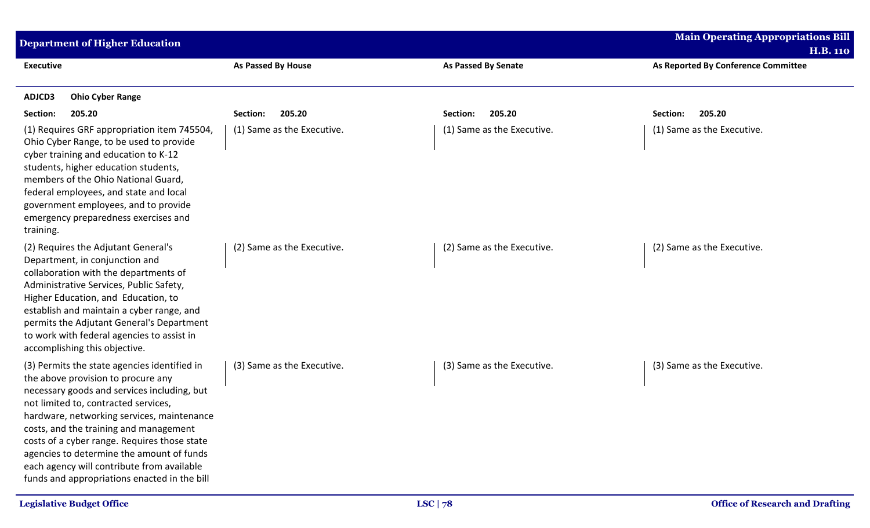| <b>Department of Higher Education</b>                                                                                                                                                                                                                                                                                                                                                                                                                        |                            |                            | <b>Main Operating Appropriations Bill</b>              |
|--------------------------------------------------------------------------------------------------------------------------------------------------------------------------------------------------------------------------------------------------------------------------------------------------------------------------------------------------------------------------------------------------------------------------------------------------------------|----------------------------|----------------------------|--------------------------------------------------------|
| <b>Executive</b>                                                                                                                                                                                                                                                                                                                                                                                                                                             | As Passed By House         | <b>As Passed By Senate</b> | <b>H.B. 110</b><br>As Reported By Conference Committee |
| ADJCD3<br><b>Ohio Cyber Range</b>                                                                                                                                                                                                                                                                                                                                                                                                                            |                            |                            |                                                        |
| 205.20<br>Section:                                                                                                                                                                                                                                                                                                                                                                                                                                           | 205.20<br>Section:         | 205.20<br>Section:         | 205.20<br>Section:                                     |
| (1) Requires GRF appropriation item 745504,<br>Ohio Cyber Range, to be used to provide<br>cyber training and education to K-12<br>students, higher education students,<br>members of the Ohio National Guard,<br>federal employees, and state and local<br>government employees, and to provide<br>emergency preparedness exercises and<br>training.                                                                                                         | (1) Same as the Executive. | (1) Same as the Executive. | (1) Same as the Executive.                             |
| (2) Requires the Adjutant General's<br>Department, in conjunction and<br>collaboration with the departments of<br>Administrative Services, Public Safety,<br>Higher Education, and Education, to<br>establish and maintain a cyber range, and<br>permits the Adjutant General's Department<br>to work with federal agencies to assist in<br>accomplishing this objective.                                                                                    | (2) Same as the Executive. | (2) Same as the Executive. | (2) Same as the Executive.                             |
| (3) Permits the state agencies identified in<br>the above provision to procure any<br>necessary goods and services including, but<br>not limited to, contracted services,<br>hardware, networking services, maintenance<br>costs, and the training and management<br>costs of a cyber range. Requires those state<br>agencies to determine the amount of funds<br>each agency will contribute from available<br>funds and appropriations enacted in the bill | (3) Same as the Executive. | (3) Same as the Executive. | (3) Same as the Executive.                             |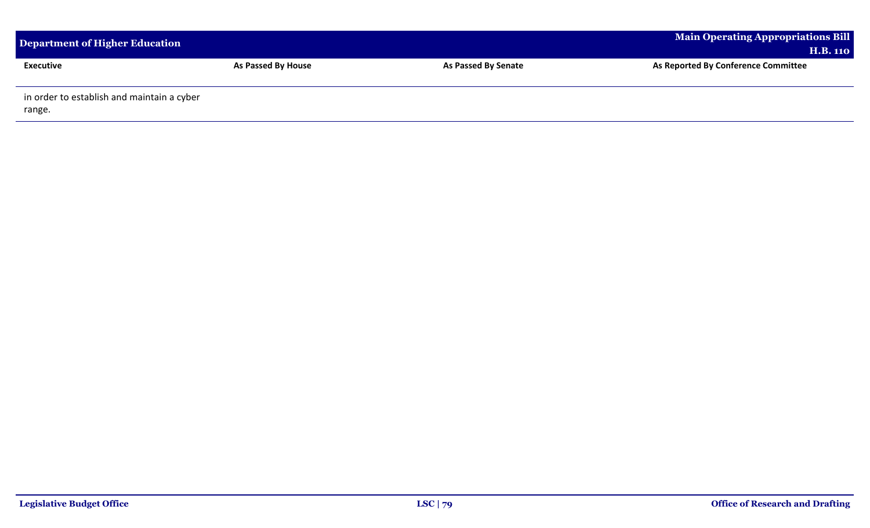| Department of Higher Education                       |                    |                            | <b>Main Operating Appropriations Bill</b><br><b>H.B. 110</b> |
|------------------------------------------------------|--------------------|----------------------------|--------------------------------------------------------------|
| Executive                                            | As Passed By House | <b>As Passed By Senate</b> | As Reported By Conference Committee                          |
| in order to establish and maintain a cyber<br>range. |                    |                            |                                                              |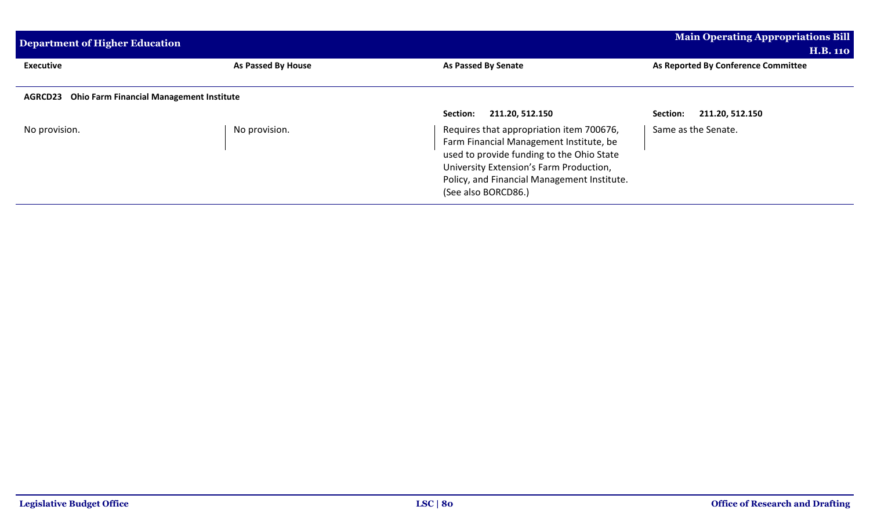| Department of Higher Education                             | <b>Main Operating Appropriations Bill</b> |                                                                                      |                                     |
|------------------------------------------------------------|-------------------------------------------|--------------------------------------------------------------------------------------|-------------------------------------|
|                                                            |                                           |                                                                                      | <b>H.B. 110</b>                     |
| <b>Executive</b>                                           | As Passed By House                        | As Passed By Senate                                                                  | As Reported By Conference Committee |
|                                                            |                                           |                                                                                      |                                     |
| <b>Ohio Farm Financial Management Institute</b><br>AGRCD23 |                                           |                                                                                      |                                     |
|                                                            |                                           | 211.20, 512.150<br>Section:                                                          | 211.20, 512.150<br>Section:         |
| No provision.                                              | No provision.                             | Requires that appropriation item 700676,                                             | Same as the Senate.                 |
|                                                            |                                           | Farm Financial Management Institute, be<br>used to provide funding to the Ohio State |                                     |
|                                                            |                                           | University Extension's Farm Production,                                              |                                     |
|                                                            |                                           | Policy, and Financial Management Institute.                                          |                                     |
|                                                            |                                           | (See also BORCD86.)                                                                  |                                     |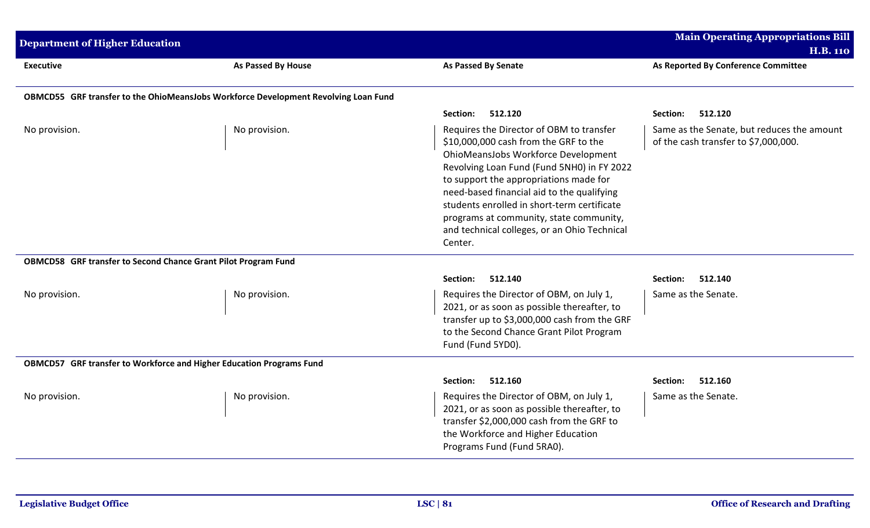| <b>Department of Higher Education</b>                                               |                    |                                                                                                                                                                                                                                                                                                                                                                                                                     | <b>Main Operating Appropriations Bill</b><br><b>H.B. 110</b>                       |
|-------------------------------------------------------------------------------------|--------------------|---------------------------------------------------------------------------------------------------------------------------------------------------------------------------------------------------------------------------------------------------------------------------------------------------------------------------------------------------------------------------------------------------------------------|------------------------------------------------------------------------------------|
| <b>Executive</b>                                                                    | As Passed By House | <b>As Passed By Senate</b>                                                                                                                                                                                                                                                                                                                                                                                          | As Reported By Conference Committee                                                |
| OBMCD55 GRF transfer to the OhioMeansJobs Workforce Development Revolving Loan Fund |                    |                                                                                                                                                                                                                                                                                                                                                                                                                     |                                                                                    |
|                                                                                     |                    | Section:<br>512.120                                                                                                                                                                                                                                                                                                                                                                                                 | 512.120<br>Section:                                                                |
| No provision.                                                                       | No provision.      | Requires the Director of OBM to transfer<br>\$10,000,000 cash from the GRF to the<br>OhioMeansJobs Workforce Development<br>Revolving Loan Fund (Fund 5NH0) in FY 2022<br>to support the appropriations made for<br>need-based financial aid to the qualifying<br>students enrolled in short-term certificate<br>programs at community, state community,<br>and technical colleges, or an Ohio Technical<br>Center. | Same as the Senate, but reduces the amount<br>of the cash transfer to \$7,000,000. |
| OBMCD58 GRF transfer to Second Chance Grant Pilot Program Fund                      |                    |                                                                                                                                                                                                                                                                                                                                                                                                                     |                                                                                    |
|                                                                                     |                    | 512.140<br>Section:                                                                                                                                                                                                                                                                                                                                                                                                 | 512.140<br>Section:                                                                |
| No provision.                                                                       | No provision.      | Requires the Director of OBM, on July 1,<br>2021, or as soon as possible thereafter, to<br>transfer up to \$3,000,000 cash from the GRF<br>to the Second Chance Grant Pilot Program<br>Fund (Fund 5YD0).                                                                                                                                                                                                            | Same as the Senate.                                                                |
| OBMCD57 GRF transfer to Workforce and Higher Education Programs Fund                |                    |                                                                                                                                                                                                                                                                                                                                                                                                                     |                                                                                    |
|                                                                                     |                    | 512.160<br>Section:                                                                                                                                                                                                                                                                                                                                                                                                 | 512.160<br>Section:                                                                |
| No provision.                                                                       | No provision.      | Requires the Director of OBM, on July 1,<br>2021, or as soon as possible thereafter, to<br>transfer \$2,000,000 cash from the GRF to<br>the Workforce and Higher Education<br>Programs Fund (Fund 5RA0).                                                                                                                                                                                                            | Same as the Senate.                                                                |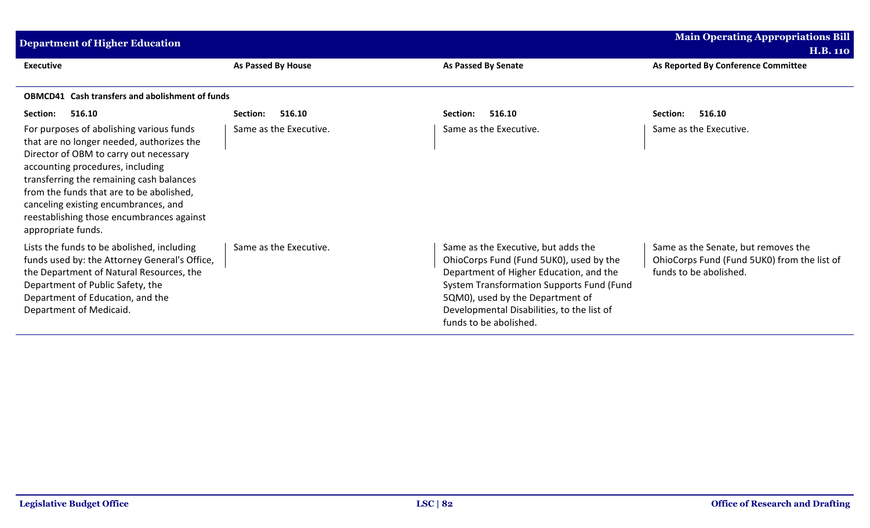| <b>Main Operating Appropriations Bill</b><br><b>Department of Higher Education</b><br><b>H.B. 110</b>                                                                                                                                                                                                                                                                  |                        |                                                                                                                                                                                                                                                                                           |                                                                                                              |  |
|------------------------------------------------------------------------------------------------------------------------------------------------------------------------------------------------------------------------------------------------------------------------------------------------------------------------------------------------------------------------|------------------------|-------------------------------------------------------------------------------------------------------------------------------------------------------------------------------------------------------------------------------------------------------------------------------------------|--------------------------------------------------------------------------------------------------------------|--|
| <b>Executive</b>                                                                                                                                                                                                                                                                                                                                                       | As Passed By House     | <b>As Passed By Senate</b>                                                                                                                                                                                                                                                                | As Reported By Conference Committee                                                                          |  |
| <b>OBMCD41</b> Cash transfers and abolishment of funds                                                                                                                                                                                                                                                                                                                 |                        |                                                                                                                                                                                                                                                                                           |                                                                                                              |  |
| Section:<br>516.10                                                                                                                                                                                                                                                                                                                                                     | 516.10<br>Section:     | 516.10<br>Section:                                                                                                                                                                                                                                                                        | 516.10<br>Section:                                                                                           |  |
| For purposes of abolishing various funds<br>that are no longer needed, authorizes the<br>Director of OBM to carry out necessary<br>accounting procedures, including<br>transferring the remaining cash balances<br>from the funds that are to be abolished,<br>canceling existing encumbrances, and<br>reestablishing those encumbrances against<br>appropriate funds. | Same as the Executive. | Same as the Executive.                                                                                                                                                                                                                                                                    | Same as the Executive.                                                                                       |  |
| Lists the funds to be abolished, including<br>funds used by: the Attorney General's Office,<br>the Department of Natural Resources, the<br>Department of Public Safety, the<br>Department of Education, and the<br>Department of Medicaid.                                                                                                                             | Same as the Executive. | Same as the Executive, but adds the<br>OhioCorps Fund (Fund 5UK0), used by the<br>Department of Higher Education, and the<br><b>System Transformation Supports Fund (Fund</b><br>5QM0), used by the Department of<br>Developmental Disabilities, to the list of<br>funds to be abolished. | Same as the Senate, but removes the<br>OhioCorps Fund (Fund 5UK0) from the list of<br>funds to be abolished. |  |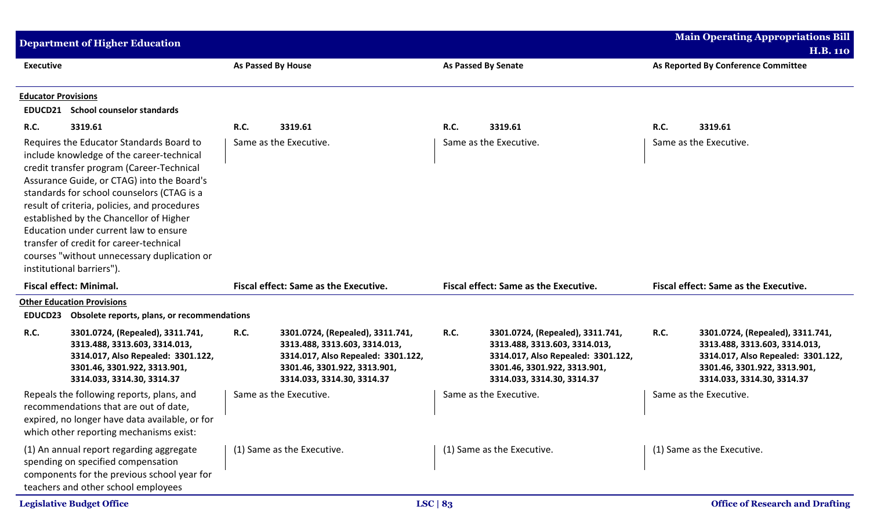|                                                                                                                                                                                                                                                                                                                                                                                                                                                                                                                     | <b>Department of Higher Education</b>                                                                                                                                           |                                                  |                                                                                                                                                                       |               |                                                                                                                                                                       |                                     | <b>Main Operating Appropriations Bill</b><br><b>H.B. 110</b>                                                                                                          |
|---------------------------------------------------------------------------------------------------------------------------------------------------------------------------------------------------------------------------------------------------------------------------------------------------------------------------------------------------------------------------------------------------------------------------------------------------------------------------------------------------------------------|---------------------------------------------------------------------------------------------------------------------------------------------------------------------------------|--------------------------------------------------|-----------------------------------------------------------------------------------------------------------------------------------------------------------------------|---------------|-----------------------------------------------------------------------------------------------------------------------------------------------------------------------|-------------------------------------|-----------------------------------------------------------------------------------------------------------------------------------------------------------------------|
| <b>Executive</b>                                                                                                                                                                                                                                                                                                                                                                                                                                                                                                    |                                                                                                                                                                                 | As Passed By House<br><b>As Passed By Senate</b> |                                                                                                                                                                       |               |                                                                                                                                                                       | As Reported By Conference Committee |                                                                                                                                                                       |
| <b>Educator Provisions</b>                                                                                                                                                                                                                                                                                                                                                                                                                                                                                          | <b>EDUCD21</b> School counselor standards                                                                                                                                       |                                                  |                                                                                                                                                                       |               |                                                                                                                                                                       |                                     |                                                                                                                                                                       |
| <b>R.C.</b>                                                                                                                                                                                                                                                                                                                                                                                                                                                                                                         | 3319.61                                                                                                                                                                         | <b>R.C.</b>                                      | 3319.61                                                                                                                                                               | <b>R.C.</b>   | 3319.61                                                                                                                                                               | R.C.                                | 3319.61                                                                                                                                                               |
| Same as the Executive.<br>Requires the Educator Standards Board to<br>include knowledge of the career-technical<br>credit transfer program (Career-Technical<br>Assurance Guide, or CTAG) into the Board's<br>standards for school counselors (CTAG is a<br>result of criteria, policies, and procedures<br>established by the Chancellor of Higher<br>Education under current law to ensure<br>transfer of credit for career-technical<br>courses "without unnecessary duplication or<br>institutional barriers"). |                                                                                                                                                                                 |                                                  | Same as the Executive.<br>Same as the Executive.                                                                                                                      |               |                                                                                                                                                                       |                                     |                                                                                                                                                                       |
|                                                                                                                                                                                                                                                                                                                                                                                                                                                                                                                     | <b>Fiscal effect: Minimal.</b>                                                                                                                                                  |                                                  | <b>Fiscal effect: Same as the Executive.</b>                                                                                                                          |               | <b>Fiscal effect: Same as the Executive.</b>                                                                                                                          |                                     | <b>Fiscal effect: Same as the Executive.</b>                                                                                                                          |
|                                                                                                                                                                                                                                                                                                                                                                                                                                                                                                                     | <b>Other Education Provisions</b>                                                                                                                                               |                                                  |                                                                                                                                                                       |               |                                                                                                                                                                       |                                     |                                                                                                                                                                       |
| EDUCD23                                                                                                                                                                                                                                                                                                                                                                                                                                                                                                             | Obsolete reports, plans, or recommendations                                                                                                                                     |                                                  |                                                                                                                                                                       |               |                                                                                                                                                                       |                                     |                                                                                                                                                                       |
| <b>R.C.</b>                                                                                                                                                                                                                                                                                                                                                                                                                                                                                                         | 3301.0724, (Repealed), 3311.741,<br>3313.488, 3313.603, 3314.013,<br>3314.017, Also Repealed: 3301.122,<br>3301.46, 3301.922, 3313.901,<br>3314.033, 3314.30, 3314.37           | <b>R.C.</b>                                      | 3301.0724, (Repealed), 3311.741,<br>3313.488, 3313.603, 3314.013,<br>3314.017, Also Repealed: 3301.122,<br>3301.46, 3301.922, 3313.901,<br>3314.033, 3314.30, 3314.37 | R.C.          | 3301.0724, (Repealed), 3311.741,<br>3313.488, 3313.603, 3314.013,<br>3314.017, Also Repealed: 3301.122,<br>3301.46, 3301.922, 3313.901,<br>3314.033, 3314.30, 3314.37 | <b>R.C.</b>                         | 3301.0724, (Repealed), 3311.741,<br>3313.488, 3313.603, 3314.013,<br>3314.017, Also Repealed: 3301.122,<br>3301.46, 3301.922, 3313.901,<br>3314.033, 3314.30, 3314.37 |
|                                                                                                                                                                                                                                                                                                                                                                                                                                                                                                                     | Repeals the following reports, plans, and<br>recommendations that are out of date,<br>expired, no longer have data available, or for<br>which other reporting mechanisms exist: |                                                  | Same as the Executive.                                                                                                                                                |               | Same as the Executive.                                                                                                                                                |                                     | Same as the Executive.                                                                                                                                                |
|                                                                                                                                                                                                                                                                                                                                                                                                                                                                                                                     | (1) An annual report regarding aggregate<br>spending on specified compensation<br>components for the previous school year for<br>teachers and other school employees            |                                                  | (1) Same as the Executive.                                                                                                                                            |               | (1) Same as the Executive.                                                                                                                                            |                                     | (1) Same as the Executive.                                                                                                                                            |
|                                                                                                                                                                                                                                                                                                                                                                                                                                                                                                                     | <b>Legislative Budget Office</b>                                                                                                                                                |                                                  |                                                                                                                                                                       | LSC $\mid$ 83 |                                                                                                                                                                       |                                     | <b>Office of Research and Drafting</b>                                                                                                                                |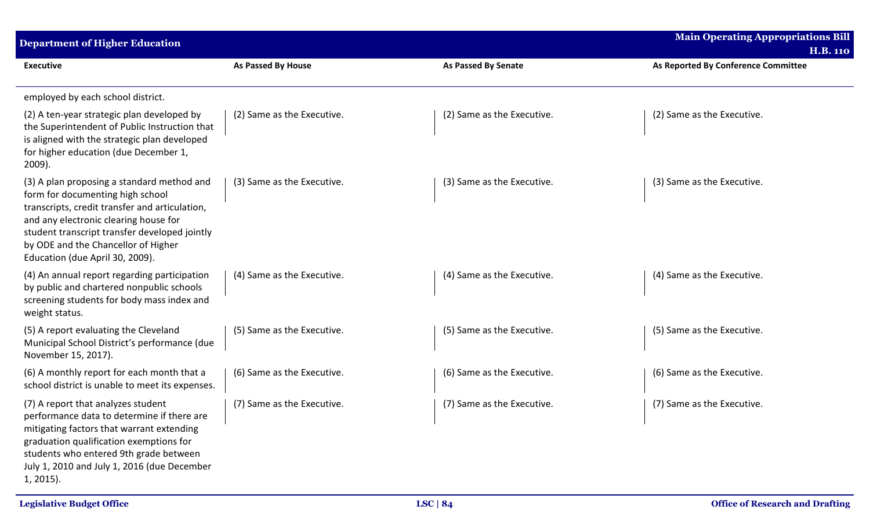| <b>Department of Higher Education</b>                                                                                                                                                                                                                                                                |                            |                            | <b>Main Operating Appropriations Bill</b><br><b>H.B. 110</b> |
|------------------------------------------------------------------------------------------------------------------------------------------------------------------------------------------------------------------------------------------------------------------------------------------------------|----------------------------|----------------------------|--------------------------------------------------------------|
| <b>Executive</b>                                                                                                                                                                                                                                                                                     | <b>As Passed By House</b>  | <b>As Passed By Senate</b> | As Reported By Conference Committee                          |
| employed by each school district.                                                                                                                                                                                                                                                                    |                            |                            |                                                              |
| (2) A ten-year strategic plan developed by<br>the Superintendent of Public Instruction that<br>is aligned with the strategic plan developed<br>for higher education (due December 1,<br>$2009$ ).                                                                                                    | (2) Same as the Executive. | (2) Same as the Executive. | (2) Same as the Executive.                                   |
| (3) A plan proposing a standard method and<br>form for documenting high school<br>transcripts, credit transfer and articulation,<br>and any electronic clearing house for<br>student transcript transfer developed jointly<br>by ODE and the Chancellor of Higher<br>Education (due April 30, 2009). | (3) Same as the Executive. | (3) Same as the Executive. | (3) Same as the Executive.                                   |
| (4) An annual report regarding participation<br>by public and chartered nonpublic schools<br>screening students for body mass index and<br>weight status.                                                                                                                                            | (4) Same as the Executive. | (4) Same as the Executive. | (4) Same as the Executive.                                   |
| (5) A report evaluating the Cleveland<br>Municipal School District's performance (due<br>November 15, 2017).                                                                                                                                                                                         | (5) Same as the Executive. | (5) Same as the Executive. | (5) Same as the Executive.                                   |
| (6) A monthly report for each month that a<br>school district is unable to meet its expenses.                                                                                                                                                                                                        | (6) Same as the Executive. | (6) Same as the Executive. | (6) Same as the Executive.                                   |
| (7) A report that analyzes student<br>performance data to determine if there are<br>mitigating factors that warrant extending<br>graduation qualification exemptions for<br>students who entered 9th grade between<br>July 1, 2010 and July 1, 2016 (due December<br>$1, 2015$ ).                    | (7) Same as the Executive. | (7) Same as the Executive. | (7) Same as the Executive.                                   |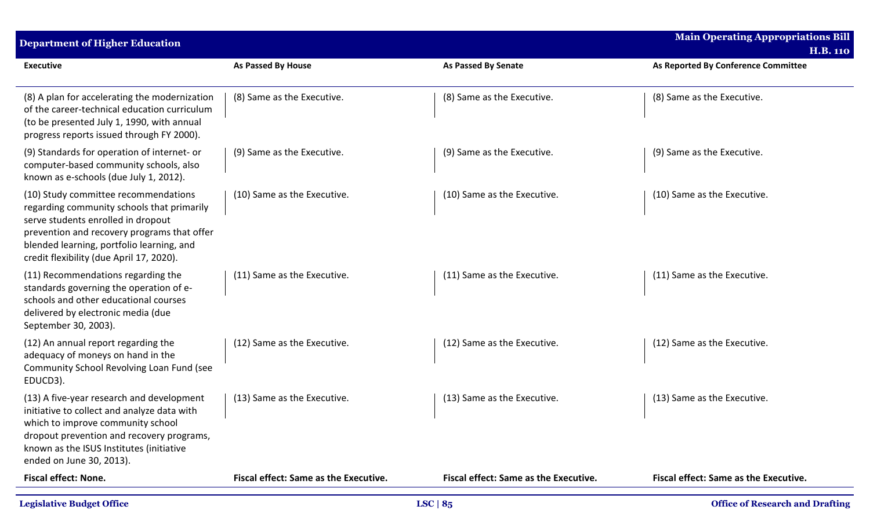| <b>Department of Higher Education</b>                                                                                                                                                                                                                            |                                              |                                              | <b>Main Operating Appropriations Bill</b><br><b>H.B. 110</b> |
|------------------------------------------------------------------------------------------------------------------------------------------------------------------------------------------------------------------------------------------------------------------|----------------------------------------------|----------------------------------------------|--------------------------------------------------------------|
| <b>Executive</b>                                                                                                                                                                                                                                                 | <b>As Passed By House</b>                    | <b>As Passed By Senate</b>                   | As Reported By Conference Committee                          |
| (8) A plan for accelerating the modernization<br>of the career-technical education curriculum<br>(to be presented July 1, 1990, with annual<br>progress reports issued through FY 2000).                                                                         | (8) Same as the Executive.                   | (8) Same as the Executive.                   | (8) Same as the Executive.                                   |
| (9) Standards for operation of internet- or<br>computer-based community schools, also<br>known as e-schools (due July 1, 2012).                                                                                                                                  | (9) Same as the Executive.                   | (9) Same as the Executive.                   | (9) Same as the Executive.                                   |
| (10) Study committee recommendations<br>regarding community schools that primarily<br>serve students enrolled in dropout<br>prevention and recovery programs that offer<br>blended learning, portfolio learning, and<br>credit flexibility (due April 17, 2020). | (10) Same as the Executive.                  | (10) Same as the Executive.                  | (10) Same as the Executive.                                  |
| (11) Recommendations regarding the<br>standards governing the operation of e-<br>schools and other educational courses<br>delivered by electronic media (due<br>September 30, 2003).                                                                             | (11) Same as the Executive.                  | (11) Same as the Executive.                  | (11) Same as the Executive.                                  |
| (12) An annual report regarding the<br>adequacy of moneys on hand in the<br>Community School Revolving Loan Fund (see<br>EDUCD3).                                                                                                                                | (12) Same as the Executive.                  | (12) Same as the Executive.                  | (12) Same as the Executive.                                  |
| (13) A five-year research and development<br>initiative to collect and analyze data with<br>which to improve community school<br>dropout prevention and recovery programs,<br>known as the ISUS Institutes (initiative<br>ended on June 30, 2013).               | (13) Same as the Executive.                  | (13) Same as the Executive.                  | (13) Same as the Executive.                                  |
| <b>Fiscal effect: None.</b>                                                                                                                                                                                                                                      | <b>Fiscal effect: Same as the Executive.</b> | <b>Fiscal effect: Same as the Executive.</b> | <b>Fiscal effect: Same as the Executive.</b>                 |
| <b>Legislative Budget Office</b>                                                                                                                                                                                                                                 |                                              | LSC $ 8_5 $                                  | <b>Office of Research and Drafting</b>                       |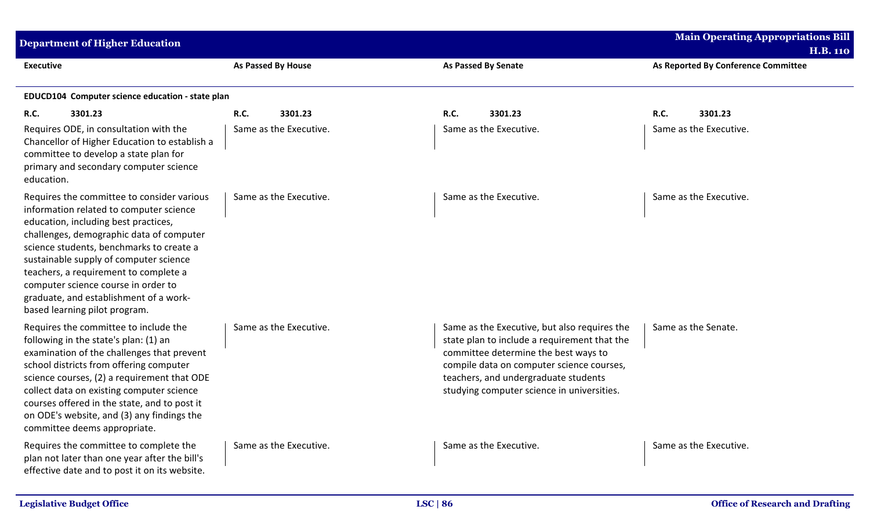| <b>Department of Higher Education</b>                                                                                                                                                                                                                                                                                                                                                                                      |                        |                                                                                                                                                                                                                                                                         | <b>Main Operating Appropriations Bill</b><br><b>H.B. 110</b> |
|----------------------------------------------------------------------------------------------------------------------------------------------------------------------------------------------------------------------------------------------------------------------------------------------------------------------------------------------------------------------------------------------------------------------------|------------------------|-------------------------------------------------------------------------------------------------------------------------------------------------------------------------------------------------------------------------------------------------------------------------|--------------------------------------------------------------|
| <b>Executive</b>                                                                                                                                                                                                                                                                                                                                                                                                           | As Passed By House     | As Passed By Senate                                                                                                                                                                                                                                                     | As Reported By Conference Committee                          |
| EDUCD104 Computer science education - state plan                                                                                                                                                                                                                                                                                                                                                                           |                        |                                                                                                                                                                                                                                                                         |                                                              |
| 3301.23<br>R.C.                                                                                                                                                                                                                                                                                                                                                                                                            | <b>R.C.</b><br>3301.23 | R.C.<br>3301.23                                                                                                                                                                                                                                                         | R.C.<br>3301.23                                              |
| Requires ODE, in consultation with the<br>Chancellor of Higher Education to establish a<br>committee to develop a state plan for<br>primary and secondary computer science<br>education.                                                                                                                                                                                                                                   | Same as the Executive. | Same as the Executive.                                                                                                                                                                                                                                                  | Same as the Executive.                                       |
| Requires the committee to consider various<br>information related to computer science<br>education, including best practices,<br>challenges, demographic data of computer<br>science students, benchmarks to create a<br>sustainable supply of computer science<br>teachers, a requirement to complete a<br>computer science course in order to<br>graduate, and establishment of a work-<br>based learning pilot program. | Same as the Executive. | Same as the Executive.                                                                                                                                                                                                                                                  | Same as the Executive.                                       |
| Requires the committee to include the<br>following in the state's plan: (1) an<br>examination of the challenges that prevent<br>school districts from offering computer<br>science courses, (2) a requirement that ODE<br>collect data on existing computer science<br>courses offered in the state, and to post it<br>on ODE's website, and (3) any findings the<br>committee deems appropriate.                          | Same as the Executive. | Same as the Executive, but also requires the<br>state plan to include a requirement that the<br>committee determine the best ways to<br>compile data on computer science courses,<br>teachers, and undergraduate students<br>studying computer science in universities. | Same as the Senate.                                          |
| Requires the committee to complete the<br>plan not later than one year after the bill's<br>effective date and to post it on its website.                                                                                                                                                                                                                                                                                   | Same as the Executive. | Same as the Executive.                                                                                                                                                                                                                                                  | Same as the Executive.                                       |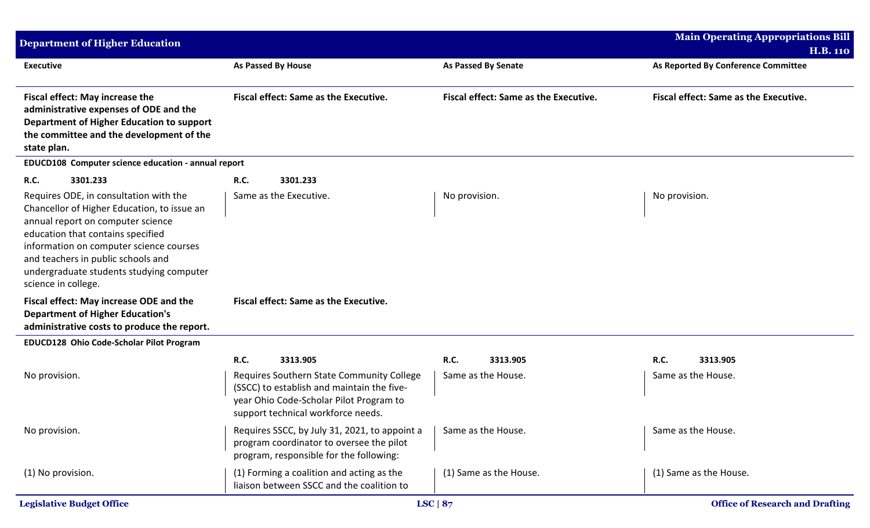| <b>Department of Higher Education</b>                                                                                                                                                                                                                                                                               |                                                                                                                                                                                                     |                                               | <b>Main Operating Appropriations Bill</b>              |
|---------------------------------------------------------------------------------------------------------------------------------------------------------------------------------------------------------------------------------------------------------------------------------------------------------------------|-----------------------------------------------------------------------------------------------------------------------------------------------------------------------------------------------------|-----------------------------------------------|--------------------------------------------------------|
| <b>Executive</b>                                                                                                                                                                                                                                                                                                    | <b>As Passed By House</b>                                                                                                                                                                           | <b>As Passed By Senate</b>                    | <b>H.B. 110</b><br>As Reported By Conference Committee |
| <b>Fiscal effect: May increase the</b><br>administrative expenses of ODE and the<br>Department of Higher Education to support<br>the committee and the development of the<br>state plan.                                                                                                                            | <b>Fiscal effect: Same as the Executive.</b>                                                                                                                                                        | Fiscal effect: Same as the Executive.         | Fiscal effect: Same as the Executive.                  |
| EDUCD108 Computer science education - annual report                                                                                                                                                                                                                                                                 |                                                                                                                                                                                                     |                                               |                                                        |
| R.C.<br>3301.233                                                                                                                                                                                                                                                                                                    | R.C.<br>3301.233                                                                                                                                                                                    |                                               |                                                        |
| Requires ODE, in consultation with the<br>Chancellor of Higher Education, to issue an<br>annual report on computer science<br>education that contains specified<br>information on computer science courses<br>and teachers in public schools and<br>undergraduate students studying computer<br>science in college. | Same as the Executive.                                                                                                                                                                              | No provision.                                 | No provision.                                          |
| Fiscal effect: May increase ODE and the<br><b>Department of Higher Education's</b><br>administrative costs to produce the report.                                                                                                                                                                                   | Fiscal effect: Same as the Executive.                                                                                                                                                               |                                               |                                                        |
| EDUCD128 Ohio Code-Scholar Pilot Program                                                                                                                                                                                                                                                                            |                                                                                                                                                                                                     |                                               |                                                        |
| No provision.                                                                                                                                                                                                                                                                                                       | <b>R.C.</b><br>3313.905<br>Requires Southern State Community College<br>(SSCC) to establish and maintain the five-<br>year Ohio Code-Scholar Pilot Program to<br>support technical workforce needs. | <b>R.C.</b><br>3313.905<br>Same as the House. | R.C.<br>3313.905<br>Same as the House.                 |
| No provision.                                                                                                                                                                                                                                                                                                       | Requires SSCC, by July 31, 2021, to appoint a<br>program coordinator to oversee the pilot<br>program, responsible for the following:                                                                | Same as the House.                            | Same as the House.                                     |
| (1) No provision.                                                                                                                                                                                                                                                                                                   | (1) Forming a coalition and acting as the<br>liaison between SSCC and the coalition to                                                                                                              | (1) Same as the House.                        | (1) Same as the House.                                 |
| <b>Legislative Budget Office</b>                                                                                                                                                                                                                                                                                    |                                                                                                                                                                                                     | LSC $ 87$                                     | <b>Office of Research and Drafting</b>                 |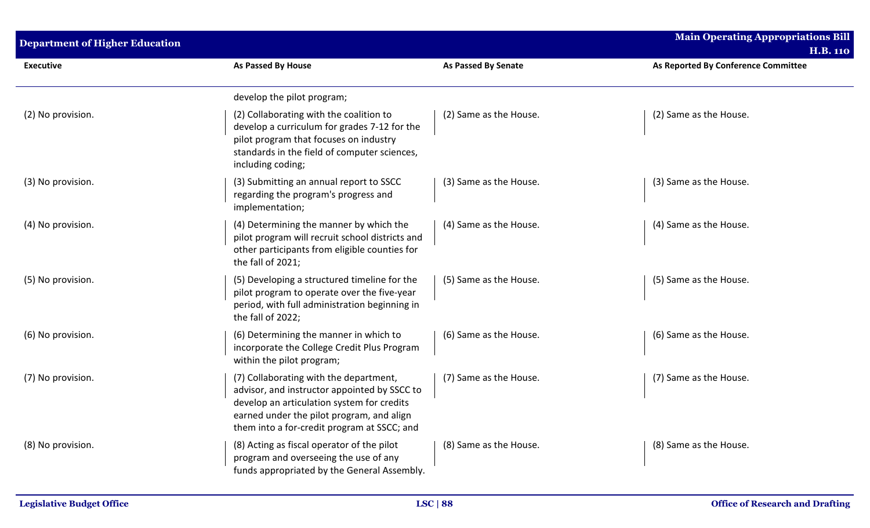| <b>Department of Higher Education</b> |                                                                                                                                                                                                                                  |                        | <b>Main Operating Appropriations Bill</b><br><b>H.B. 110</b> |
|---------------------------------------|----------------------------------------------------------------------------------------------------------------------------------------------------------------------------------------------------------------------------------|------------------------|--------------------------------------------------------------|
| <b>Executive</b>                      | As Passed By House                                                                                                                                                                                                               | As Passed By Senate    | As Reported By Conference Committee                          |
|                                       | develop the pilot program;                                                                                                                                                                                                       |                        |                                                              |
| (2) No provision.                     | (2) Collaborating with the coalition to<br>develop a curriculum for grades 7-12 for the<br>pilot program that focuses on industry<br>standards in the field of computer sciences,<br>including coding;                           | (2) Same as the House. | (2) Same as the House.                                       |
| (3) No provision.                     | (3) Submitting an annual report to SSCC<br>regarding the program's progress and<br>implementation;                                                                                                                               | (3) Same as the House. | (3) Same as the House.                                       |
| (4) No provision.                     | (4) Determining the manner by which the<br>pilot program will recruit school districts and<br>other participants from eligible counties for<br>the fall of 2021;                                                                 | (4) Same as the House. | (4) Same as the House.                                       |
| (5) No provision.                     | (5) Developing a structured timeline for the<br>pilot program to operate over the five-year<br>period, with full administration beginning in<br>the fall of 2022;                                                                | (5) Same as the House. | (5) Same as the House.                                       |
| (6) No provision.                     | (6) Determining the manner in which to<br>incorporate the College Credit Plus Program<br>within the pilot program;                                                                                                               | (6) Same as the House. | (6) Same as the House.                                       |
| (7) No provision.                     | (7) Collaborating with the department,<br>advisor, and instructor appointed by SSCC to<br>develop an articulation system for credits<br>earned under the pilot program, and align<br>them into a for-credit program at SSCC; and | (7) Same as the House. | (7) Same as the House.                                       |
| (8) No provision.                     | (8) Acting as fiscal operator of the pilot<br>program and overseeing the use of any<br>funds appropriated by the General Assembly.                                                                                               | (8) Same as the House. | (8) Same as the House.                                       |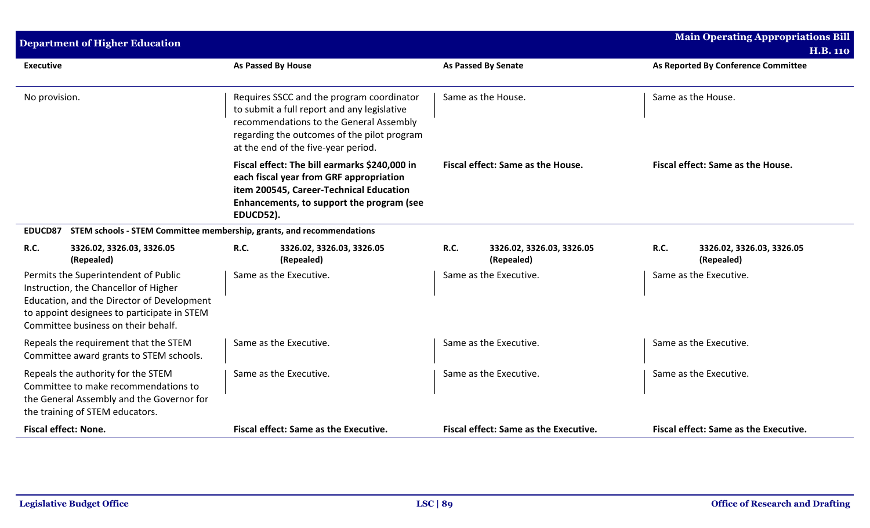|                             | <b>Department of Higher Education</b>                                                                                                                                                                             |             |                                                                                                                                                                                                                           |             |                                              |      | <b>Main Operating Appropriations Bill</b><br><b>H.B. 110</b> |
|-----------------------------|-------------------------------------------------------------------------------------------------------------------------------------------------------------------------------------------------------------------|-------------|---------------------------------------------------------------------------------------------------------------------------------------------------------------------------------------------------------------------------|-------------|----------------------------------------------|------|--------------------------------------------------------------|
| <b>Executive</b>            |                                                                                                                                                                                                                   |             | As Passed By House                                                                                                                                                                                                        |             | <b>As Passed By Senate</b>                   |      | As Reported By Conference Committee                          |
| No provision.               |                                                                                                                                                                                                                   |             | Requires SSCC and the program coordinator<br>to submit a full report and any legislative<br>recommendations to the General Assembly<br>regarding the outcomes of the pilot program<br>at the end of the five-year period. |             | Same as the House.                           |      | Same as the House.                                           |
|                             |                                                                                                                                                                                                                   | EDUCD52).   | Fiscal effect: The bill earmarks \$240,000 in<br>each fiscal year from GRF appropriation<br>item 200545, Career-Technical Education<br>Enhancements, to support the program (see                                          |             | Fiscal effect: Same as the House.            |      | Fiscal effect: Same as the House.                            |
| EDUCD87                     | STEM schools - STEM Committee membership, grants, and recommendations                                                                                                                                             |             |                                                                                                                                                                                                                           |             |                                              |      |                                                              |
| R.C.                        | 3326.02, 3326.03, 3326.05<br>(Repealed)                                                                                                                                                                           | <b>R.C.</b> | 3326.02, 3326.03, 3326.05<br>(Repealed)                                                                                                                                                                                   | <b>R.C.</b> | 3326.02, 3326.03, 3326.05<br>(Repealed)      | R.C. | 3326.02, 3326.03, 3326.05<br>(Repealed)                      |
|                             | Permits the Superintendent of Public<br>Instruction, the Chancellor of Higher<br>Education, and the Director of Development<br>to appoint designees to participate in STEM<br>Committee business on their behalf. |             | Same as the Executive.                                                                                                                                                                                                    |             | Same as the Executive.                       |      | Same as the Executive.                                       |
|                             | Repeals the requirement that the STEM<br>Committee award grants to STEM schools.                                                                                                                                  |             | Same as the Executive.                                                                                                                                                                                                    |             | Same as the Executive.                       |      | Same as the Executive.                                       |
|                             | Repeals the authority for the STEM<br>Committee to make recommendations to<br>the General Assembly and the Governor for<br>the training of STEM educators.                                                        |             | Same as the Executive.                                                                                                                                                                                                    |             | Same as the Executive.                       |      | Same as the Executive.                                       |
| <b>Fiscal effect: None.</b> |                                                                                                                                                                                                                   |             | <b>Fiscal effect: Same as the Executive.</b>                                                                                                                                                                              |             | <b>Fiscal effect: Same as the Executive.</b> |      | <b>Fiscal effect: Same as the Executive.</b>                 |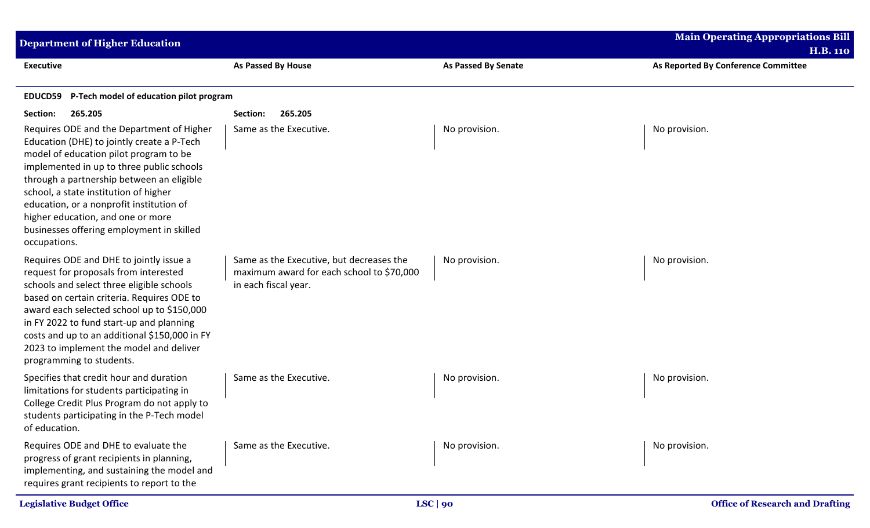| <b>Department of Higher Education</b>                                                                                                                                                                                                                                                                                                                                                                              |                                                                                                               |                            | <b>Main Operating Appropriations Bill</b><br><b>H.B. 110</b> |
|--------------------------------------------------------------------------------------------------------------------------------------------------------------------------------------------------------------------------------------------------------------------------------------------------------------------------------------------------------------------------------------------------------------------|---------------------------------------------------------------------------------------------------------------|----------------------------|--------------------------------------------------------------|
| <b>Executive</b>                                                                                                                                                                                                                                                                                                                                                                                                   | <b>As Passed By House</b>                                                                                     | <b>As Passed By Senate</b> | As Reported By Conference Committee                          |
| P-Tech model of education pilot program<br>EDUCD59                                                                                                                                                                                                                                                                                                                                                                 |                                                                                                               |                            |                                                              |
| Section:<br>265.205                                                                                                                                                                                                                                                                                                                                                                                                | 265.205<br>Section:                                                                                           |                            |                                                              |
| Requires ODE and the Department of Higher<br>Education (DHE) to jointly create a P-Tech<br>model of education pilot program to be<br>implemented in up to three public schools<br>through a partnership between an eligible<br>school, a state institution of higher<br>education, or a nonprofit institution of<br>higher education, and one or more<br>businesses offering employment in skilled<br>occupations. | Same as the Executive.                                                                                        | No provision.              | No provision.                                                |
| Requires ODE and DHE to jointly issue a<br>request for proposals from interested<br>schools and select three eligible schools<br>based on certain criteria. Requires ODE to<br>award each selected school up to \$150,000<br>in FY 2022 to fund start-up and planning<br>costs and up to an additional \$150,000 in FY<br>2023 to implement the model and deliver<br>programming to students.                      | Same as the Executive, but decreases the<br>maximum award for each school to \$70,000<br>in each fiscal year. | No provision.              | No provision.                                                |
| Specifies that credit hour and duration<br>limitations for students participating in<br>College Credit Plus Program do not apply to<br>students participating in the P-Tech model<br>of education.                                                                                                                                                                                                                 | Same as the Executive.                                                                                        | No provision.              | No provision.                                                |
| Requires ODE and DHE to evaluate the<br>progress of grant recipients in planning,<br>implementing, and sustaining the model and<br>requires grant recipients to report to the                                                                                                                                                                                                                                      | Same as the Executive.                                                                                        | No provision.              | No provision.                                                |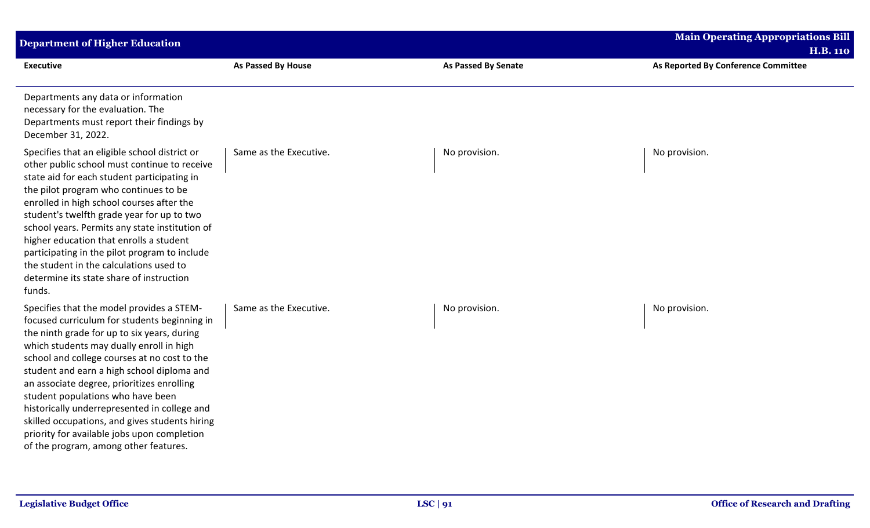| <b>Department of Higher Education</b>                                                                                                                                                                                                                                                                                                                                                                                                                                                                                                                           |                        |                            | <b>Main Operating Appropriations Bill</b><br><b>H.B. 110</b> |
|-----------------------------------------------------------------------------------------------------------------------------------------------------------------------------------------------------------------------------------------------------------------------------------------------------------------------------------------------------------------------------------------------------------------------------------------------------------------------------------------------------------------------------------------------------------------|------------------------|----------------------------|--------------------------------------------------------------|
| <b>Executive</b>                                                                                                                                                                                                                                                                                                                                                                                                                                                                                                                                                | As Passed By House     | <b>As Passed By Senate</b> | As Reported By Conference Committee                          |
| Departments any data or information<br>necessary for the evaluation. The<br>Departments must report their findings by<br>December 31, 2022.                                                                                                                                                                                                                                                                                                                                                                                                                     |                        |                            |                                                              |
| Specifies that an eligible school district or<br>other public school must continue to receive<br>state aid for each student participating in<br>the pilot program who continues to be<br>enrolled in high school courses after the<br>student's twelfth grade year for up to two<br>school years. Permits any state institution of<br>higher education that enrolls a student<br>participating in the pilot program to include<br>the student in the calculations used to<br>determine its state share of instruction<br>funds.                                 | Same as the Executive. | No provision.              | No provision.                                                |
| Specifies that the model provides a STEM-<br>focused curriculum for students beginning in<br>the ninth grade for up to six years, during<br>which students may dually enroll in high<br>school and college courses at no cost to the<br>student and earn a high school diploma and<br>an associate degree, prioritizes enrolling<br>student populations who have been<br>historically underrepresented in college and<br>skilled occupations, and gives students hiring<br>priority for available jobs upon completion<br>of the program, among other features. | Same as the Executive. | No provision.              | No provision.                                                |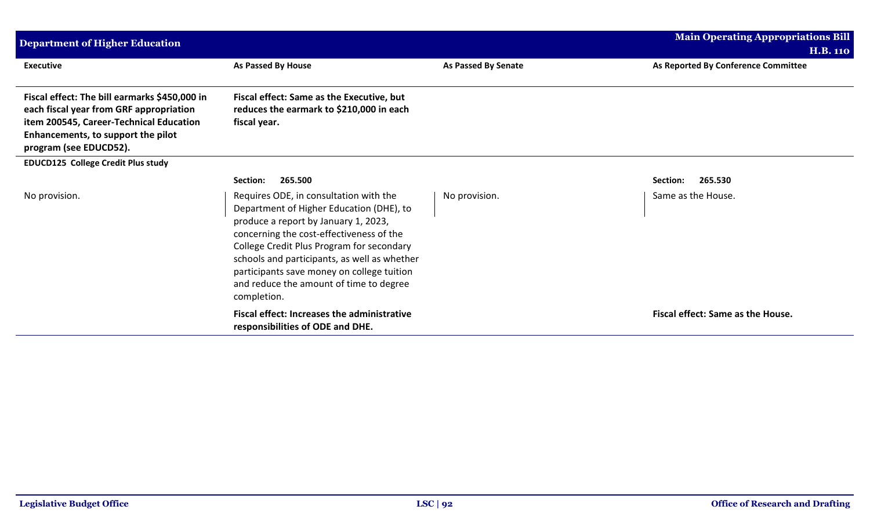| <b>Department of Higher Education</b>                                                                                                                                                               |                                                                                                                                                                                                                                                                                                                                                                             |                     | <b>Main Operating Appropriations Bill</b> |
|-----------------------------------------------------------------------------------------------------------------------------------------------------------------------------------------------------|-----------------------------------------------------------------------------------------------------------------------------------------------------------------------------------------------------------------------------------------------------------------------------------------------------------------------------------------------------------------------------|---------------------|-------------------------------------------|
|                                                                                                                                                                                                     |                                                                                                                                                                                                                                                                                                                                                                             |                     | <b>H.B. 110</b>                           |
| <b>Executive</b>                                                                                                                                                                                    | As Passed By House                                                                                                                                                                                                                                                                                                                                                          | As Passed By Senate | As Reported By Conference Committee       |
| Fiscal effect: The bill earmarks \$450,000 in<br>each fiscal year from GRF appropriation<br>item 200545, Career-Technical Education<br>Enhancements, to support the pilot<br>program (see EDUCD52). | Fiscal effect: Same as the Executive, but<br>reduces the earmark to \$210,000 in each<br>fiscal year.                                                                                                                                                                                                                                                                       |                     |                                           |
| EDUCD125 College Credit Plus study                                                                                                                                                                  |                                                                                                                                                                                                                                                                                                                                                                             |                     |                                           |
|                                                                                                                                                                                                     | 265.500<br>Section:                                                                                                                                                                                                                                                                                                                                                         |                     | 265.530<br>Section:                       |
| No provision.                                                                                                                                                                                       | Requires ODE, in consultation with the<br>Department of Higher Education (DHE), to<br>produce a report by January 1, 2023,<br>concerning the cost-effectiveness of the<br>College Credit Plus Program for secondary<br>schools and participants, as well as whether<br>participants save money on college tuition<br>and reduce the amount of time to degree<br>completion. | No provision.       | Same as the House.                        |
|                                                                                                                                                                                                     | <b>Fiscal effect: Increases the administrative</b><br>responsibilities of ODE and DHE.                                                                                                                                                                                                                                                                                      |                     | Fiscal effect: Same as the House.         |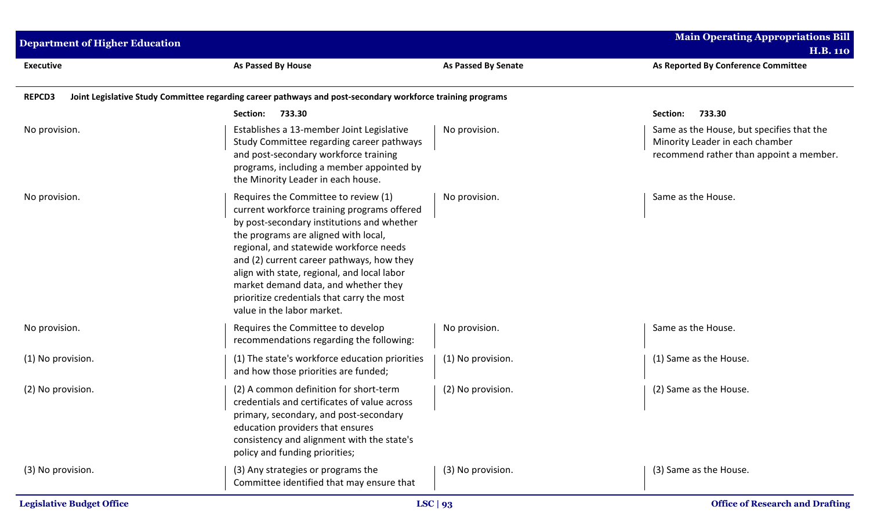| <b>Department of Higher Education</b> |                                                                                                                                                                                                                                                                                                                                                                                                                                      |                            | <b>Main Operating Appropriations Bill</b><br><b>H.B. 110</b>                                                            |
|---------------------------------------|--------------------------------------------------------------------------------------------------------------------------------------------------------------------------------------------------------------------------------------------------------------------------------------------------------------------------------------------------------------------------------------------------------------------------------------|----------------------------|-------------------------------------------------------------------------------------------------------------------------|
| <b>Executive</b>                      | As Passed By House                                                                                                                                                                                                                                                                                                                                                                                                                   | <b>As Passed By Senate</b> | As Reported By Conference Committee                                                                                     |
| <b>REPCD3</b>                         | Joint Legislative Study Committee regarding career pathways and post-secondary workforce training programs                                                                                                                                                                                                                                                                                                                           |                            |                                                                                                                         |
|                                       | Section:<br>733.30                                                                                                                                                                                                                                                                                                                                                                                                                   |                            | 733.30<br>Section:                                                                                                      |
| No provision.                         | Establishes a 13-member Joint Legislative<br>Study Committee regarding career pathways<br>and post-secondary workforce training<br>programs, including a member appointed by<br>the Minority Leader in each house.                                                                                                                                                                                                                   | No provision.              | Same as the House, but specifies that the<br>Minority Leader in each chamber<br>recommend rather than appoint a member. |
| No provision.                         | Requires the Committee to review (1)<br>current workforce training programs offered<br>by post-secondary institutions and whether<br>the programs are aligned with local,<br>regional, and statewide workforce needs<br>and (2) current career pathways, how they<br>align with state, regional, and local labor<br>market demand data, and whether they<br>prioritize credentials that carry the most<br>value in the labor market. | No provision.              | Same as the House.                                                                                                      |
| No provision.                         | Requires the Committee to develop<br>recommendations regarding the following:                                                                                                                                                                                                                                                                                                                                                        | No provision.              | Same as the House.                                                                                                      |
| (1) No provision.                     | (1) The state's workforce education priorities<br>and how those priorities are funded;                                                                                                                                                                                                                                                                                                                                               | (1) No provision.          | (1) Same as the House.                                                                                                  |
| (2) No provision.                     | (2) A common definition for short-term<br>credentials and certificates of value across<br>primary, secondary, and post-secondary<br>education providers that ensures<br>consistency and alignment with the state's<br>policy and funding priorities;                                                                                                                                                                                 | (2) No provision.          | (2) Same as the House.                                                                                                  |
| (3) No provision.                     | (3) Any strategies or programs the<br>Committee identified that may ensure that                                                                                                                                                                                                                                                                                                                                                      | (3) No provision.          | (3) Same as the House.                                                                                                  |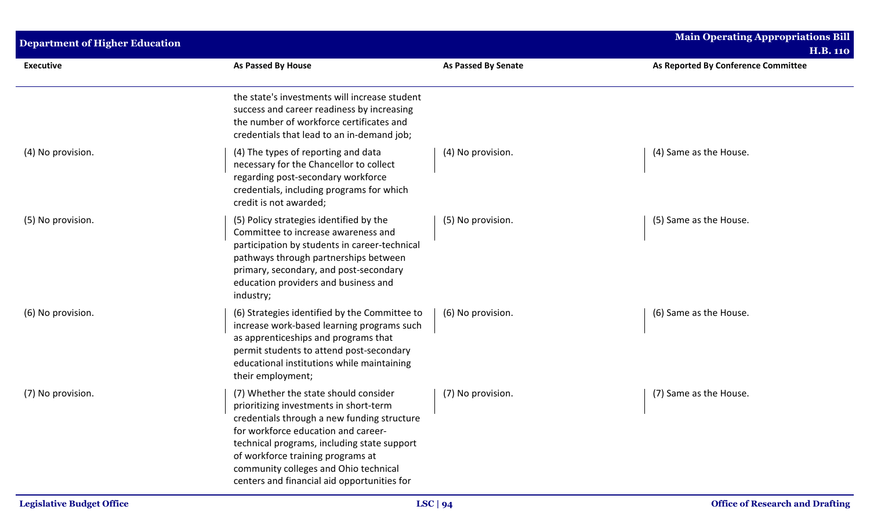| <b>Department of Higher Education</b> |                                                                                                                                                                                                                                                                                                                                                   |                            | <b>Main Operating Appropriations Bill</b><br><b>H.B. 110</b> |
|---------------------------------------|---------------------------------------------------------------------------------------------------------------------------------------------------------------------------------------------------------------------------------------------------------------------------------------------------------------------------------------------------|----------------------------|--------------------------------------------------------------|
| <b>Executive</b>                      | As Passed By House                                                                                                                                                                                                                                                                                                                                | <b>As Passed By Senate</b> | As Reported By Conference Committee                          |
|                                       | the state's investments will increase student<br>success and career readiness by increasing<br>the number of workforce certificates and<br>credentials that lead to an in-demand job;                                                                                                                                                             |                            |                                                              |
| (4) No provision.                     | (4) The types of reporting and data<br>necessary for the Chancellor to collect<br>regarding post-secondary workforce<br>credentials, including programs for which<br>credit is not awarded;                                                                                                                                                       | (4) No provision.          | (4) Same as the House.                                       |
| (5) No provision.                     | (5) Policy strategies identified by the<br>Committee to increase awareness and<br>participation by students in career-technical<br>pathways through partnerships between<br>primary, secondary, and post-secondary<br>education providers and business and<br>industry;                                                                           | (5) No provision.          | (5) Same as the House.                                       |
| (6) No provision.                     | (6) Strategies identified by the Committee to<br>increase work-based learning programs such<br>as apprenticeships and programs that<br>permit students to attend post-secondary<br>educational institutions while maintaining<br>their employment;                                                                                                | (6) No provision.          | (6) Same as the House.                                       |
| (7) No provision.                     | (7) Whether the state should consider<br>prioritizing investments in short-term<br>credentials through a new funding structure<br>for workforce education and career-<br>technical programs, including state support<br>of workforce training programs at<br>community colleges and Ohio technical<br>centers and financial aid opportunities for | (7) No provision.          | (7) Same as the House.                                       |